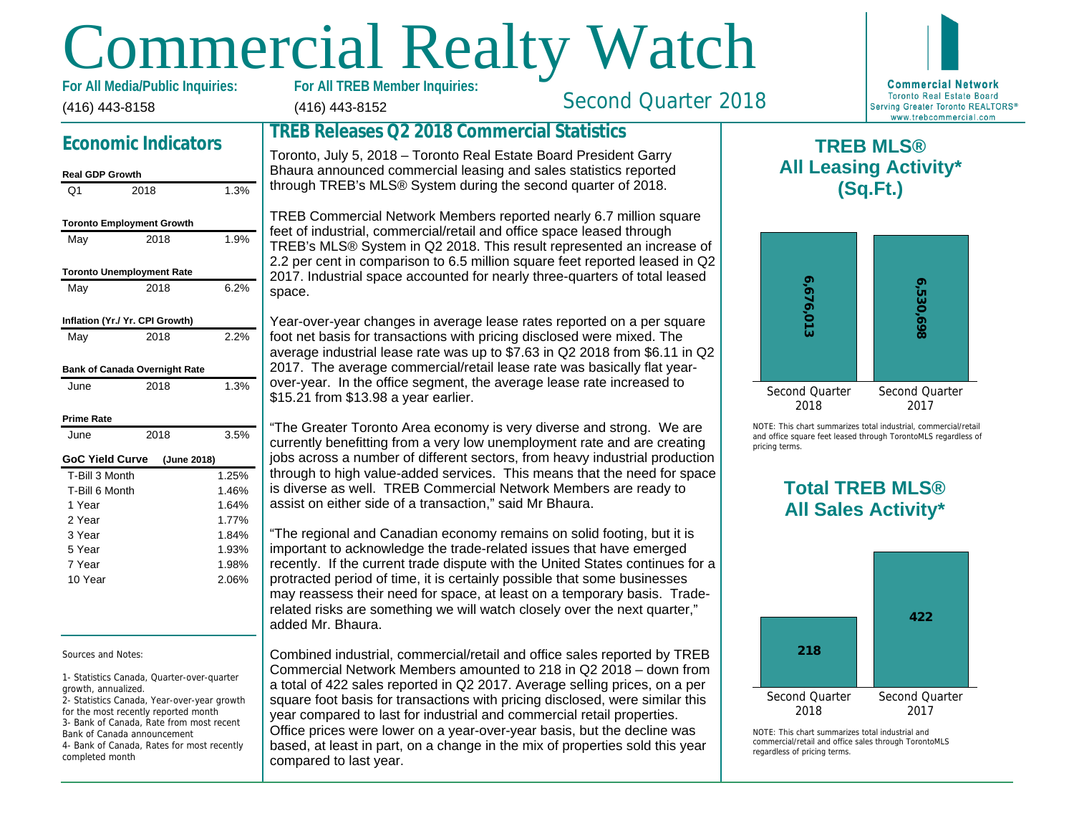# Commercial Realty Watch

(416) 443-8158 For All Media/Public Inquiries:

# Economic Indicators

# Real GDP Growth

| וואטוט זעט וואס        |                                  |       |
|------------------------|----------------------------------|-------|
| O <sub>1</sub>         | 2018                             | 1.3%  |
|                        | <b>Toronto Employment Growth</b> |       |
| May                    | 2018                             | 1.9%  |
|                        | <b>Toronto Unemployment Rate</b> |       |
| May                    | 2018                             | 6.2%  |
|                        | Inflation (Yr./ Yr. CPI Growth)  |       |
| May                    | 2018                             | 2.2%  |
|                        | Bank of Canada Overnight Rate    |       |
| June                   | 2018                             | 1.3%  |
| <b>Prime Rate</b>      |                                  |       |
| June                   | 2018                             | 3.5%  |
| <b>GoC Yield Curve</b> | (June 2018)                      |       |
| T-Bill 3 Month         |                                  | 1.25% |
| T-Bill 6 Month         |                                  | 1.46% |
| 1 Year                 |                                  | 1.64% |
| 2 Year                 |                                  | 1.77% |
| 3 Year                 |                                  | 1.84% |
| 5 Year                 |                                  | 1.93% |
| 7 Year                 |                                  | 1.98% |
| 10 Year                |                                  | 2.06% |
|                        |                                  |       |

Sources and Notes:

1- Statistics Canada, Quarter-over-quarter growth, annualized.

2- Statistics Canada, Year-over-year growth for the most recently reported month 3- Bank of Canada, Rate from most recent Bank of Canada announcement 4- Bank of Canada, Rates for most recently completed month

(416) 443-8152

Second Quarter 2018

## TREB Releases Q2 2018 Commercial Statistics

Toronto, July 5, 2018 – Toronto Real Estate Board President Garry Bhaura announced commercial leasing and sales statistics reported through TREB's MLS® System during the second quarter of 2018.

TREB Commercial Network Members reported nearly 6.7 million square feet of industrial, commercial/retail and office space leased through TREB's MLS® System in Q2 2018. This result represented an increase of 2.2 per cent in comparison to 6.5 million square feet reported leased in Q2 2017. Industrial space accounted for nearly three-quarters of total leased space.

Year-over-year changes in average lease rates reported on a per square foot net basis for transactions with pricing disclosed were mixed. The average industrial lease rate was up to \$7.63 in Q2 2018 from \$6.11 in Q2 2017. The average commercial/retail lease rate was basically flat yearover-year. In the office segment, the average lease rate increased to \$15.21 from \$13.98 a year earlier.

"The Greater Toronto Area economy is very diverse and strong. We are currently benefitting from a very low unemployment rate and are creating jobs across a number of different sectors, from heavy industrial production through to high value-added services. This means that the need for space is diverse as well. TREB Commercial Network Members are ready to assist on either side of a transaction," said Mr Bhaura.

"The regional and Canadian economy remains on solid footing, but it is important to acknowledge the trade-related issues that have emerged recently. If the current trade dispute with the United States continues for a protracted period of time, it is certainly possible that some businesses may reassess their need for space, at least on a temporary basis. Traderelated risks are something we will watch closely over the next quarter," added Mr. Bhaura.

Combined industrial, commercial/retail and office sales reported by TREB Commercial Network Members amounted to 218 in Q2 2018 – down from a total of 422 sales reported in Q2 2017. Average selling prices, on a per square foot basis for transactions with pricing disclosed, were similar this year compared to last for industrial and commercial retail properties. Office prices were lower on a year-over-year basis, but the decline was based, at least in part, on a change in the mix of properties sold this year compared to last year.

NOTE: This chart sur and office square fee pricing terms.

> Total All Sa

All Lea

 $\mathsf T$ 

 $NOTF: This chart sur$ commercial/retail and regardless of pricing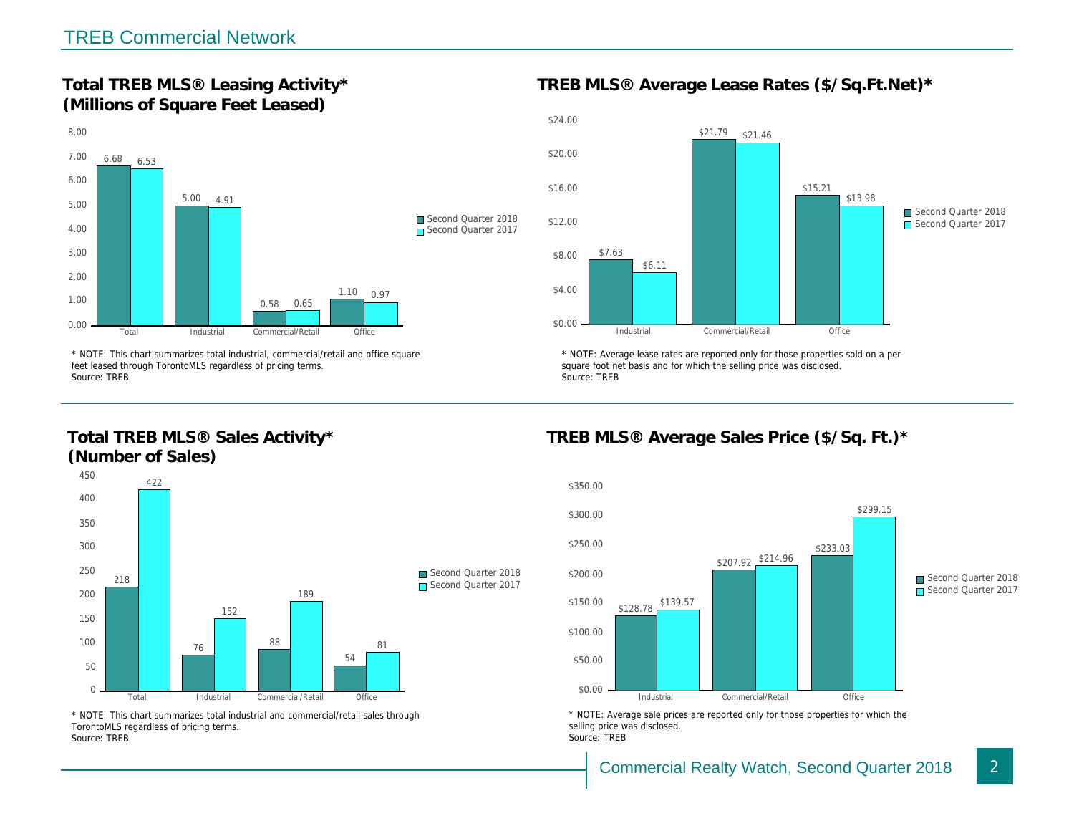Total TREB MLS® Leasing Activity\* (Millions of Square Feet Leased)

TREB MLS® Average Lease Rates (\$/So.

\* NOTE: This chart summarizes total industrial, commercial/retail and office square feet leased through TorontoMLS regardless of pricing terms. Source: TREB

Total TREB MLS® Sales Activity\* (Number of Sales)

\* NOTE: Average lease rates are reported only for those proper square foot net basis and for which the selling price was disclos Source: TREB

TREB MLS® Average Sales Price (\$/So.

\* NOTE: This chart summarizes total industrial and commercial/retail sales through TorontoMLS regardless of pricing terms. Source: TREB

\* NOTE: Average sale prices are reported only for those prope selling price was disclosed. Source: TREB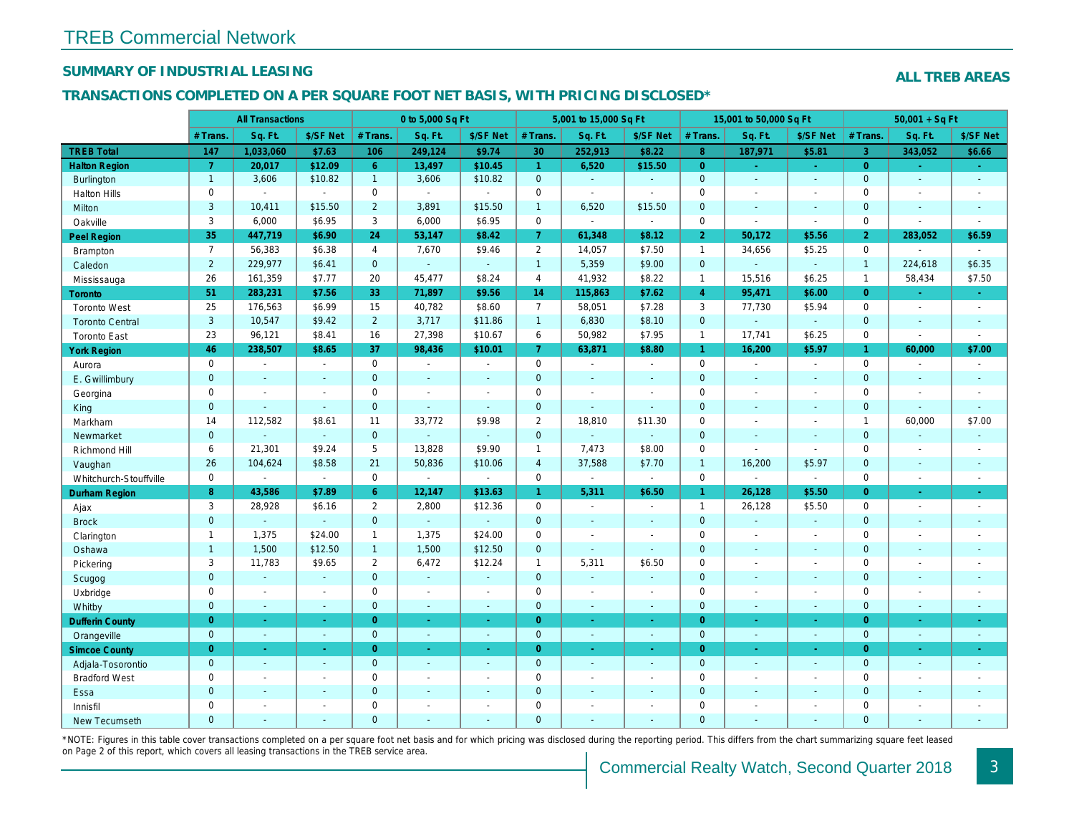## SUMMARY OF INDUSTRIAL LEASING

### TRANSACTIONS COMPLETED ON A PER SQUARE FOOT NET BASIS, WITH PRICING DISCLOSED\*

|                        |                | <b>All Transactions</b>  |                          |                | 0 to 5,000 Sq Ft |                          |                     | 5,001 to 15,000 Sq Ft |                |                | 15,001 to 50,000 Sq Ft |                  |
|------------------------|----------------|--------------------------|--------------------------|----------------|------------------|--------------------------|---------------------|-----------------------|----------------|----------------|------------------------|------------------|
|                        | # Trans.       | Sq. Ft.                  | \$/SF Net                | # Trans.       | Sq. Ft.          | \$/SF Net                | # Trans.            | Sq. Ft.               | \$/SF Net      | # Trans.       | Sq. Ft.                | \$/SF Ne         |
| <b>TREB Total</b>      | 147            | 1,033,060                | \$7.63                   | 106            | 249,124          | \$9.74                   | 30                  | 252,913               | \$8.22         | 8 <sup>°</sup> | 187,971                | \$5.81           |
| <b>Halton Region</b>   | $\overline{7}$ | 20,017                   | \$12.09                  | 6 <sup>1</sup> | 13,497           | \$10.45                  | $\mathbf{1}$        | 6,520                 | \$15.50        | $\overline{0}$ | $\omega$               | $\omega_{\rm c}$ |
| Burlington             | $\mathbf{1}$   | 3,606                    | \$10.82                  | $\mathbf{1}$   | 3,606            | \$10.82                  | $\mathbf{0}$        | $\omega$              | ÷.             | $\overline{0}$ | $\omega$               | $\omega$         |
| <b>Halton Hills</b>    | 0              |                          | $\blacksquare$           | 0              | $\sim$           |                          | $\mathbf 0$         | $\blacksquare$        | $\overline{a}$ | $\mathbf 0$    | $\blacksquare$         | $\blacksquare$   |
| Milton                 | 3              | 10,411                   | \$15.50                  | $\overline{2}$ | 3,891            | \$15.50                  | $\mathbf{1}$        | 6,520                 | \$15.50        | $\mathbf{0}$   | $\blacksquare$         | $\sim$           |
| Oakville               | 3              | 6,000                    | \$6.95                   | 3              | 6,000            | \$6.95                   | $\mathsf{O}$        | ä,                    | $\omega$       | $\mathbf 0$    | $\blacksquare$         | $\blacksquare$   |
| Peel Region            | 35             | 447,719                  | \$6.90                   | 24             | 53,147           | \$8.42                   | $\mathbf{7}$        | 61,348                | \$8.12         | $\overline{2}$ | 50,172                 | \$5.56           |
| <b>Brampton</b>        | $\overline{7}$ | 56,383                   | \$6.38                   | $\overline{4}$ | 7,670            | \$9.46                   | $\overline{2}$      | 14,057                | \$7.50         | $\mathbf{1}$   | 34,656                 | \$5.25           |
| Caledon                | $\overline{2}$ | 229,977                  | \$6.41                   | $\mathbf{0}$   | $\omega$         | $\omega$                 | $\mathbf{1}$        | 5,359                 | \$9.00         | $\mathbf 0$    | $\omega$               | $\blacksquare$   |
| Mississauga            | 26             | 161,359                  | \$7.77                   | 20             | 45,477           | \$8.24                   | $\overline{4}$      | 41,932                | \$8.22         | $\mathbf{1}$   | 15,516                 | \$6.25           |
| Toronto                | 51             | 283,231                  | \$7.56                   | 33             | 71,897           | \$9.56                   | 14                  | 115,863               | \$7.62         | $\overline{4}$ | 95,471                 | \$6.00           |
| <b>Toronto West</b>    | 25             | 176,563                  | \$6.99                   | 15             | 40,782           | \$8.60                   | $\overline{7}$      | 58,051                | \$7.28         | 3              | 77,730                 | \$5.94           |
| <b>Toronto Central</b> | 3              | 10,547                   | \$9.42                   | $2^{\circ}$    | 3,717            | \$11.86                  | $\mathbf{1}$        | 6,830                 | \$8.10         | $\mathbf 0$    | $\omega$               | $\blacksquare$   |
| <b>Toronto East</b>    | 23             | 96,121                   | \$8.41                   | 16             | 27,398           | \$10.67                  | 6                   | 50,982                | \$7.95         | $\mathbf{1}$   | 17,741                 | \$6.25           |
| <b>York Region</b>     | 46             | 238,507                  | \$8.65                   | 37             | 98,436           | \$10.01                  | $\mathbf{7}$        | 63,871                | \$8.80         | $\mathbf{1}$   | 16,200                 | \$5.97           |
| Aurora                 | 0              | $\blacksquare$           | $\sim$                   | 0              | $\sim$           | $\blacksquare$           | $\mathsf{O}$        | $\blacksquare$        | $\sim$         | $\mathbf 0$    | $\omega$               | $\sim$           |
| E. Gwillimbury         | $\mathbf{0}$   | $\sim$                   | $\sim$                   | $\mathbf 0$    | $\blacksquare$   | $\blacksquare$           | $\mathbf{0}$        | $\blacksquare$        | $\blacksquare$ | $\mathbf{0}$   | $\sim$                 | $\blacksquare$   |
| Georgina               | $\mathbf{0}$   | $\overline{\phantom{a}}$ | $\overline{\phantom{a}}$ | $\mathbf 0$    | $\sim$           | $\overline{\phantom{a}}$ | $\mathbf 0$         | $\sim$                | $\blacksquare$ | $\mathbf 0$    | $\blacksquare$         | $\blacksquare$   |
| King                   | $\mathbf 0$    | $\sim$                   | $\omega$                 | $\mathbf 0$    | $\mathbf{u}$     | $\sim$                   | $\pmb{0}$           | ä,                    | ä,             | $\mathbf{0}$   | $\omega$               | $\sim$           |
| Markham                | 14             | 112,582                  | \$8.61                   | 11             | 33,772           | \$9.98                   | $\overline{2}$      | 18,810                | \$11.30        | $\mathbf 0$    | $\blacksquare$         | $\blacksquare$   |
| Newmarket              | $\mathbf{0}$   |                          | $\omega$                 | $\mathbf 0$    |                  | $\omega$                 | $\pmb{0}$           | $\blacksquare$        | ä,             | $\mathbf{0}$   | $\blacksquare$         | $\sim$           |
| Richmond Hill          | 6              | 21,301                   | \$9.24                   | 5              | 13,828           | \$9.90                   | $\mathbf{1}$        | 7,473                 | \$8.00         | $\mathbf 0$    | $\blacksquare$         | $\blacksquare$   |
| Vaughan                | 26             | 104,624                  | \$8.58                   | 21             | 50,836           | \$10.06                  | $\overline{4}$      | 37,588                | \$7.70         | $\mathbf{1}$   | 16,200                 | \$5.97           |
| Whitchurch-Stouffville | 0              | $\sim$                   | $\blacksquare$           | $\mathbf 0$    | $\blacksquare$   | $\blacksquare$           | $\mathsf{O}$        | $\blacksquare$        | $\omega$       | $\mathbf 0$    | $\blacksquare$         | $\sim$           |
| Durham Region          | 8              | 43,586                   | \$7.89                   | $6\phantom{1}$ | 12,147           | \$13.63                  | $\mathbf{1}$        | 5,311                 | \$6.50         | $\mathbf{1}$   | 26,128                 | \$5.50           |
| Ajax                   | 3              | 28,928                   | \$6.16                   | $\overline{2}$ | 2,800            | \$12.36                  | $\mathbf 0$         | $\blacksquare$        | $\blacksquare$ | $\mathbf{1}$   | 26,128                 | \$5.50           |
| <b>Brock</b>           | $\mathbf{0}$   | $\omega$                 | $\sim$                   | $\mathbf 0$    | $\omega$         | $\omega$                 | $\mathbf 0$         | $\omega$              | $\omega$       | $\mathbf 0$    | $\omega$               | $\blacksquare$   |
| Clarington             | $\mathbf{1}$   | 1,375                    | \$24.00                  | $\mathbf{1}$   | 1,375            | \$24.00                  | $\mathbf 0$         | $\blacksquare$        | $\blacksquare$ | $\mathbf 0$    | $\blacksquare$         | $\blacksquare$   |
| Oshawa                 | $\mathbf{1}$   | 1,500                    | \$12.50                  | $\mathbf{1}$   | 1,500            | \$12.50                  | $\pmb{0}$           | $\blacksquare$        | $\mathbf{r}$   | $\mathbf 0$    | $\omega$               | $\sim$           |
| Pickering              | 3              | 11,783                   | \$9.65                   | 2              | 6,472            | \$12.24                  | $\mathbf{1}$        | 5,311                 | \$6.50         | $\mathbf 0$    | $\blacksquare$         | $\blacksquare$   |
| Scugog                 | $\mathbf{0}$   | $\sim$                   | $\omega$                 | $\mathbf 0$    | $\omega$         | ä,                       | $\mathbf{0}$        | $\omega$              | ä,             | $\mathbf{0}$   | $\sim$                 | $\blacksquare$   |
| Uxbridge               | 0              | $\blacksquare$           | $\blacksquare$           | $\mathbf 0$    | $\blacksquare$   | $\blacksquare$           | $\mathbf 0$         | $\blacksquare$        | $\blacksquare$ | $\mathbf 0$    | $\blacksquare$         | $\blacksquare$   |
| Whitby                 | $\overline{0}$ | $\sim$                   | $\sim$                   | $\mathbf{0}$   | $\sim$           | $\sim$                   | $\mathbf{0}$        | $\blacksquare$        | $\omega$       | $\mathbf{0}$   | $\omega$               | $\blacksquare$   |
| <b>Dufferin County</b> | $\overline{0}$ | $\sim$                   | $\sim$                   | $\overline{0}$ | $\bullet$        | $\sim$                   | $\overline{0}$      | $\blacksquare$        | $\blacksquare$ | $\overline{0}$ | $\blacksquare$         | $\sim$           |
| Orangeville            | $\overline{0}$ | $\omega$                 | $\sim$                   | $\overline{0}$ | ◆                | $\omega$ .               | $\overline{0}$      | $\omega$              | ¥.             | $\mathbf{0}$   | $\omega$               | $\sim$           |
| <b>Simcoe County</b>   | $\overline{0}$ | $\sim$                   | $\sim$                   | $\overline{0}$ | $\sim$           | $\omega$                 | $\overline{0}$      | ÷.                    | ÷.             | $\overline{0}$ | ÷.                     | $\omega_{\rm c}$ |
| Adjala-Tosorontio      | $\overline{0}$ | $\omega$                 | $\sim$                   | $\overline{0}$ | $\mathbf{r}$     | $\mathbf{r}$             | $\mathbf{0}$        | $\blacksquare$        | $\mathbf{r}$   | $\mathbf{0}$   | $\mathbf{r}$           | $\sim$           |
| <b>Bradford West</b>   | 0              | $\overline{\phantom{a}}$ | $\overline{\phantom{a}}$ | $\mathsf 0$    | $\blacksquare$   | $\blacksquare$           | $\mathsf{O}\xspace$ | $\overline{a}$        | $\overline{a}$ | $\mathbf 0$    | $\blacksquare$         | $\blacksquare$   |
| Essa                   | $\mathbf{0}$   | $\sim$                   |                          | $\mathbf{0}$   | $\blacksquare$   | ä,                       | $\mathbf{0}$        | $\blacksquare$        | ä,             | $\mathbf{0}$   | $\omega$               | $\blacksquare$   |
| Innisfil               | 0              | $\overline{\phantom{a}}$ | $\overline{\phantom{a}}$ | $\mathbf 0$    | $\sim$           | $\blacksquare$           | $\mathbf 0$         | $\blacksquare$        | $\blacksquare$ | $\mathbf 0$    | $\blacksquare$         | $\blacksquare$   |
| New Tecumseth          | $\mathbf{0}$   | $\sim$                   |                          | $\overline{0}$ | $\blacksquare$   | ÷.                       | $\mathbf{0}$        | $\blacksquare$        | ۰              | $\mathbf{0}$   | $\omega$               | $\blacksquare$   |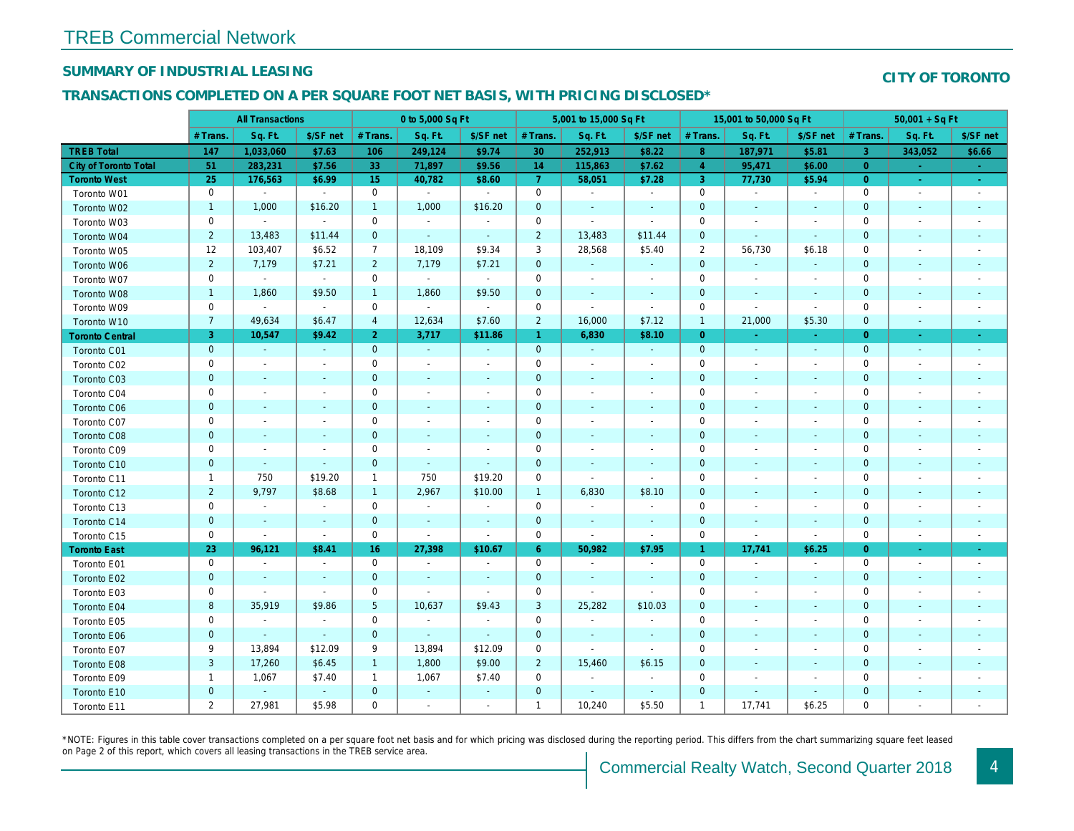## SUMMARY OF INDUSTRIAL LEASING

### TRANSACTIONS COMPLETED ON A PER SQUARE FOOT NET BASIS, WITH PRICING DISCLOSED\*

|                              | <b>All Transactions</b> |                          | 0 to 5,000 Sq Ft         |                |                |                          | 5,001 to 15,000 Sq Ft |                          |                          | 15,001 to 50,000 Sq Ft |                          |                          |
|------------------------------|-------------------------|--------------------------|--------------------------|----------------|----------------|--------------------------|-----------------------|--------------------------|--------------------------|------------------------|--------------------------|--------------------------|
|                              | # Trans.                | Sq. Ft.                  | \$/SF net                | # Trans.       | Sq. Ft.        | \$/SF net                | # Trans.              | Sq. Ft.                  | \$/SF net                | # Trans.               | Sq. Ft.                  | \$/SF ne                 |
| <b>TREB Total</b>            | 147                     | 1,033,060                | \$7.63                   | 106            | 249,124        | \$9.74                   | 30                    | 252,913                  | \$8.22                   | 8                      | 187,971                  | \$5.81                   |
| <b>City of Toronto Total</b> | 51                      | 283,231                  | \$7.56                   | 33             | 71,897         | \$9.56                   | 14                    | 115,863                  | \$7.62                   | $\overline{4}$         | 95,471                   | \$6.00                   |
| <b>Toronto West</b>          | 25                      | 176,563                  | \$6.99                   | 15             | 40,782         | \$8.60                   | $\overline{7}$        | 58,051                   | \$7.28                   | 3                      | 77,730                   | \$5.94                   |
| Toronto W01                  | 0                       | $\blacksquare$           | $\sim$                   | $\mathbf 0$    | $\blacksquare$ | $\sim$                   | $\mathbf 0$           | $\blacksquare$           | $\blacksquare$           | $\mathbf 0$            | $\blacksquare$           | $\sim$                   |
| Toronto W02                  | $\mathbf{1}$            | 1,000                    | \$16.20                  | $\mathbf{1}$   | 1,000          | \$16.20                  | $\mathbf 0$           | $\blacksquare$           | $\blacksquare$           | $\mathbf 0$            | $\overline{\phantom{a}}$ | $\sim$                   |
| Toronto W03                  | 0                       | $\sim$                   | $\sim$                   | $\mathbf 0$    | $\blacksquare$ | $\blacksquare$           | $\mathbf 0$           | $\blacksquare$           | $\mathbf{r}$             | 0                      | $\overline{\phantom{a}}$ | $\blacksquare$           |
| Toronto W04                  | $\overline{2}$          | 13,483                   | \$11.44                  | $\mathbf 0$    | $\blacksquare$ | $\sim$                   | $\overline{2}$        | 13,483                   | \$11.44                  | $\mathbf{0}$           | $\sim$                   | $\blacksquare$           |
| Toronto W05                  | 12                      | 103,407                  | \$6.52                   | $\overline{7}$ | 18,109         | \$9.34                   | 3                     | 28,568                   | \$5.40                   | $\overline{2}$         | 56,730                   | \$6.18                   |
| Toronto W06                  | $\overline{2}$          | 7,179                    | \$7.21                   | $\overline{2}$ | 7,179          | \$7.21                   | $\mathbf 0$           | $\blacksquare$           | $\blacksquare$           | $\mathbf{0}$           | $\blacksquare$           | $\overline{\phantom{a}}$ |
| Toronto W07                  | $\mathbf 0$             | $\bullet$                | $\sim$                   | $\mathbf 0$    | $\sim$         | $\sim$                   | $\mathbf 0$           | $\blacksquare$           | $\blacksquare$           | $\mathbf 0$            | $\sim$                   | $\overline{\phantom{a}}$ |
| Toronto W08                  | $\mathbf{1}$            | 1,860                    | \$9.50                   | $\overline{1}$ | 1,860          | \$9.50                   | $\mathbf 0$           | $\blacksquare$           | $\blacksquare$           | $\mathbf 0$            | $\sim$                   | $\overline{\phantom{a}}$ |
| Toronto W09                  | 0                       | $\blacksquare$           | $\sim$                   | $\mathbf 0$    | $\blacksquare$ | $\sim$                   | $\mathbf 0$           | $\blacksquare$           | $\blacksquare$           | 0                      | $\sim$                   | $\blacksquare$           |
| Toronto W10                  | $\overline{7}$          | 49,634                   | \$6.47                   | $\overline{4}$ | 12,634         | \$7.60                   | $\overline{2}$        | 16,000                   | \$7.12                   | $\overline{1}$         | 21,000                   | \$5.30                   |
| <b>Toronto Central</b>       | 3                       | 10,547                   | \$9.42                   | 2 <sup>1</sup> | 3,717          | \$11.86                  | $\overline{1}$        | 6,830                    | \$8.10                   | $\overline{0}$         | $\sim$                   | $\sim$                   |
| Toronto C01                  | $\pmb{0}$               | $\sim$                   | $\sim$                   | $\mathbf 0$    | $\sim$         | $\omega$                 | $\mathbf{0}$          | $\omega$                 | $\sim$                   | $\mathbf{0}$           | $\blacksquare$           | $\bullet$                |
| Toronto C02                  | 0                       | $\blacksquare$           | $\blacksquare$           | $\mathbf 0$    | $\blacksquare$ | $\overline{\phantom{a}}$ | $\mathbf 0$           | $\blacksquare$           | $\blacksquare$           | 0                      | $\overline{\phantom{a}}$ | $\overline{\phantom{a}}$ |
| Toronto C03                  | $\mathbf 0$             | $\sim$                   | $\overline{\phantom{a}}$ | $\mathbf 0$    | $\blacksquare$ | $\blacksquare$           | $\mathbf 0$           | $\blacksquare$           | $\blacksquare$           | $\mathbf 0$            | $\sim$                   | $\sim$                   |
| Toronto C04                  | 0                       | $\sim$                   |                          | $\mathbf 0$    | $\blacksquare$ | $\overline{\phantom{a}}$ | 0                     | $\blacksquare$           | $\blacksquare$           | 0                      | $\overline{\phantom{a}}$ | $\overline{\phantom{a}}$ |
| Toronto C06                  | $\mathbf 0$             | $\sim$                   | $\sim$                   | $\mathbf 0$    | $\blacksquare$ | $\blacksquare$           | $\mathbf 0$           | $\blacksquare$           | $\sim$                   | $\mathbf 0$            | $\overline{\phantom{a}}$ | $\blacksquare$           |
| Toronto C07                  | $\mathbf 0$             | $\overline{a}$           |                          | $\mathbf 0$    | $\blacksquare$ | $\blacksquare$           | $\mathbf 0$           | $\blacksquare$           | $\blacksquare$           | $\mathbf 0$            |                          | $\blacksquare$           |
| Toronto C08                  | $\mathbf{0}$            | $\sim$                   | $\sim$                   | $\mathbf{0}$   | $\blacksquare$ | $\blacksquare$           | $\mathbf 0$           | $\blacksquare$           | $\overline{a}$           | $\mathbf 0$            | $\sim$                   | $\overline{\phantom{a}}$ |
| Toronto C09                  | 0                       | $\overline{a}$           | $\sim$                   | $\mathbf 0$    | $\sim$         | $\blacksquare$           | $\mathbf 0$           | $\blacksquare$           | $\overline{a}$           | $\mathbf 0$            | $\overline{\phantom{a}}$ | $\sim$                   |
| Toronto C10                  | $\mathbf{0}$            | $\sim$                   | $\sim$                   | $\overline{0}$ | $\sim$         | $\blacksquare$           | $\mathbf 0$           | $\blacksquare$           | $\blacksquare$           | $\mathbf 0$            | $\blacksquare$           | $\overline{\phantom{a}}$ |
| Toronto C11                  | $\mathbf{1}$            | 750                      | \$19.20                  | $\mathbf{1}$   | 750            | \$19.20                  | $\mathbf 0$           | $\sim$                   | $\sim$                   | 0                      |                          | $\overline{\phantom{a}}$ |
| Toronto C12                  | $\overline{2}$          | 9,797                    | \$8.68                   | $\mathbf{1}$   | 2,967          | \$10.00                  | $\mathbf{1}$          | 6,830                    | \$8.10                   | $\mathbf 0$            | $\overline{\phantom{a}}$ |                          |
| Toronto C13                  | 0                       | $\overline{\phantom{a}}$ | $\blacksquare$           | $\mathbf 0$    | $\blacksquare$ | $\overline{\phantom{a}}$ | $\mathbf 0$           | $\overline{\phantom{a}}$ | $\blacksquare$           | 0                      |                          |                          |
| Toronto C14                  | $\mathbf 0$             | $\blacksquare$           | $\sim$                   | $\mathbf 0$    | $\blacksquare$ | $\blacksquare$           | $\mathbf 0$           | $\blacksquare$           | $\sim$                   | $\pmb{0}$              | $\blacksquare$           | $\blacksquare$           |
| Toronto C15                  | 0                       | $\blacksquare$           | $\sim$                   | 0              | $\blacksquare$ | $\blacksquare$           | $\mathbf 0$           | $\overline{\phantom{a}}$ | $\blacksquare$           | 0                      | $\blacksquare$           | $\blacksquare$           |
| <b>Toronto East</b>          | 23                      | 96,121                   | \$8.41                   | 16             | 27,398         | \$10.67                  | $6^{\circ}$           | 50,982                   | \$7.95                   | $\mathbf{1}$           | 17,741                   | \$6.25                   |
| Toronto E01                  | 0                       | $\sim$                   | $\sim$                   | $\mathbf 0$    | $\sim$         | $\overline{\phantom{a}}$ | $\mathbf 0$           | $\overline{\phantom{a}}$ | $\blacksquare$           | $\mathbf 0$            | $\overline{\phantom{a}}$ | $\sim$                   |
| Toronto E02                  | $\mathbf{0}$            | $\sim$                   | $\sim$                   | $\mathbf{0}$   | $\omega$       | $\blacksquare$           | $\mathbf 0$           | $\sim$                   | $\blacksquare$           | $\mathbf 0$            | $\blacksquare$           | $\blacksquare$           |
| Toronto E03                  | 0                       | $\sim$                   | $\sim$                   | $\mathbf 0$    | $\overline{a}$ | $\sim$                   | $\mathsf{O}\xspace$   | $\blacksquare$           | ÷,                       | $\mathbf 0$            | $\overline{\phantom{a}}$ | $\blacksquare$           |
| Toronto E04                  | 8                       | 35,919                   | \$9.86                   | $\sqrt{5}$     | 10,637         | \$9.43                   | $\mathbf{3}$          | 25,282                   | \$10.03                  | $\mathbf 0$            | $\blacksquare$           | $\blacksquare$           |
| Toronto E05                  | 0                       | $\blacksquare$           | $\blacksquare$           | $\mathbf 0$    | $\sim$         | $\blacksquare$           | $\mathsf{O}\xspace$   | $\blacksquare$           | ÷,                       | $\mathbf 0$            | $\overline{\phantom{a}}$ | $\overline{\phantom{a}}$ |
| Toronto E06                  | $\mathbf{0}$            | $\sim$                   | $\sim$                   | $\mathbf{0}$   | $\blacksquare$ | $\blacksquare$           | $\mathbf 0$           | $\blacksquare$           | $\blacksquare$           | $\mathbf 0$            | $\blacksquare$           | $\blacksquare$           |
| Toronto E07                  | 9                       | 13,894                   | \$12.09                  | 9              | 13,894         | \$12.09                  | $\mathbf 0$           | $\blacksquare$           | $\blacksquare$           | $\mathbf 0$            |                          | $\blacksquare$           |
| Toronto E08                  | 3                       | 17,260                   | \$6.45                   | $\mathbf{1}$   | 1,800          | \$9.00                   | $\overline{2}$        | 15,460                   | \$6.15                   | $\mathbf 0$            | $\blacksquare$           | $\blacksquare$           |
| Toronto E09                  | $\mathbf{1}$            | 1,067                    | \$7.40                   | $\mathbf{1}$   | 1,067          | \$7.40                   | $\mathbf 0$           | $\blacksquare$           | $\overline{\phantom{a}}$ | $\mathbf 0$            | $\overline{\phantom{a}}$ |                          |
| Toronto E10                  | $\mathbf 0$             | $\sim$                   | $\sim$                   | $\mathbf 0$    | $\blacksquare$ | $\overline{\phantom{a}}$ | $\mathbf 0$           | $\blacksquare$           | $\blacksquare$           | $\pmb{0}$              | $\blacksquare$           | $\blacksquare$           |
| Toronto E11                  | $\overline{2}$          | 27,981                   | \$5.98                   | $\mathbf 0$    | $\blacksquare$ | $\blacksquare$           | $\mathbf{1}$          | 10,240                   | \$5.50                   | $\overline{1}$         | 17,741                   | \$6.25                   |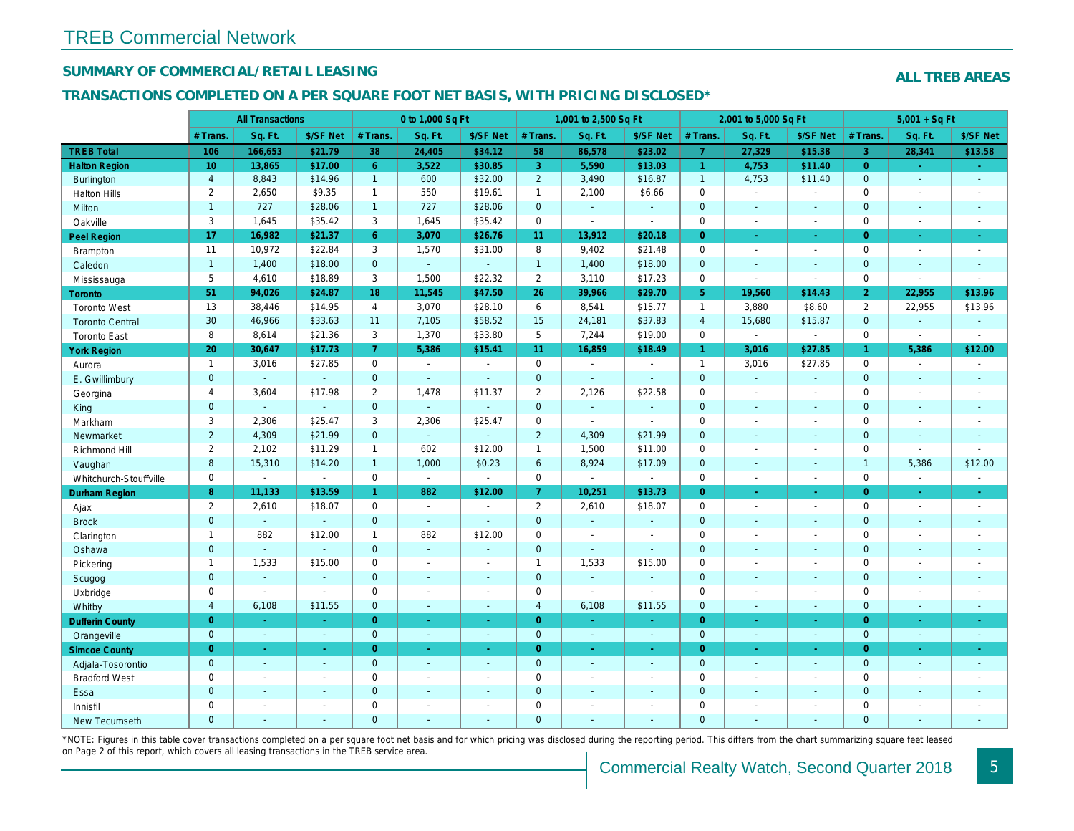## SUMMARY OF COMMERCIAL/RETAIL LEASING

### TRANSACTIONS COMPLETED ON A PER SQUARE FOOT NET BASIS, WITH PRICING DISCLOSED\*

|                        |                         | <b>All Transactions</b> |                |                | 0 to 1,000 Sq Ft |                          |                | 1,001 to 2,500 Sq Ft  |                  |                      | 2,001 to 5,000 Sq Ft |                  |
|------------------------|-------------------------|-------------------------|----------------|----------------|------------------|--------------------------|----------------|-----------------------|------------------|----------------------|----------------------|------------------|
|                        | # Trans.                | Sq. Ft.                 | \$/SF Net      | # Trans.       | Sq. Ft.          | \$/SF Net                | # Trans.       | Sq. Ft.               | \$/SF Net        | # Trans.             | Sq. Ft.              | \$/SF Ne         |
| <b>TREB Total</b>      | 106                     | 166,653                 | \$21.79        | 38             | 24,405           | \$34.12                  | 58             | 86,578                | \$23.02          | $\overline{7}$       | 27,329               | \$15.38          |
| <b>Halton Region</b>   | 10 <sup>°</sup>         | 13,865                  | \$17.00        | 6 <sup>1</sup> | 3.522            | \$30.85                  | 3              | 5,590                 | \$13.03          | $\blacktriangleleft$ | 4,753                | \$11.40          |
| Burlington             | $\overline{4}$          | 8,843                   | \$14.96        | $\mathbf{1}$   | 600              | \$32.00                  | $\overline{2}$ | 3,490                 | \$16.87          | $\mathbf{1}$         | 4,753                | \$11.40          |
| <b>Halton Hills</b>    | $\overline{2}$          | 2,650                   | \$9.35         | $\mathbf{1}$   | 550              | \$19.61                  | $\mathbf{1}$   | 2,100                 | \$6.66           | $\mathbf 0$          | ä,                   | $\blacksquare$   |
| Milton                 | $\mathbf{1}$            | 727                     | \$28.06        | $\mathbf{1}$   | 727              | \$28.06                  | $\mathbf{0}$   | $\omega_{\rm c}$      | ä,               | $\mathbf 0$          | $\omega$             | $\sim$           |
| Oakville               | 3                       | 1,645                   | \$35.42        | 3              | 1,645            | \$35.42                  | $\mathbf 0$    | $\tilde{\phantom{a}}$ | $\sim$           | $\mathbf 0$          | $\blacksquare$       | $\sim$           |
| Peel Region            | 17                      | 16,982                  | \$21.37        | 6 <sup>1</sup> | 3,070            | \$26.76                  | 11             | 13,912                | \$20.18          | $\overline{0}$       | ä,                   | $\omega_{\rm c}$ |
| <b>Brampton</b>        | 11                      | 10,972                  | \$22.84        | 3              | 1,570            | \$31.00                  | 8              | 9,402                 | \$21.48          | $\mathbf 0$          | $\blacksquare$       | $\sim$           |
| Caledon                | $\overline{1}$          | 1,400                   | \$18.00        | $\overline{0}$ | $\omega$         | $\sim$                   | $\mathbf{1}$   | 1,400                 | \$18.00          | $\mathbf{0}$         | $\blacksquare$       | $\blacksquare$   |
| Mississauga            | 5                       | 4,610                   | \$18.89        | 3              | 1,500            | \$22.32                  | $\overline{2}$ | 3,110                 | \$17.23          | $\mathbf 0$          | $\blacksquare$       | $\blacksquare$   |
| <b>Toronto</b>         | 51                      | 94,026                  | \$24.87        | 18             | 11,545           | \$47.50                  | 26             | 39,966                | \$29.70          | 5 <sup>5</sup>       | 19,560               | \$14.43          |
| <b>Toronto West</b>    | 13                      | 38,446                  | \$14.95        | $\overline{4}$ | 3,070            | \$28.10                  | 6              | 8,541                 | \$15.77          | $\mathbf{1}$         | 3,880                | \$8.60           |
| <b>Toronto Central</b> | 30                      | 46,966                  | \$33.63        | 11             | 7,105            | \$58.52                  | 15             | 24,181                | \$37.83          | $\overline{4}$       | 15,680               | \$15.87          |
| <b>Toronto East</b>    | 8                       | 8,614                   | \$21.36        | 3              | 1,370            | \$33.80                  | 5              | 7,244                 | \$19.00          | $\mathbf 0$          | $\sim$               | $\blacksquare$   |
| <b>York Region</b>     | 20                      | 30,647                  | \$17.73        | $\overline{7}$ | 5,386            | \$15.41                  | 11             | 16,859                | \$18.49          | $\mathbf{1}$         | 3,016                | \$27.85          |
| Aurora                 | $\mathbf{1}$            | 3,016                   | \$27.85        | 0              | $\sim$           | $\sim$                   | 0              | $\sim$                | $\sim$           | $\mathbf{1}$         | 3,016                | \$27.85          |
| E. Gwillimbury         | $\mathbf{0}$            | $\omega$                | $\omega$       | $\overline{0}$ | ä,               | $\sim$                   | $\mathbf 0$    | ä,                    | $\blacksquare$   | $\mathbf{0}$         | $\omega$             | $\sim$           |
| Georgina               | $\overline{4}$          | 3,604                   | \$17.98        | 2              | 1,478            | \$11.37                  | $\overline{2}$ | 2,126                 | \$22.58          | $\mathbf 0$          | $\blacksquare$       | $\sim$           |
| King                   | $\mathbf{0}$            | $\sim$                  | $\blacksquare$ | $\mathbf{0}$   | $\omega$         | $\sim$                   | $\mathbf 0$    | $\blacksquare$        | $\blacksquare$   | $\mathbf{0}$         | $\blacksquare$       | $\sim$           |
| Markham                | 3                       | 2,306                   | \$25.47        | 3              | 2,306            | \$25.47                  | $\pmb{0}$      | $\blacksquare$        | $\sim$           | $\mathbf 0$          | $\overline{a}$       | $\blacksquare$   |
| Newmarket              | $\overline{2}$          | 4,309                   | \$21.99        | $\Omega$       | $\omega$         | ä,                       | $\overline{2}$ | 4,309                 | \$21.99          | $\mathbf{0}$         | $\blacksquare$       | $\blacksquare$   |
| Richmond Hill          | $\overline{2}$          | 2,102                   | \$11.29        | $\mathbf{1}$   | 602              | \$12.00                  | $\mathbf{1}$   | 1,500                 | \$11.00          | $\mathbf 0$          | $\blacksquare$       | $\blacksquare$   |
| Vaughan                | 8                       | 15,310                  | \$14.20        | $\mathbf{1}$   | 1,000            | \$0.23                   | 6              | 8,924                 | \$17.09          | $\mathbf{0}$         | $\omega$             | $\blacksquare$   |
| Whitchurch-Stouffville | $\mathbf 0$             | $\blacksquare$          | $\blacksquare$ | $\mathbf 0$    | $\omega$         | $\blacksquare$           | $\mathbf 0$    | $\blacksquare$        | $\sim$           | $\mathbf 0$          | $\blacksquare$       | $\blacksquare$   |
| <b>Durham Region</b>   | $\bf8$                  | 11,133                  | \$13.59        | $\mathbf{1}$   | 882              | \$12.00                  | $\mathbf{7}$   | 10,251                | \$13.73          | $\overline{0}$       | $\blacksquare$       | $\sim$           |
| Ajax                   | $\overline{2}$          | 2,610                   | \$18.07        | $\mathbf{0}$   | $\sim$           | $\overline{\phantom{a}}$ | $\overline{2}$ | 2,610                 | \$18.07          | $\mathbf 0$          | $\blacksquare$       | $\sim$           |
| <b>Brock</b>           | $\mathbf{0}$            | $\omega$                | $\omega$       | $\mathbf{0}$   | $\sim$           | $\sim$                   | $\mathbf 0$    | $\omega_{\rm c}$      | $\blacksquare$   | $\mathbf 0$          | $\omega$             | $\blacksquare$   |
| Clarington             | $\mathbf{1}$            | 882                     | \$12.00        | $\mathbf{1}$   | 882              | \$12.00                  | 0              | $\blacksquare$        | $\sim$           | $\mathbf 0$          | $\blacksquare$       | $\blacksquare$   |
| Oshawa                 | $\mathbf{0}$            | $\mathbf{r}$            | $\Delta$       | $\overline{0}$ | $\sim$           | $\sim$                   | $\mathbf 0$    | $\omega$              | $\blacksquare$   | $\mathbf{0}$         | $\blacksquare$       | $\sim$           |
| Pickering              | $\mathbf{1}$            | 1,533                   | \$15.00        | $\mathbf 0$    | $\blacksquare$   | $\sim$                   | $\mathbf{1}$   | 1,533                 | \$15.00          | $\mathbf 0$          | $\blacksquare$       | $\blacksquare$   |
| Scugog                 | $\mathbf{0}$            | $\omega$                | $\blacksquare$ | $\mathbf{0}$   | $\Delta$         | $\sim$                   | $\pmb{0}$      | $\omega$              | $\blacksquare$   | $\mathbf{0}$         | $\blacksquare$       | $\blacksquare$   |
| Uxbridge               | $\mathbf 0$             | $\blacksquare$          | $\blacksquare$ | $\mathbf 0$    | $\sim$           | $\sim$                   | $\pmb{0}$      | $\blacksquare$        | $\sim$           | $\mathbf 0$          | $\blacksquare$       | $\blacksquare$   |
| Whitby                 | $\overline{\mathbf{4}}$ | 6,108                   | \$11.55        | $\mathbf{0}$   | $\Delta$         | $\blacksquare$           | $\overline{4}$ | 6,108                 | \$11.55          | $\mathbf{0}$         | $\blacksquare$       | $\blacksquare$   |
| <b>Dufferin County</b> | $\overline{0}$          | $\omega$                | $\omega$       | $\overline{0}$ | $\bullet$        | $\bullet$                | $\overline{0}$ | $\sim$                | $\omega_{\rm c}$ | $\overline{0}$       | $\blacksquare$       | $\bullet$        |
| Orangeville            | $\mathbf{0}$            | $\omega$                | $\sim$         | $\overline{0}$ | $\sim$           | $\sim$                   | $\overline{0}$ | $\sim$                | $\sim$           | $\overline{0}$       | $\omega$             | $\sim$           |
| <b>Simcoe County</b>   | $\overline{0}$          | $\bullet$               | $\sim$         | $\overline{0}$ | $\blacksquare$   | $\bullet$                | $\overline{0}$ | $\blacksquare$        | $\bullet$ .      | $\overline{0}$       | $\blacksquare$       | ÷                |
| Adjala-Tosorontio      | $\mathbf{0}$            | $\sim$                  | $\sim$         | $\overline{0}$ | $\sim$           | $\sim$                   | $\mathbf{0}$   | $\sim$                | $\sim$           | $\mathbf{0}$         | ÷.                   | $\sim$           |
| <b>Bradford West</b>   | $\mathbf 0$             | $\sim$                  | $\blacksquare$ | $\mathbf 0$    | $\sim$           | $\sim$                   | $\mathbf 0$    | $\blacksquare$        | $\sim$           | $\mathbf 0$          | $\blacksquare$       | $\sim$           |
| Essa                   | $\mathbf{0}$            | $\sim$                  | $\sim$         | $\overline{0}$ | $\sim$           | $\sim$                   | $\mathbf 0$    | $\blacksquare$        | $\blacksquare$   | $\mathbf{0}$         | $\blacksquare$       | $\blacksquare$   |
| Innisfil               | $\mathbf 0$             | $\sim$                  | $\sim$         | $\mathbf 0$    | $\sim$           | $\sim$                   | $\pmb{0}$      | $\sim$                | $\blacksquare$   | $\mathbf 0$          | $\blacksquare$       | $\blacksquare$   |
| <b>New Tecumseth</b>   | $\Omega$                | $\sim$                  | ÷.             | $\Omega$       | $\overline{a}$   |                          | $\overline{0}$ | ä,                    | $\blacksquare$   | $\Omega$             | $\blacksquare$       | $\sim$           |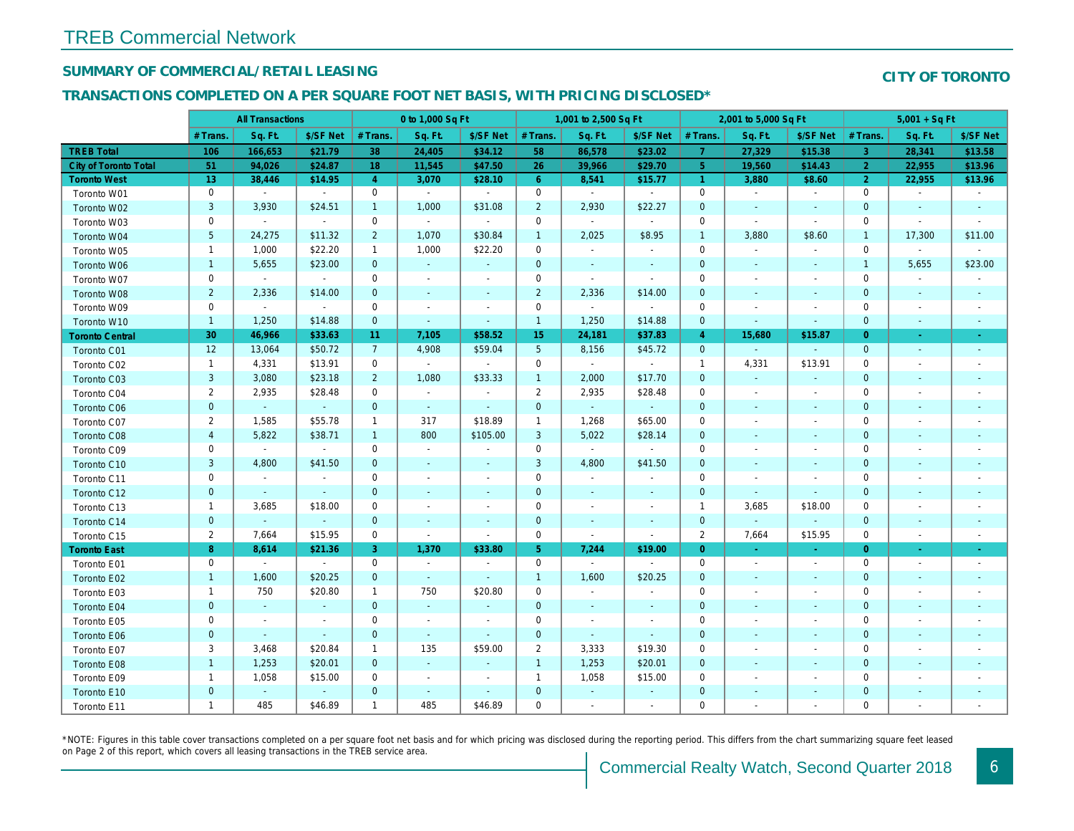## SUMMARY OF COMMERCIAL/RETAIL LEASING

## TRANSACTIONS COMPLETED ON A PER SQUARE FOOT NET BASIS, WITH PRICING DISCLOSED\*

|                              |                 | <b>All Transactions</b> |              |                | 0 to 1,000 Sq Ft         |                          |                 | 1,001 to 2,500 Sq Ft |                |                      | 2,001 to 5,000 Sq Ft     |                          |
|------------------------------|-----------------|-------------------------|--------------|----------------|--------------------------|--------------------------|-----------------|----------------------|----------------|----------------------|--------------------------|--------------------------|
|                              | # Trans.        | Sq. Ft.                 | \$/SF Net    | # Trans.       | Sq. Ft.                  | \$/SF Net                | # Trans.        | Sq. Ft.              | \$/SF Net      | # Trans.             | Sq. Ft.                  | \$/SF Ne                 |
| <b>TREB Total</b>            | 106             | 166,653                 | \$21.79      | 38             | 24,405                   | \$34.12                  | 58              | 86,578               | \$23.02        | $\overline{7}$       | 27,329                   | \$15.38                  |
| <b>City of Toronto Total</b> | 51              | 94,026                  | \$24.87      | 18             | 11,545                   | \$47.50                  | 26              | 39,966               | \$29.70        | 5 <sub>5</sub>       | 19,560                   | \$14.43                  |
| <b>Toronto West</b>          | 13 <sup>°</sup> | 38,446                  | \$14.95      | $\overline{4}$ | 3,070                    | \$28.10                  | 6 <sup>1</sup>  | 8,541                | \$15.77        | $\blacktriangleleft$ | 3,880                    | \$8.60                   |
| Toronto W01                  | 0               | $\sim$                  | $\sim$       | 0              | $\sim$                   | $\sim$                   | $\mathbf 0$     | $\sim$               | $\sim$         | $\mathbf 0$          | $\blacksquare$           | $\sim$                   |
| Toronto W02                  | 3               | 3,930                   | \$24.51      | $\mathbf{1}$   | 1,000                    | \$31.08                  | $\overline{2}$  | 2,930                | \$22.27        | $\mathbf 0$          | $\sim$                   | $\sim$                   |
| Toronto W03                  | 0               | $\blacksquare$          | $\mathbf{r}$ | $\mathbf 0$    | $\sim$                   | $\blacksquare$           | $\mathbf 0$     | $\blacksquare$       | $\blacksquare$ | $\mathbf 0$          | $\blacksquare$           | $\sim$                   |
| Toronto W04                  | $5\phantom{.0}$ | 24,275                  | \$11.32      | $\overline{2}$ | 1,070                    | \$30.84                  | $\mathbf{1}$    | 2,025                | \$8.95         | $\mathbf{1}$         | 3,880                    | \$8.60                   |
| Toronto W05                  | $\mathbf{1}$    | 1,000                   | \$22.20      | $\mathbf{1}$   | 1,000                    | \$22.20                  | 0               | $\bullet$            | $\blacksquare$ | 0                    | $\blacksquare$           | $\blacksquare$           |
| Toronto W06                  | $\mathbf{1}$    | 5,655                   | \$23.00      | $\mathbf{0}$   | $\sim$                   | $\sim$                   | $\mathbf 0$     | $\sim$               | $\sim$         | $\mathbf{0}$         | $\sim$                   | $\sim$                   |
| Toronto W07                  | 0               | $\sim$                  | $\sim$       | $\mathbf 0$    | $\blacksquare$           | $\overline{\phantom{a}}$ | $\mathbf 0$     | $\blacksquare$       | $\sim$         | $\mathbf 0$          | $\blacksquare$           | $\overline{\phantom{a}}$ |
| Toronto W08                  | $\overline{2}$  | 2,336                   | \$14.00      | $\mathbf{0}$   | $\blacksquare$           | $\sim$                   | $\overline{2}$  | 2,336                | \$14.00        | $\mathbf{0}$         | $\sim$                   | $\blacksquare$           |
| Toronto W09                  | 0               | $\blacksquare$          | $\sim$       | 0              | $\overline{\phantom{a}}$ | $\overline{\phantom{a}}$ | $\mathbf 0$     | $\blacksquare$       | $\blacksquare$ | 0                    | $\overline{\phantom{a}}$ | $\overline{\phantom{a}}$ |
| Toronto W10                  | $\mathbf{1}$    | 1,250                   | \$14.88      | $\mathbf{0}$   | $\omega$                 | $\sim$                   | $\mathbf{1}$    | 1,250                | \$14.88        | $\mathbf{0}$         | $\blacksquare$           | $\sim$                   |
| <b>Toronto Central</b>       | 30              | 46,966                  | \$33.63      | 11             | 7,105                    | \$58.52                  | 15              | 24,181               | \$37.83        | $\overline{4}$       | 15,680                   | \$15.87                  |
| Toronto C01                  | 12              | 13,064                  | \$50.72      | 7 <sup>7</sup> | 4,908                    | \$59.04                  | $5\phantom{.0}$ | 8,156                | \$45.72        | $\mathbf{0}$         | $\omega$                 | $\blacksquare$           |
| Toronto C02                  | $\mathbf{1}$    | 4,331                   | \$13.91      | $\mathbf 0$    | $\sim$                   | $\sim$                   | $\mathbf 0$     | $\sim$               | $\sim$         | $\overline{1}$       | 4,331                    | \$13.91                  |
| Toronto C03                  | 3               | 3,080                   | \$23.18      | $\overline{2}$ | 1,080                    | \$33.33                  | $\mathbf{1}$    | 2,000                | \$17.70        | $\mathbf{0}$         | $\sim$                   |                          |
| Toronto C04                  | $\overline{2}$  | 2,935                   | \$28.48      | 0              | $\sim$                   | $\sim$                   | $\overline{2}$  | 2,935                | \$28.48        | $\mathbf 0$          | $\blacksquare$           | $\overline{\phantom{a}}$ |
| Toronto C06                  | $\mathbf 0$     | $\omega$                | $\sim$       | $\mathbf 0$    | $\sim$                   | $\sim$                   | $\mathbf 0$     | $\omega_{\rm c}$     | $\sim$         | $\mathbf 0$          | $\blacksquare$           | $\blacksquare$           |
| Toronto C07                  | 2               | 1,585                   | \$55.78      | $\mathbf{1}$   | 317                      | \$18.89                  | $\mathbf{1}$    | 1,268                | \$65.00        | $\mathbf 0$          | $\blacksquare$           | $\blacksquare$           |
| Toronto C08                  | $\overline{4}$  | 5,822                   | \$38.71      | $\mathbf{1}$   | 800                      | \$105.00                 | 3               | 5,022                | \$28.14        | $\mathbf 0$          | $\sim$                   | $\sim$                   |
| Toronto C09                  | 0               | $\mathbf{r}$            | $\sim$       | 0              | $\sim$                   | $\sim$                   | $\mathbf 0$     | $\blacksquare$       | $\sim$         | 0                    | $\sim$                   | $\overline{\phantom{a}}$ |
| Toronto C10                  | 3               | 4,800                   | \$41.50      | $\mathbf{0}$   | $\sim$                   | $\sim$                   | 3               | 4,800                | \$41.50        | $\mathbf{0}$         | $\blacksquare$           | $\sim$                   |
| Toronto C11                  | 0               | $\blacksquare$          | $\sim$       | $\mathbf 0$    | $\sim$                   | $\blacksquare$           | $\mathbf 0$     | $\blacksquare$       | $\omega$       | $\mathbf{0}$         | $\blacksquare$           | $\blacksquare$           |
| Toronto C12                  | $\mathbf{0}$    | $\sim$                  | $\sim$       | $\mathbf{0}$   | $\blacksquare$           | $\blacksquare$           | $\mathbf 0$     | $\blacksquare$       | $\blacksquare$ | $\mathbf 0$          | $\blacksquare$           |                          |
| Toronto C13                  | $\mathbf{1}$    | 3,685                   | \$18.00      | 0              | $\blacksquare$           | $\blacksquare$           | $\mathbf 0$     | $\blacksquare$       | $\blacksquare$ | $\overline{1}$       | 3,685                    | \$18.00                  |
| Toronto C14                  | $\mathbf{0}$    | $\omega$                | $\omega$     | $\mathbf{0}$   | $\omega$                 | $\sim$                   | $\mathbf 0$     | $\blacksquare$       | $\sim$         | $\overline{0}$       | ä,                       | $\blacksquare$           |
| Toronto C15                  | $\overline{2}$  | 7,664                   | \$15.95      | 0              | $\blacksquare$           | $\sim$                   | $\mathbf 0$     | $\blacksquare$       | $\blacksquare$ | $\overline{2}$       | 7,664                    | \$15.95                  |
| <b>Toronto East</b>          | 8               | 8,614                   | \$21.36      | 3              | 1,370                    | \$33.80                  | 5 <sub>1</sub>  | 7,244                | \$19.00        | $\overline{0}$       | $\frac{1}{\sqrt{2}}$     | $\frac{1}{\sqrt{2}}$     |
| Toronto E01                  | $\mathbf 0$     | $\sim$                  | $\sim$       | $\mathbf 0$    | $\sim$                   | $\overline{\phantom{a}}$ | $\mathbf 0$     | $\blacksquare$       | $\sim$         | $\Omega$             | $\overline{\phantom{a}}$ | $\sim$                   |
| Toronto E02                  | $\mathbf{1}$    | 1,600                   | \$20.25      | $\mathbf{0}$   | $\sim$                   | $\omega$                 | $\mathbf{1}$    | 1,600                | \$20.25        | $\mathbf{0}$         | $\blacksquare$           | $\sim$                   |
| Toronto E03                  | $\mathbf{1}$    | 750                     | \$20.80      | $\mathbf{1}$   | 750                      | \$20.80                  | $\mathbf 0$     | $\blacksquare$       | $\blacksquare$ | $\mathbf 0$          | $\blacksquare$           | $\blacksquare$           |
| Toronto E04                  | $\mathbf{0}$    | $\omega$                | $\omega$     | $\mathbf 0$    | $\sim$                   | $\blacksquare$           | $\mathbf 0$     | $\blacksquare$       | $\blacksquare$ | $\mathbf 0$          | $\blacksquare$           | $\blacksquare$           |
| Toronto E05                  | 0               | $\sim$                  | $\sim$       | $\mathbf 0$    | $\sim$                   | $\sim$                   | $\mathbf 0$     | $\blacksquare$       | $\blacksquare$ | $\mathbf 0$          | $\blacksquare$           | $\blacksquare$           |
| Toronto E06                  | $\mathbf{0}$    | $\omega$                | $\omega$     | $\overline{0}$ | $\omega$                 | $\omega$                 | $\mathbf 0$     | $\blacksquare$       | $\omega$       | $\mathbf{0}$         | $\omega$                 | $\blacksquare$           |
| Toronto E07                  | 3               | 3,468                   | \$20.84      | $\mathbf{1}$   | 135                      | \$59.00                  | $\overline{2}$  | 3,333                | \$19.30        | 0                    | $\overline{\phantom{a}}$ | $\overline{\phantom{a}}$ |
| Toronto E08                  | $\mathbf{1}$    | 1,253                   | \$20.01      | $\mathbf{0}$   | $\sim$                   | $\sim$                   | $\mathbf{1}$    | 1,253                | \$20.01        | $\mathbf{0}$         | $\sim$                   | $\blacksquare$           |
| Toronto E09                  | $\mathbf{1}$    | 1,058                   | \$15.00      | $\mathbf 0$    | $\blacksquare$           | $\blacksquare$           | $\mathbf{1}$    | 1,058                | \$15.00        | $\mathbf 0$          | $\blacksquare$           | $\blacksquare$           |
| Toronto E10                  | $\mathbf 0$     | $\sim$                  | $\sim$       | $\mathbf{0}$   | $\sim$                   | $\blacksquare$           | $\mathbf 0$     | $\blacksquare$       | $\sim$         | $\mathbf{0}$         | $\sim$                   | $\sim$                   |
| Toronto E11                  | $\mathbf{1}$    | 485                     | \$46.89      | $\mathbf{1}$   | 485                      | \$46.89                  | $\mathbf 0$     | $\blacksquare$       | $\blacksquare$ | $\mathbf 0$          | $\blacksquare$           | $\blacksquare$           |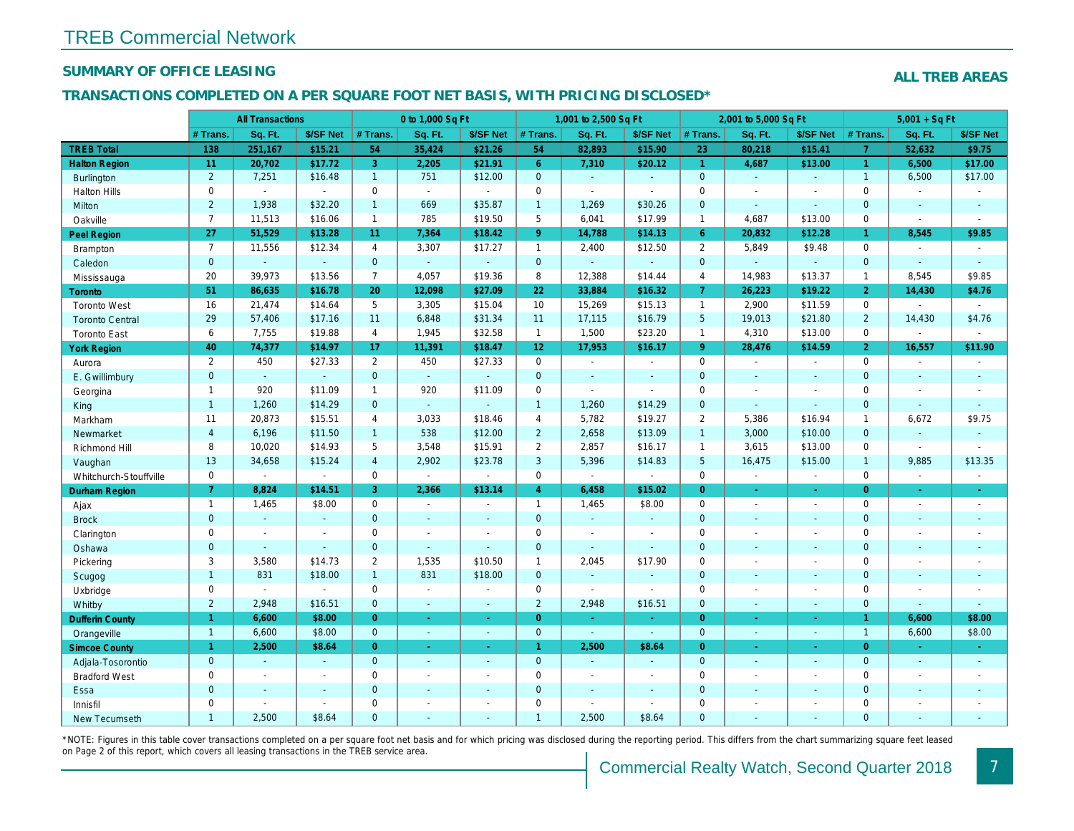## SUMMARY OF OFFICE LEASING

## TRANSACTIONS COMPLETED ON A PER SQUARE FOOT NET BASIS, WITH PRICING DISCLOSED\*

|                        |                | <b>All Transactions</b> |                |                | 0 to 1,000 Sq Ft |                |                 | 1,001 to 2,500 Sq Ft |                |                 | 2,001 to 5,000 Sq Ft |                  |
|------------------------|----------------|-------------------------|----------------|----------------|------------------|----------------|-----------------|----------------------|----------------|-----------------|----------------------|------------------|
|                        | # Trans.       | Sq. Ft.                 | \$/SF Net      | # Trans.       | Sq. Ft.          | \$/SF Net      | # Trans.        | Sq. Ft.              | \$/SF Net      | # Trans.        | Sq. Ft.              | \$/SF Ne         |
| <b>TREB Total</b>      | 138            | 251,167                 | \$15.21        | 54             | 35,424           | \$21.26        | 54              | 82,893               | \$15.90        | 23              | 80,218               | \$15.41          |
| <b>Halton Region</b>   | 11             | 20,702                  | \$17.72        | 3 <sup>°</sup> | 2,205            | \$21.91        | $6^{\circ}$     | 7,310                | \$20.12        | $\overline{1}$  | 4.687                | \$13.00          |
| <b>Burlington</b>      | $\overline{2}$ | 7,251                   | \$16.48        | $\mathbf{1}$   | 751              | \$12.00        | $\mathbf{0}$    | $\blacksquare$       | $\sim$         | $\overline{0}$  | $\blacksquare$       | $\blacksquare$   |
| <b>Halton Hills</b>    | $\mathbf 0$    | $\omega$                | $\omega$       | $\mathbf 0$    | $\sim$           | $\sim$         | $\mathbf 0$     | $\blacksquare$       | $\sim$         | $\mathbf 0$     | $\blacksquare$       | $\blacksquare$   |
| Milton                 | $\overline{2}$ | 1,938                   | \$32.20        | $\mathbf{1}$   | 669              | \$35.87        | $\overline{1}$  | 1,269                | \$30.26        | $\mathbf{0}$    | $\sim$               | $\sim$           |
| Oakville               | $\overline{7}$ | 11,513                  | \$16.06        | $\mathbf{1}$   | 785              | \$19.50        | 5               | 6,041                | \$17.99        | $\mathbf{1}$    | 4,687                | \$13.00          |
| Peel Region            | 27             | 51,529                  | \$13.28        | 11             | 7,364            | \$18.42        | 9 <sup>°</sup>  | 14,788               | \$14.13        | $6^{\circ}$     | 20,832               | \$12.28          |
| <b>Brampton</b>        | $\overline{7}$ | 11,556                  | \$12.34        | $\overline{4}$ | 3,307            | \$17.27        | $\mathbf{1}$    | 2,400                | \$12.50        | 2               | 5,849                | \$9.48           |
| Caledon                | $\mathbf{0}$   |                         | $\omega$ .     | $\overline{0}$ | $\omega$         | $\blacksquare$ | $\mathbf{0}$    | $\omega$             | $\omega$       | $\mathbf{0}$    | $\omega$             | $\blacksquare$   |
| Mississauga            | 20             | 39,973                  | \$13.56        | $\overline{7}$ | 4,057            | \$19.36        | 8               | 12,388               | \$14.44        | $\overline{4}$  | 14,983               | \$13.37          |
| <b>Toronto</b>         | 51             | 86,635                  | \$16.78        | 20             | 12,098           | \$27.09        | 22              | 33,884               | \$16.32        | 7 <sup>1</sup>  | 26,223               | \$19.22          |
| <b>Toronto West</b>    | 16             | 21,474                  | \$14.64        | 5              | 3,305            | \$15.04        | 10              | 15,269               | \$15.13        | $\overline{1}$  | 2,900                | \$11.59          |
| <b>Toronto Central</b> | 29             | 57,406                  | \$17.16        | 11             | 6,848            | \$31.34        | 11              | 17,115               | \$16.79        | $5\phantom{.0}$ | 19,013               | \$21.80          |
| <b>Toronto East</b>    | 6              | 7,755                   | \$19.88        | $\overline{4}$ | 1,945            | \$32.58        | $\mathbf{1}$    | 1,500                | \$23.20        | $\mathbf{1}$    | 4,310                | \$13.00          |
| <b>York Region</b>     | 40             | 74,377                  | \$14.97        | 17             | 11,391           | \$18.47        | 12 <sub>2</sub> | 17,953               | \$16.17        | 9 <sup>°</sup>  | 28,476               | \$14.59          |
| Aurora                 | $\overline{2}$ | 450                     | \$27.33        | $\overline{2}$ | 450              | \$27.33        | $\mathbf 0$     | $\blacksquare$       | $\blacksquare$ | $\mathbf 0$     | $\blacksquare$       | $\blacksquare$   |
| E. Gwillimbury         | $\mathbf{0}$   | $\omega$                | $\omega$       | $\mathbf{0}$   | $\omega$         | $\blacksquare$ | $\mathbf{0}$    | $\sim$               | $\sim$         | $\mathbf{0}$    | $\omega$             | $\blacksquare$   |
| Georgina               | $\mathbf{1}$   | 920                     | \$11.09        | $\mathbf{1}$   | 920              | \$11.09        | $\mathbf 0$     | $\blacksquare$       | $\blacksquare$ | $\mathbf 0$     | $\blacksquare$       | $\sim$           |
| King                   | $\mathbf{1}$   | 1,260                   | \$14.29        | $\Omega$       | $\omega$         | $\Delta$       | $\overline{1}$  | 1,260                | \$14.29        | $\mathbf{0}$    | ÷.                   | $\Delta$         |
| Markham                | 11             | 20,873                  | \$15.51        | $\overline{4}$ | 3,033            | \$18.46        | $\overline{4}$  | 5,782                | \$19.27        | $\overline{2}$  | 5,386                | \$16.94          |
| Newmarket              | $\overline{4}$ | 6,196                   | \$11.50        | $\mathbf{1}$   | 538              | \$12.00        | $\overline{2}$  | 2,658                | \$13.09        | $\mathbf{1}$    | 3,000                | \$10.00          |
| Richmond Hill          | 8              | 10,020                  | \$14.93        | 5              | 3,548            | \$15.91        | $\overline{2}$  | 2,857                | \$16.17        | $\mathbf{1}$    | 3,615                | \$13.00          |
| Vaughan                | 13             | 34,658                  | \$15.24        | $\overline{4}$ | 2,902            | \$23.78        | 3               | 5,396                | \$14.83        | $5\overline{5}$ | 16,475               | \$15.00          |
| Whitchurch-Stouffville | 0              | $\blacksquare$          | $\blacksquare$ | 0              | $\blacksquare$   | $\blacksquare$ | $\mathsf 0$     | $\blacksquare$       | $\blacksquare$ | $\mathbf 0$     | $\blacksquare$       | $\blacksquare$   |
| Durham Region          | 7 <sup>1</sup> | 8,824                   | \$14.51        | 3              | 2,366            | \$13.14        | $\overline{4}$  | 6,458                | \$15.02        | $\overline{0}$  | $\blacksquare$       | $\sigma$         |
| Ajax                   | $\mathbf{1}$   | 1,465                   | \$8.00         | $\mathbf 0$    | $\sim$           | $\blacksquare$ | $\mathbf{1}$    | 1,465                | \$8.00         | $\mathbf 0$     | $\blacksquare$       | $\sim$           |
| <b>Brock</b>           | $\mathbf{0}$   | $\omega$                | $\sim$         | $\mathbf{0}$   | $\omega$         | $\blacksquare$ | $\mathbf{0}$    | $\omega$             | $\Delta$       | $\overline{0}$  | $\omega$             | $\sim$           |
| Clarington             | $\mathbf 0$    | $\sim$                  | $\sim$         | $\Omega$       | $\blacksquare$   | $\blacksquare$ | $\mathbf 0$     | $\blacksquare$       | $\blacksquare$ | $\Omega$        | ÷.                   | $\sim$           |
| Oshawa                 | $\mathbf{0}$   | $\blacksquare$          | $\sim$         | $\mathbf 0$    | $\blacksquare$   | $\blacksquare$ | $\mathbf 0$     | $\blacksquare$       | $\blacksquare$ | $\mathbf 0$     | $\blacksquare$       | $\blacksquare$   |
| Pickering              | 3              | 3,580                   | \$14.73        | 2              | 1,535            | \$10.50        | $\mathbf{1}$    | 2,045                | \$17.90        | $\mathbf 0$     | $\blacksquare$       | $\blacksquare$   |
| Scugog                 | $\mathbf{1}$   | 831                     | \$18.00        | $\mathbf{1}$   | 831              | \$18.00        | $\mathbf{0}$    | $\omega$             | ٠              | $\mathbf{0}$    | $\sim$               | $\blacksquare$   |
| Uxbridge               | $\mathbf 0$    | $\sim$                  | $\omega$       | $\mathbf 0$    | $\mathbf{r}$     | $\blacksquare$ | $\mathbf 0$     | $\mathbf{r}$         | $\blacksquare$ | $\mathbf 0$     | $\overline{a}$       | $\sim$           |
| Whitby                 | $\overline{2}$ | 2,948                   | \$16.51        | $\mathbf{0}$   | $\sim$           | $\sim$         | $\overline{2}$  | 2,948                | \$16.51        | $\mathbf{0}$    | $\blacksquare$       | $\sim$           |
| <b>Dufferin County</b> | $\mathbf{1}$   | 6,600                   | \$8.00         | $\overline{0}$ | $\omega$         | $\omega$       | $\overline{0}$  | $\omega$             | ÷.             | $\overline{0}$  | $\omega$             | $\sim$           |
| Orangeville            | $\mathbf{1}$   | 6,600                   | \$8.00         | $\overline{0}$ | $\omega$         | $\blacksquare$ | $\mathbf{0}$    | $\omega$             | $\omega$       | $\overline{0}$  | $\blacksquare$       | $\bullet$        |
| <b>Simcoe County</b>   | $\mathbf{1}$   | 2,500                   | \$8.64         | $\overline{0}$ | $\omega$         | ÷.             | $\mathbf{1}$    | 2,500                | \$8.64         | $\overline{0}$  | $\omega$             | $\omega_{\rm c}$ |
| Adjala-Tosorontio      | $\mathbf 0$    | $\sim$                  |                | $\mathbf 0$    | $\omega$         | $\omega$       | $\mathbf 0$     | $\omega$             | $\Delta$       | $\mathbf{0}$    | $\omega$             | $\sim$           |
| <b>Bradford West</b>   | 0              | $\blacksquare$          | $\sim$         | $\mathbf 0$    | $\sim$           | $\blacksquare$ | $\mathbf 0$     | $\blacksquare$       | $\sim$         | 0               | $\blacksquare$       | $\blacksquare$   |
| Essa                   | $\mathbf{0}$   |                         |                | $\overline{0}$ | $\sim$           | $\blacksquare$ | $\mathbf{0}$    | ä,                   | $\sim$         | $\mathbf{0}$    | $\omega$             |                  |
| Innisfil               | $\Omega$       | $\sim$                  | $\sim$         | $\mathbf 0$    | $\blacksquare$   | $\blacksquare$ | $\mathbf 0$     | ä,                   | $\blacksquare$ | $\mathbf 0$     | $\blacksquare$       | $\blacksquare$   |
| <b>New Tecumseth</b>   | $\overline{1}$ | 2,500                   | \$8.64         | $\Omega$       |                  |                | $\overline{1}$  | 2,500                | \$8.64         | $\Omega$        |                      |                  |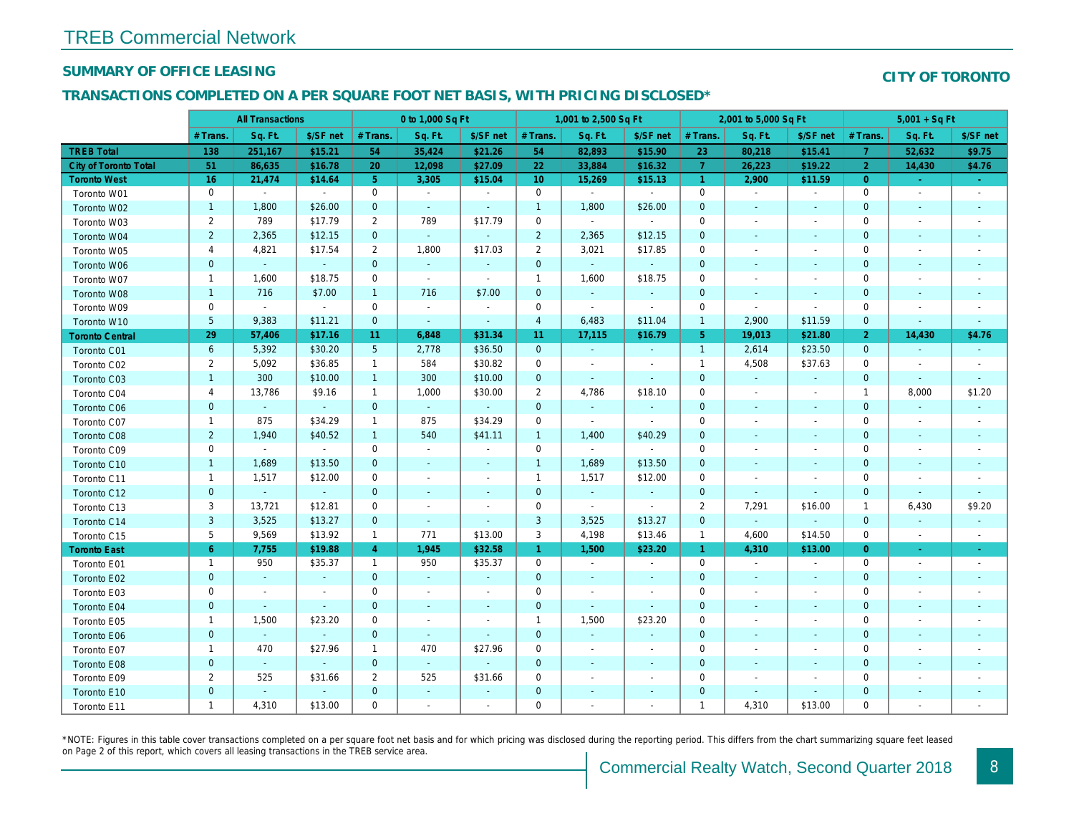## SUMMARY OF OFFICE LEASING

### TRANSACTIONS COMPLETED ON A PER SQUARE FOOT NET BASIS, WITH PRICING DISCLOSED\*

|                        | <b>All Transactions</b> |                          | 0 to 1,000 Sq Ft            |                 |                |                          | 1,001 to 2,500 Sq Ft |                          |                          | 2,001 to 5,000 Sq Ft |                          |                          |
|------------------------|-------------------------|--------------------------|-----------------------------|-----------------|----------------|--------------------------|----------------------|--------------------------|--------------------------|----------------------|--------------------------|--------------------------|
|                        | # Trans.                | Sq. Ft.                  | \$/SF net                   | # Trans.        | Sq. Ft.        | \$/SF net                | # Trans.             | Sq. Ft.                  | \$/SF net                | # Trans.             | Sq. Ft.                  | \$/SF ne                 |
| <b>TREB Total</b>      | 138                     | 251,167                  | \$15.21                     | 54              | 35,424         | \$21.26                  | 54                   | 82,893                   | \$15.90                  | 23                   | 80,218                   | \$15.41                  |
| City of Toronto Total  | 51                      | 86,635                   | \$16.78                     | 20              | 12,098         | \$27.09                  | 22                   | 33,884                   | \$16.32                  | $\overline{7}$       | 26,223                   | \$19.22                  |
| <b>Toronto West</b>    | 16                      | 21,474                   | \$14.64                     | 5 <sup>5</sup>  | 3,305          | \$15.04                  | 10 <sup>°</sup>      | 15,269                   | \$15.13                  | $\overline{1}$       | 2,900                    | \$11.59                  |
| Toronto W01            | $\pmb{0}$               | $\sim$                   | $\sim$                      | $\mathbf 0$     | $\sim$         | $\sim$                   | $\mathbf 0$          | $\sim$                   | $\blacksquare$           | $\mathbf 0$          | $\blacksquare$           | $\blacksquare$           |
| Toronto W02            | $\mathbf{1}$            | 1,800                    | \$26.00                     | $\mathbf{0}$    | $\sim$         | $\blacksquare$           | $\mathbf{1}$         | 1,800                    | \$26.00                  | $\mathbf{0}$         | $\sim$                   | $\sim$                   |
| Toronto W03            | $\overline{2}$          | 789                      | \$17.79                     | $\overline{2}$  | 789            | \$17.79                  | $\mathbf 0$          | $\blacksquare$           | $\blacksquare$           | 0                    | $\overline{\phantom{a}}$ | $\overline{\phantom{a}}$ |
| Toronto W04            | $\overline{2}$          | 2,365                    | \$12.15                     | $\mathbf{0}$    | $\omega$       | $\blacksquare$           | $\overline{2}$       | 2,365                    | \$12.15                  | $\mathbf 0$          |                          | $\overline{\phantom{a}}$ |
| Toronto W05            | 4                       | 4,821                    | \$17.54                     | $\overline{2}$  | 1,800          | \$17.03                  | $\overline{2}$       | 3,021                    | \$17.85                  | $\mathbf 0$          | $\sim$                   | $\blacksquare$           |
| Toronto W06            | $\mathbf 0$             | $\blacksquare$           | $\blacksquare$              | $\mathbf{0}$    | $\omega$       | ٠                        | $\mathbf 0$          | $\omega$                 | $\omega$                 | $\mathbf 0$          |                          |                          |
| Toronto W07            | $\mathbf{1}$            | 1,600                    | \$18.75                     | 0               | $\blacksquare$ | $\sim$                   | $\mathbf{1}$         | 1,600                    | \$18.75                  | 0                    | $\overline{\phantom{a}}$ | $\overline{\phantom{a}}$ |
| Toronto W08            | $\mathbf{1}$            | 716                      | \$7.00                      | $\mathbf{1}$    | 716            | \$7.00                   | $\mathbf 0$          | $\blacksquare$           | $\blacksquare$           | $\mathbf 0$          |                          |                          |
| Toronto W09            | $\mathbf 0$             | $\bullet$                | $\sim$                      | $\mathbf 0$     | $\blacksquare$ | $\blacksquare$           | 0                    | $\blacksquare$           | $\blacksquare$           | 0                    | $\blacksquare$           | $\overline{\phantom{a}}$ |
| Toronto W10            | $5\phantom{.0}$         | 9,383                    | \$11.21                     | $\mathbf{0}$    | $\omega$       | $\blacksquare$           | $\overline{4}$       | 6,483                    | \$11.04                  | $\overline{1}$       | 2,900                    | \$11.59                  |
| <b>Toronto Central</b> | 29                      | 57,406                   | \$17.16                     | 11              | 6,848          | \$31.34                  | 11                   | 17,115                   | \$16.79                  | 5 <sup>5</sup>       | 19,013                   | \$21.80                  |
| Toronto C01            | 6                       | 5,392                    | \$30.20                     | $5\phantom{.0}$ | 2,778          | \$36.50                  | $\mathbf 0$          | $\omega$                 | $\blacksquare$           | $\mathbf{1}$         | 2,614                    | \$23.50                  |
| Toronto C02            | $\overline{2}$          | 5,092                    | \$36.85                     | $\mathbf{1}$    | 584            | \$30.82                  | 0                    | $\blacksquare$           | $\overline{\phantom{a}}$ | $\mathbf{1}$         | 4,508                    | \$37.63                  |
| Toronto C03            | $\mathbf{1}$            | 300                      | \$10.00                     | $\overline{1}$  | 300            | \$10.00                  | $\mathbf 0$          | $\blacksquare$           | $\sim$                   | $\mathbf{0}$         | $\overline{\phantom{a}}$ | $\sim$                   |
| Toronto C04            | 4                       | 13,786                   | \$9.16                      | $\mathbf{1}$    | 1,000          | \$30.00                  | $\overline{2}$       | 4,786                    | \$18.10                  | $\mathbf 0$          |                          | $\overline{\phantom{a}}$ |
| Toronto C06            | $\pmb{0}$               | $\omega$                 | $\omega$                    | $\mathbf{0}$    | $\omega$       | $\omega$                 | $\mathbf 0$          | $\blacksquare$           | $\blacksquare$           | $\mathbf 0$          | $\blacksquare$           | $\blacksquare$           |
| Toronto C07            | $\mathbf{1}$            | 875                      | \$34.29                     | $\mathbf{1}$    | 875            | \$34.29                  | 0                    | $\blacksquare$           | $\blacksquare$           | 0                    |                          | $\sim$                   |
| <b>Toronto C08</b>     | $\overline{2}$          | 1,940                    | \$40.52                     | $\mathbf{1}$    | 540            | \$41.11                  | $\mathbf{1}$         | 1,400                    | \$40.29                  | $\mathbf 0$          | $\overline{\phantom{a}}$ | $\sim$                   |
| Toronto C09            | $\mathbf 0$             | $\sim$                   | $\sim$                      | $\mathbf 0$     | $\sim$         | $\blacksquare$           | $\mathbf 0$          | $\sim$                   | $\sim$                   | $\mathbf 0$          |                          |                          |
| Toronto C10            | $\mathbf{1}$            | 1,689                    | \$13.50                     | $\mathbf{0}$    | $\blacksquare$ | $\blacksquare$           | $\mathbf{1}$         | 1,689                    | \$13.50                  | $\mathbf{0}$         | $\blacksquare$           |                          |
| Toronto C11            | $\mathbf{1}$            | 1,517                    | \$12.00                     | $\mathbf 0$     | $\overline{a}$ | $\overline{\phantom{a}}$ | $\mathbf{1}$         | 1,517                    | \$12.00                  | $\mathbf 0$          |                          |                          |
| Toronto C12            | $\pmb{0}$               | $\blacksquare$           | $\sim$                      | $\mathbf{0}$    | $\frac{1}{2}$  | $\blacksquare$           | $\mathbf 0$          | $\blacksquare$           | $\blacksquare$           | $\mathbf 0$          |                          |                          |
| Toronto C13            | 3                       | 13,721                   | \$12.81                     | 0               | $\blacksquare$ | $\overline{\phantom{a}}$ | $\mathbf 0$          | $\blacksquare$           | $\blacksquare$           | $\overline{2}$       | 7,291                    | \$16.00                  |
| Toronto C14            | 3                       | 3,525                    | \$13.27                     | $\mathbf{0}$    | $\Delta$       | $\omega$                 | $\mathbf{3}$         | 3,525                    | \$13.27                  | $\overline{0}$       |                          |                          |
| Toronto C15            | 5                       | 9,569                    | \$13.92                     | $\mathbf{1}$    | 771            | \$13.00                  | 3                    | 4,198                    | \$13.46                  | $\mathbf{1}$         | 4,600                    | \$14.50                  |
| <b>Toronto East</b>    | 6 <sup>1</sup>          | 7,755                    | \$19.88                     | $\overline{4}$  | 1,945          | \$32.58                  | $\mathbf{1}$         | 1,500                    | \$23.20                  | $\mathbf{1}$         | 4,310                    | \$13.00                  |
| Toronto E01            | $\mathbf{1}$            | 950                      | \$35.37                     | $\mathbf{1}$    | 950            | \$35.37                  | $\mathbf 0$          | $\blacksquare$           | $\blacksquare$           | $\mathbf 0$          | $\blacksquare$           | $\sim$                   |
| Toronto E02            | $\mathbf 0$             | $\sim$                   | $\sim$                      | $\mathbf{0}$    | $\omega$       | $\blacksquare$           | $\mathbf 0$          | $\sim$                   | $\blacksquare$           | $\mathbf 0$          | $\blacksquare$           | $\sim$                   |
| Toronto E03            | $\mathbf 0$             | $\blacksquare$           | $\sim$                      | $\mathbf 0$     | $\blacksquare$ | $\blacksquare$           | 0                    | $\blacksquare$           | $\blacksquare$           | $\mathbf 0$          | $\overline{\phantom{a}}$ | $\sim$                   |
| Toronto E04            | $\mathbf 0$             | $\mathbf{u}$             | $\blacksquare$              | $\mathbf{0}$    | $\sim$         | $\sim$                   | $\mathbf 0$          | $\omega$                 | $\omega$                 | $\mathbf{0}$         | $\sim$                   | $\sim$                   |
| Toronto E05            | $\mathbf{1}$            | 1,500                    | \$23.20                     | 0               | $\sim$         | $\blacksquare$           | $\overline{1}$       | 1,500                    | \$23.20                  | 0                    | $\sim$                   | $\overline{\phantom{a}}$ |
| Toronto E06            | $\pmb{0}$               | $\blacksquare$           | $\blacksquare$              | $\mathbf{0}$    | $\omega$       | $\blacksquare$           | $\mathbf 0$          | $\sim$                   | $\sim$                   | $\mathbf 0$          | $\sim$                   | $\overline{\phantom{a}}$ |
| Toronto E07            | $\mathbf{1}$            | 470                      | \$27.96                     | $\mathbf{1}$    | 470            | \$27.96                  | 0                    | $\blacksquare$           | $\overline{\phantom{a}}$ | 0                    |                          | $\overline{\phantom{a}}$ |
| Toronto E08            | $\pmb{0}$               | $\sim$                   | $\mathcal{L}_{\mathcal{C}}$ | $\mathbf{0}$    | $\omega$       | $\blacksquare$           | $\mathbf 0$          | $\blacksquare$           | $\sim$                   | $\mathbf 0$          | $\sim$                   | $\sim$                   |
| Toronto E09            | $\overline{2}$          | 525                      | \$31.66                     | $\overline{2}$  | 525            | \$31.66                  | 0                    | $\blacksquare$           | $\blacksquare$           | 0                    |                          | $\overline{\phantom{a}}$ |
| Toronto E10            | $\pmb{0}$               | $\overline{\phantom{a}}$ | $\sim$                      | $\mathbf 0$     | $\sim$         | $\sim$                   | $\mathbf 0$          | $\sim$                   | $\sim$                   | $\mathbf 0$          | $\blacksquare$           | $\overline{\phantom{a}}$ |
| Toronto E11            | $\mathbf{1}$            | 4,310                    | \$13.00                     | $\mathbf 0$     | $\omega$       | $\blacksquare$           | 0                    | $\overline{\phantom{a}}$ | $\blacksquare$           | $\mathbf{1}$         | 4,310                    | \$13.00                  |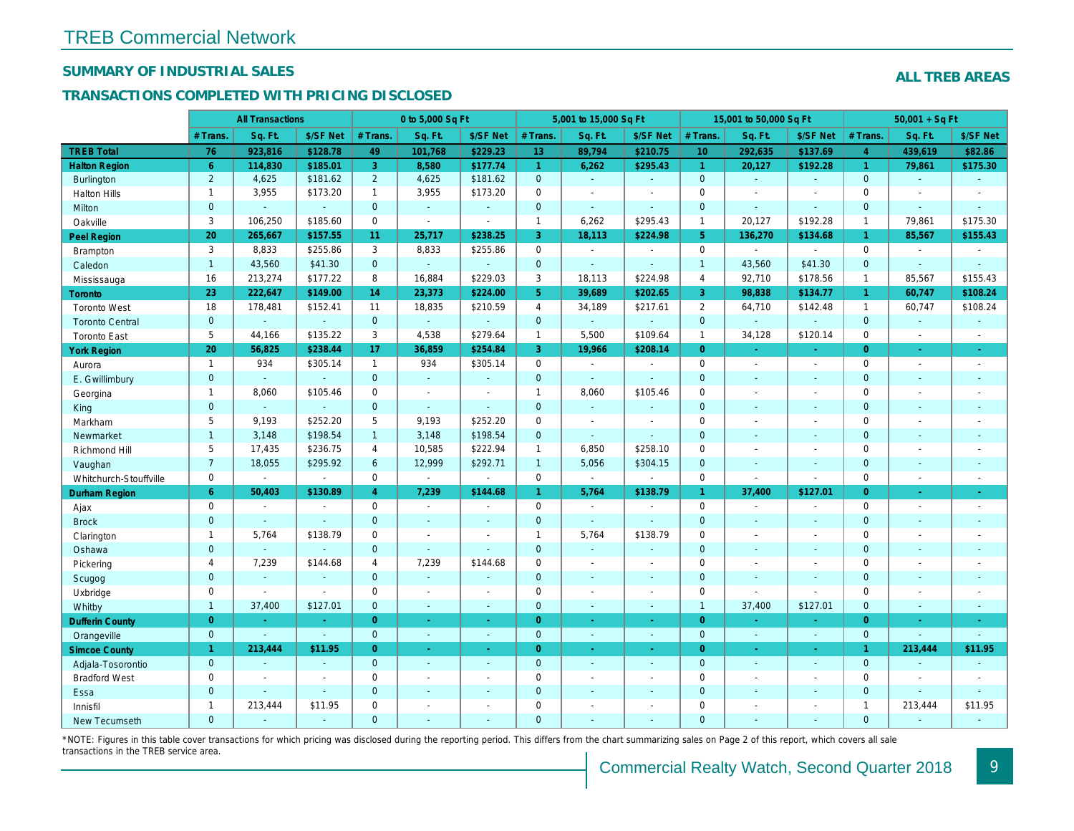## SUMMARY OF INDUSTRIAL SALES

## TRANSACTIONS COMPLETED WITH PRICING DISCLOSED

|                        |                | <b>All Transactions</b> |                |                 | 0 to 5,000 Sq Ft |                |                | 5,001 to 15,000 Sq Ft |                          |                 | 15,001 to 50,000 Sq Ft |                          |
|------------------------|----------------|-------------------------|----------------|-----------------|------------------|----------------|----------------|-----------------------|--------------------------|-----------------|------------------------|--------------------------|
|                        | # Trans        | Sq. Ft.                 | \$/SF Net      | # Trans.        | Sq. Ft.          | \$/SF Net      | # Trans.       | Sq. Ft.               | \$/SF Net                | # Trans.        | Sq. Ft.                | \$/SF Ne                 |
| <b>TREB Total</b>      | 76             | 923,816                 | \$128.78       | 49              | 101,768          | \$229.23       | 13             | 89,794                | \$210.75                 | 10 <sup>°</sup> | 292,635                | \$137.69                 |
| <b>Halton Region</b>   | $6^{\circ}$    | 114,830                 | \$185.01       | 3               | 8,580            | \$177.74       | $\mathbf{1}$   | 6,262                 | \$295.43                 | $\mathbf{1}$    | 20,127                 | \$192.28                 |
| <b>Burlington</b>      | $\overline{2}$ | 4,625                   | \$181.62       | $\overline{2}$  | 4,625            | \$181.62       | $\mathbf{0}$   | $\omega$              | $\omega$                 | $\mathbf{0}$    | $\omega$               | $\sim$                   |
| <b>Halton Hills</b>    | $\mathbf{1}$   | 3,955                   | \$173.20       | $\mathbf{1}$    | 3,955            | \$173.20       | $\mathbf 0$    | $\blacksquare$        | $\blacksquare$           | $\Omega$        | $\overline{a}$         | $\blacksquare$           |
| Milton                 | $\mathbf{0}$   | $\blacksquare$          | $\omega$       | $\mathbf{0}$    | $\blacksquare$   | $\blacksquare$ | $\mathbf{0}$   | $\omega$              | $\blacksquare$           | $\mathbf 0$     | $\omega$               | $\blacksquare$           |
| Oakville               | 3              | 106,250                 | \$185.60       | $\mathbf 0$     | $\blacksquare$   | $\sim$         | $\mathbf{1}$   | 6,262                 | \$295.43                 | $\mathbf{1}$    | 20,127                 | \$192.28                 |
| <b>Peel Region</b>     | 20             | 265,667                 | \$157.55       | 11 <sub>1</sub> | 25,717           | \$238.25       | 3              | 18,113                | \$224.98                 | 5 <sup>5</sup>  | 136,270                | \$134.68                 |
| Brampton               | 3              | 8,833                   | \$255.86       | 3               | 8,833            | \$255.86       | 0              | $\blacksquare$        | $\overline{\phantom{a}}$ | $\mathbf 0$     | $\sim$                 | $\sim$                   |
| Caledon                | $\mathbf{1}$   | 43,560                  | \$41.30        | $\overline{0}$  | $\omega$         | $\Delta$       | $\mathbf{0}$   | $\mathbf{r}$          | $\sim$                   | $\overline{1}$  | 43,560                 | \$41.30                  |
| Mississauga            | 16             | 213,274                 | \$177.22       | 8               | 16,884           | \$229.03       | 3              | 18,113                | \$224.98                 | $\overline{4}$  | 92,710                 | \$178.56                 |
| Toronto                | 23             | 222,647                 | \$149.00       | 14              | 23,373           | \$224.00       | 5 <sup>5</sup> | 39,689                | \$202.65                 | 3               | 98,838                 | \$134.77                 |
| <b>Toronto West</b>    | 18             | 178,481                 | \$152.41       | 11              | 18,835           | \$210.59       | $\overline{4}$ | 34,189                | \$217.61                 | 2               | 64,710                 | \$142.48                 |
| <b>Toronto Central</b> | $\overline{0}$ | ÷.                      | $\omega$       | $\overline{0}$  | $\omega$         | $\sim$         | $\mathbf 0$    | ä,                    | ä,                       | $\mathbf{0}$    | ÷.                     | $\sim$                   |
| <b>Toronto East</b>    | 5              | 44,166                  | \$135.22       | 3               | 4,538            | \$279.64       | $\mathbf{1}$   | 5,500                 | \$109.64                 | $\mathbf{1}$    | 34,128                 | \$120.14                 |
| <b>York Region</b>     | 20             | 56,825                  | \$238.44       | 17              | 36,859           | \$254.84       | 3              | 19,966                | \$208.14                 | $\Omega$        |                        | $\blacksquare$           |
| Aurora                 | $\overline{1}$ | 934                     | \$305.14       | 1               | 934              | \$305.14       | $\mathbf 0$    | $\blacksquare$        | $\sim$                   | $\Omega$        | $\blacksquare$         | $\sim$                   |
| E. Gwillimbury         | $\mathbf{0}$   | $\omega$                | $\blacksquare$ | $\mathbf{0}$    | $\blacksquare$   |                | $\pmb{0}$      | $\blacksquare$        | $\blacksquare$           | $\mathbf{0}$    | $\blacksquare$         | $\blacksquare$           |
| Georgina               | $\mathbf{1}$   | 8,060                   | \$105.46       | $\mathbf 0$     | $\sim$           | $\sim$         | $\mathbf{1}$   | 8,060                 | \$105.46                 | $\mathbf 0$     | $\blacksquare$         | $\blacksquare$           |
| King                   | $\mathbf{0}$   | $\sim$                  | $\sim$         | $\mathbf{0}$    | $\sim$           | $\sim$         | $\mathbf 0$    | $\omega$              | ÷.                       | $\mathbf{0}$    | ÷.                     | $\sim$                   |
| Markham                | 5              | 9,193                   | \$252.20       | 5               | 9,193            | \$252.20       | $\pmb{0}$      | $\blacksquare$        | $\blacksquare$           | $\mathbf 0$     | $\blacksquare$         | $\blacksquare$           |
| Newmarket              | $\mathbf{1}$   | 3,148                   | \$198.54       | $\mathbf{1}$    | 3,148            | \$198.54       | $\mathbf 0$    | $\blacksquare$        | $\blacksquare$           | $\mathbf{0}$    | $\blacksquare$         | $\blacksquare$           |
| Richmond Hill          | 5              | 17,435                  | \$236.75       | 4               | 10,585           | \$222.94       | $\mathbf{1}$   | 6,850                 | \$258.10                 | $\mathbf 0$     | $\blacksquare$         | $\blacksquare$           |
| Vaughan                | $\overline{7}$ | 18,055                  | \$295.92       | $6\phantom{1}$  | 12,999           | \$292.71       | $\mathbf{1}$   | 5,056                 | \$304.15                 | $\mathbf{0}$    | $\blacksquare$         | $\sim$                   |
| Whitchurch-Stouffville | $\mathbf 0$    | $\blacksquare$          | $\blacksquare$ | $\mathbf 0$     | $\blacksquare$   | $\sim$         | $\mathbf 0$    | $\blacksquare$        | $\sim$                   | $\mathbf 0$     | $\blacksquare$         | $\blacksquare$           |
| <b>Durham Region</b>   | 6              | 50,403                  | \$130.89       | $\overline{4}$  | 7,239            | \$144.68       | $\mathbf{1}$   | 5,764                 | \$138.79                 | $\mathbf{1}$    | 37,400                 | \$127.0'                 |
| Ajax                   | $\mathbf 0$    | $\omega$                | $\omega$       | $\mathbf 0$     | $\sim$           | $\sim$         | $\pmb{0}$      | $\blacksquare$        | $\sim$                   | $\mathbf 0$     |                        | $\blacksquare$           |
| <b>Brock</b>           | $\mathbf{0}$   | $\blacksquare$          | $\blacksquare$ | $\mathbf{0}$    | $\Delta$         | $\sim$         | $\mathbf 0$    | $\omega$              | $\omega$                 | $\mathbf 0$     | $\blacksquare$         | $\blacksquare$           |
| Clarington             | $\mathbf{1}$   | 5,764                   | \$138.79       | $\mathbf 0$     | $\blacksquare$   |                | $\mathbf{1}$   | 5,764                 | \$138.79                 | $\mathbf 0$     | $\blacksquare$         | $\blacksquare$           |
| Oshawa                 | $\mathbf{0}$   | $\mathbf{u}$            |                | $\overline{0}$  | $\blacksquare$   | $\blacksquare$ | $\mathbf 0$    | $\blacksquare$        | $\blacksquare$           | $\mathbf{0}$    | $\blacksquare$         | $\blacksquare$           |
| Pickering              | $\overline{4}$ | 7,239                   | \$144.68       | 4               | 7,239            | \$144.68       | $\mathbf 0$    | $\blacksquare$        | $\blacksquare$           | $\mathbf 0$     | $\blacksquare$         | $\blacksquare$           |
| Scugog                 | $\mathbf{0}$   | $\blacksquare$          | $\blacksquare$ | $\mathbf{0}$    | $\omega$         |                | $\mathbf 0$    | $\omega$              | $\blacksquare$           | $\mathbf{0}$    | $\blacksquare$         | $\blacksquare$           |
| Uxbridge               | $\mathbf 0$    | $\blacksquare$          | $\blacksquare$ | $\mathbf 0$     | $\sim$           |                | $\pmb{0}$      | $\overline{a}$        | $\blacksquare$           | $\mathbf 0$     | L.                     | $\overline{\phantom{a}}$ |
| Whitby                 | $\mathbf{1}$   | 37,400                  | \$127.01       | $\mathbf{0}$    | $\sim$           | $\sim$         | $\mathbf 0$    | $\blacksquare$        | $\blacksquare$           | $\mathbf{1}$    | 37,400                 | \$127.0'                 |
| <b>Dufferin County</b> | $\overline{0}$ | $\sim$                  | $\sim$         | $\overline{0}$  | a.               | $\sim$         | $\overline{0}$ | $\omega$              | ×.                       | $\overline{0}$  | $\sim$                 | $\sim$                   |
| Orangeville            | $\mathbf{0}$   | $\Delta$                | $\omega$       | $\Omega$        | $\omega$         | $\omega$       | $\mathbf{0}$   | $\omega$              | ¥.                       | $\mathbf 0$     | $\omega$               | $\sim$                   |
| <b>Simcoe County</b>   | $\mathbf{1}$   | 213,444                 | \$11.95        | $\overline{0}$  | $\omega$         | $\omega$       | $\overline{0}$ | $\blacksquare$        | $\omega$                 | $\overline{0}$  | $\omega$               | $\sigma_{\rm c}$         |
| Adjala-Tosorontio      | $\mathbf{0}$   | $\sim$                  | $\sim$         | $\mathbf{0}$    | $\sim$           | $\sim$         | $\mathbf 0$    | $\Delta$              | $\blacksquare$           | $\mathbf{0}$    | $\mathbf{r}$           | $\sim$                   |
| <b>Bradford West</b>   | $\mathbf 0$    | $\blacksquare$          | $\blacksquare$ | $\Omega$        | $\sim$           | $\sim$         | $\pmb{0}$      | $\blacksquare$        | $\blacksquare$           | $\mathbf 0$     | $\blacksquare$         | $\sim$                   |
| Essa                   | $\mathbf{0}$   | $\sim$                  | $\sim$         | $\mathbf{0}$    |                  |                | $\mathbf 0$    | $\blacksquare$        | $\blacksquare$           | $\mathbf 0$     | $\blacksquare$         |                          |
| Innisfil               | $\mathbf{1}$   | 213,444                 | \$11.95        | $\mathbf 0$     | $\sim$           | $\blacksquare$ | $\mathbf 0$    | $\blacksquare$        | $\blacksquare$           | $\mathbf 0$     | $\blacksquare$         | $\blacksquare$           |
| <b>New Tecumseth</b>   | $\Omega$       |                         |                | $\Omega$        |                  |                | $\Omega$       |                       |                          | $\Omega$        |                        |                          |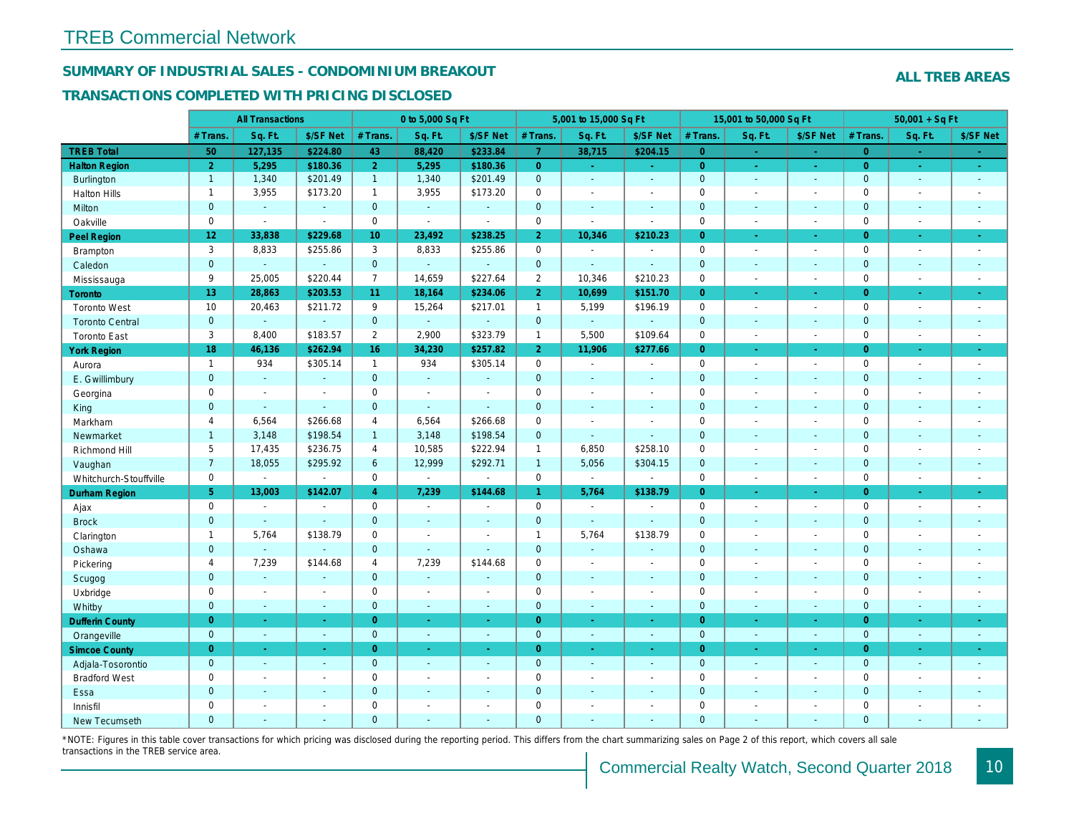## SUMMARY OF INDUSTRIAL SALES - CONDOMINIUM BREAKOUT

#### TRANSACTIONS COMPLETED WITH PRICING DISCLOSED

|                        |                 | <b>All Transactions</b> |                |                 | 0 to 5,000 Sq Ft |                |                     | 5,001 to 15,000 Sq Ft    |                          |                | 15,001 to 50,000 Sq Ft |                  |
|------------------------|-----------------|-------------------------|----------------|-----------------|------------------|----------------|---------------------|--------------------------|--------------------------|----------------|------------------------|------------------|
|                        | # Trans         | Sq. Ft.                 | \$/SF Net      | # Trans.        | Sq. Ft.          | \$/SF Net      | # Trans.            | Sq. Ft.                  | \$/SF Net                | # Trans.       | Sq. Ft.                | \$/SF Ne         |
| <b>TREB Total</b>      | 50              | 127,135                 | \$224.80       | 43              | 88,420           | \$233.84       | $\overline{7}$      | 38,715                   | \$204.15                 | $\overline{0}$ | $\sim$                 | $\sim$           |
| <b>Halton Region</b>   | $\overline{2}$  | 5,295                   | \$180.36       | 2 <sup>1</sup>  | 5,295            | \$180.36       | $\overline{0}$      | ÷.                       | ÷.                       | $\overline{0}$ | $\omega$               | $\omega_{\rm c}$ |
| Burlington             | $\mathbf{1}$    | 1,340                   | \$201.49       | $\mathbf{1}$    | 1,340            | \$201.49       | $\mathbf{0}$        | ä,                       | $\blacksquare$           | $\mathbf 0$    | $\mathbf{r}$           | $\sim$           |
| <b>Halton Hills</b>    | $\mathbf{1}$    | 3,955                   | \$173.20       | $\mathbf{1}$    | 3,955            | \$173.20       | $\mathbf 0$         | $\blacksquare$           | $\blacksquare$           | $\mathbf 0$    | $\blacksquare$         | $\blacksquare$   |
| Milton                 | $\mathbf{0}$    | $\omega$                | $\sim$         | $\overline{0}$  | $\omega$         | $\sim$         | $\mathbf 0$         | $\omega$                 | $\sim$                   | $\mathbf{0}$   | $\omega$               | $\sim$           |
| Oakville               | $\mathbf 0$     | $\blacksquare$          | $\blacksquare$ | $\mathbf 0$     | $\blacksquare$   | $\sim$         | $\mathsf{O}\xspace$ | $\tilde{\phantom{a}}$    | $\blacksquare$           | $\mathbf 0$    | $\blacksquare$         | $\blacksquare$   |
| Peel Region            | 12 <sub>2</sub> | 33,838                  | \$229.68       | 10 <sup>°</sup> | 23,492           | \$238.25       | 2 <sup>1</sup>      | 10,346                   | \$210.23                 | $\overline{0}$ | $\blacksquare$         | $\sigma$         |
| Brampton               | 3               | 8,833                   | \$255.86       | 3               | 8,833            | \$255.86       | $\mathbf 0$         | $\blacksquare$           | $\blacksquare$           | $\mathbf 0$    | $\blacksquare$         | $\sim$           |
| Caledon                | $\mathbf{0}$    | $\blacksquare$          | $\blacksquare$ | $\mathbf{0}$    | $\omega$         | $\blacksquare$ | $\mathbf 0$         | $\blacksquare$           | $\blacksquare$           | $\mathbf 0$    | $\omega$               | $\sim$           |
| Mississauga            | 9               | 25,005                  | \$220.44       | $\overline{7}$  | 14,659           | \$227.64       | $\overline{2}$      | 10,346                   | \$210.23                 | $\mathbf 0$    | $\sim$                 | $\sim$           |
| <b>Toronto</b>         | 13 <sub>1</sub> | 28,863                  | \$203.53       | 11              | 18,164           | \$234.06       | 2 <sup>1</sup>      | 10,699                   | \$151.70                 | $\overline{0}$ | $\blacksquare$         | $\sim$           |
| <b>Toronto West</b>    | 10              | 20,463                  | \$211.72       | 9               | 15,264           | \$217.01       | $\mathbf{1}$        | 5,199                    | \$196.19                 | $\mathbf 0$    | $\blacksquare$         | $\sim$           |
| <b>Toronto Central</b> | $\mathbf{0}$    | $\omega$                | $\omega$       | $\mathbf{0}$    | $\omega$         | $\Delta$       | $\mathbf 0$         | $\omega_{\rm c}$         | $\blacksquare$           | $\mathbf 0$    | $\blacksquare$         | $\sim$           |
| <b>Toronto East</b>    | 3               | 8,400                   | \$183.57       | $\overline{2}$  | 2,900            | \$323.79       | $\mathbf{1}$        | 5,500                    | \$109.64                 | $\mathbf 0$    | $\blacksquare$         | $\sim$           |
| <b>York Region</b>     | 18              | 46,136                  | \$262.94       | 16              | 34,230           | \$257.82       | 2 <sup>1</sup>      | 11,906                   | \$277.66                 | $\overline{0}$ | $\omega$               | $\omega_{\rm c}$ |
| Aurora                 | $\mathbf{1}$    | 934                     | \$305.14       | $\mathbf{1}$    | 934              | \$305.14       | $\mathbf 0$         | $\blacksquare$           | $\sim$                   | $\mathbf 0$    | $\blacksquare$         | $\sim$           |
| E. Gwillimbury         | $\mathbf{0}$    | $\omega$                | $\blacksquare$ | $\mathbf{0}$    | $\blacksquare$   | $\blacksquare$ | $\mathbf 0$         | $\blacksquare$           | $\blacksquare$           | $\mathbf 0$    | $\blacksquare$         | $\blacksquare$   |
| Georgina               | $\mathbf 0$     | $\blacksquare$          | $\blacksquare$ | $\mathbf 0$     | $\sim$           | $\blacksquare$ | $\mathbf 0$         | $\blacksquare$           | $\blacksquare$           | $\mathbf 0$    | $\blacksquare$         | $\blacksquare$   |
| King                   | $\mathbf{0}$    | $\blacksquare$          | $\sim$         | $\mathbf{0}$    | $\sim$           | $\sim$         | $\pmb{0}$           | $\sim$                   | $\blacksquare$           | $\mathbf 0$    | $\blacksquare$         | $\sim$           |
| Markham                | $\overline{4}$  | 6,564                   | \$266.68       | 4               | 6,564            | \$266.68       | $\mathbf 0$         | $\blacksquare$           | $\sim$                   | $\mathbf 0$    | $\blacksquare$         | $\blacksquare$   |
| Newmarket              | $\mathbf{1}$    | 3,148                   | \$198.54       | $\mathbf{1}$    | 3,148            | \$198.54       | $\mathbf 0$         | ä,                       | $\blacksquare$           | $\mathbf 0$    | $\blacksquare$         | $\blacksquare$   |
| Richmond Hill          | 5               | 17,435                  | \$236.75       | 4               | 10,585           | \$222.94       | $\mathbf{1}$        | 6,850                    | \$258.10                 | $\mathbf 0$    | $\overline{a}$         | $\blacksquare$   |
| Vaughan                | $\overline{7}$  | 18,055                  | \$295.92       | 6               | 12,999           | \$292.71       | $\mathbf{1}$        | 5,056                    | \$304.15                 | $\mathbf{0}$   | $\blacksquare$         | $\sim$           |
| Whitchurch-Stouffville | $\mathbf 0$     | $\blacksquare$          | $\blacksquare$ | $\mathbf 0$     | $\blacksquare$   | $\blacksquare$ | 0                   | $\blacksquare$           | $\sim$                   | $\mathbf 0$    | $\blacksquare$         | $\sim$           |
| Durham Region          | 5 <sup>5</sup>  | 13,003                  | \$142.07       | $\overline{4}$  | 7,239            | \$144.68       | $\mathbf{1}$        | 5,764                    | \$138.79                 | $\overline{0}$ | $\blacksquare$         | $\bullet$        |
| Ajax                   | $\mathbf 0$     | $\blacksquare$          | $\blacksquare$ | $\mathbf 0$     | $\blacksquare$   | ÷.             | 0                   | $\sim$                   | $\sim$                   | $\mathbf 0$    | $\blacksquare$         | $\blacksquare$   |
| <b>Brock</b>           | $\overline{0}$  | $\blacksquare$          | $\omega$       | $\mathbf{0}$    | $\blacksquare$   | $\blacksquare$ | $\mathbf 0$         | $\omega$                 | $\blacksquare$           | $\mathbf 0$    | $\blacksquare$         | $\blacksquare$   |
| Clarington             | $\mathbf{1}$    | 5,764                   | \$138.79       | $\mathbf 0$     | $\blacksquare$   |                | $\mathbf{1}$        | 5,764                    | \$138.79                 | $\mathbf 0$    | ÷,                     | $\blacksquare$   |
| Oshawa                 | $\mathbf{0}$    | $\blacksquare$          | $\blacksquare$ | $\mathbf{0}$    | $\sim$           | $\sim$         | $\mathbf 0$         | $\blacksquare$           | $\blacksquare$           | $\mathbf{0}$   | $\blacksquare$         | $\sim$           |
| Pickering              | $\overline{4}$  | 7,239                   | \$144.68       | $\overline{4}$  | 7,239            | \$144.68       | $\mathbf 0$         | $\blacksquare$           | $\overline{a}$           | $\mathbf 0$    | $\overline{a}$         | $\blacksquare$   |
| Scugog                 | $\mathbf{0}$    | $\sim$                  | $\sim$         | $\mathbf{0}$    | $\Delta$         |                | $\pmb{0}$           | $\Delta$                 | $\blacksquare$           | $\mathbf{0}$   | $\blacksquare$         | $\sim$           |
| Uxbridge               | $\mathbf 0$     | $\blacksquare$          | $\blacksquare$ | $\mathbf 0$     | $\sim$           | $\sim$         | $\pmb{0}$           | $\blacksquare$           | $\blacksquare$           | $\mathbf 0$    | $\blacksquare$         | $\blacksquare$   |
| Whitby                 | $\mathbf{0}$    | $\sim$                  | $\sim$         | $\mathbf{0}$    | $\sim$           | $\sim$         | $\mathbf 0$         | $\Delta$                 | $\blacksquare$           | $\mathbf{0}$   | $\blacksquare$         | $\sim$           |
| <b>Dufferin County</b> | $\overline{0}$  | $\omega$                | $\omega$       | $\overline{0}$  | $\omega$         | $\sim$         | $\overline{0}$      | $\omega$                 | ÷.                       | $\overline{0}$ | $\omega$               | $\omega$         |
| Orangeville            | $\mathbf{0}$    | $\omega$                | $\blacksquare$ | $\mathbf{0}$    | $\blacksquare$   | $\omega$       | $\mathbf{0}$        | $\omega$                 | $\omega$                 | $\mathbf 0$    | $\omega$               | $\sim$           |
| <b>Simcoe County</b>   | $\overline{0}$  | $\omega$                | $\omega$       | $\overline{0}$  | $\omega$         | $\omega$       | $\overline{0}$      | $\blacksquare$           | $\omega$                 | $\overline{0}$ | $\blacksquare$         | $\sigma_{\rm c}$ |
| Adjala-Tosorontio      | $\mathbf{0}$    | $\sim$                  | $\blacksquare$ | $\mathbf{0}$    | $\sim$           | $\sim$         | $\mathbf 0$         | $\blacksquare$           | $\blacksquare$           | $\mathbf{0}$   | $\blacksquare$         | $\sim$           |
| <b>Bradford West</b>   | $\mathbf 0$     | $\blacksquare$          | $\blacksquare$ | $\mathbf 0$     | $\blacksquare$   | $\blacksquare$ | $\pmb{0}$           | $\blacksquare$           | $\blacksquare$           | $\mathbf 0$    | $\blacksquare$         | $\blacksquare$   |
| Essa                   | $\mathbf{0}$    | $\sim$                  | $\sim$         | $\mathbf{0}$    | ÷.               | $\sim$         | $\pmb{0}$           | $\blacksquare$           | $\blacksquare$           | $\mathbf{0}$   | $\blacksquare$         | $\blacksquare$   |
| Innisfil               | $\mathbf 0$     | $\blacksquare$          | $\blacksquare$ | $\mathbf 0$     | $\sim$           | $\sim$         | $\mathbf 0$         | $\overline{\phantom{a}}$ | $\blacksquare$           | $\mathbf 0$    | $\blacksquare$         | $\blacksquare$   |
| <b>New Tecumseth</b>   | $\Omega$        | $\sim$                  | $\sim$         | $\Omega$        | $\sim$           | $\sim$         | $\overline{0}$      | $\overline{\phantom{a}}$ | $\overline{\phantom{a}}$ | $\mathbf{0}$   | ÷.                     | $\sim$           |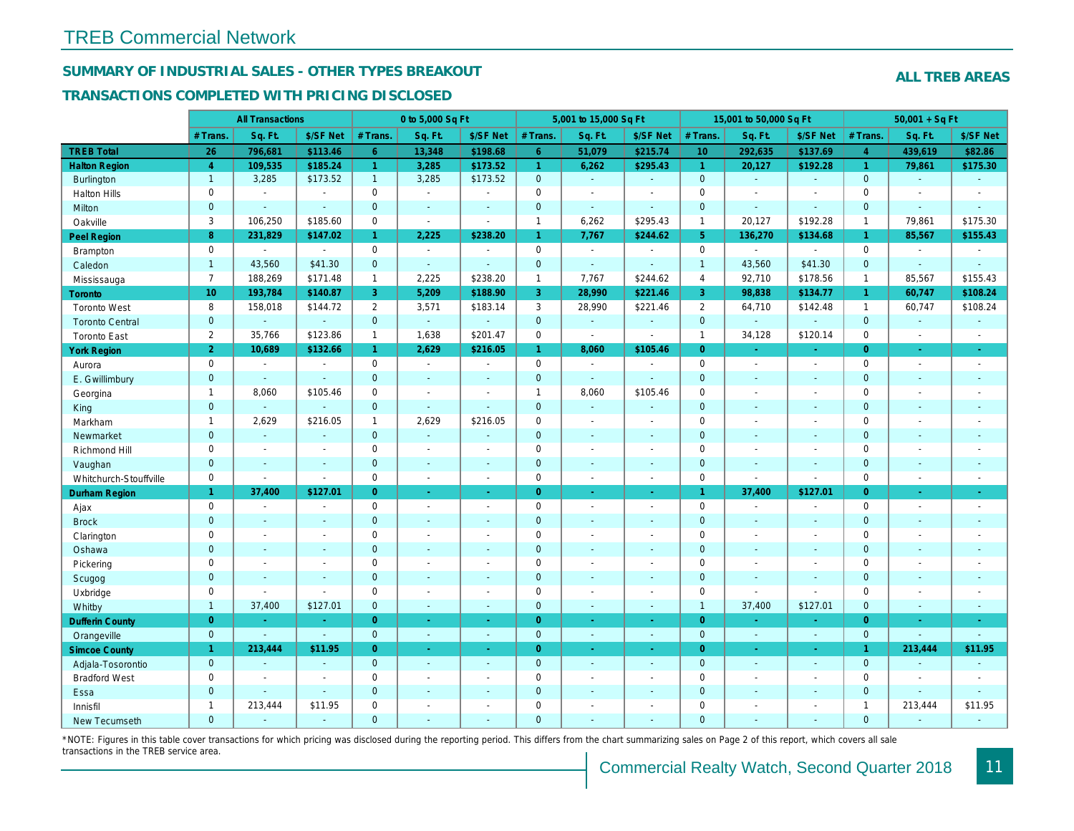## SUMMARY OF INDUSTRIAL SALES - OTHER TYPES BREAKOUT

#### TRANSACTIONS COMPLETED WITH PRICING DISCLOSED

|                        |                 | <b>All Transactions</b> |                |                       | 0 to 5,000 Sq Ft |                          |                | 5,001 to 15,000 Sq Ft |                          |                      | 15,001 to 50,000 Sq Ft |                          |
|------------------------|-----------------|-------------------------|----------------|-----------------------|------------------|--------------------------|----------------|-----------------------|--------------------------|----------------------|------------------------|--------------------------|
|                        | # Trans.        | Sq. Ft.                 | \$/SF Net      | # Trans.              | Sq. Ft.          | \$/SF Net                | # Trans.       | Sq. Ft.               | \$/SF Net                | # Trans.             | Sq. Ft.                | \$/SF Ne                 |
| <b>TREB Total</b>      | 26              | 796,681                 | \$113.46       | 6 <sup>1</sup>        | 13,348           | \$198.68                 | 6 <sup>1</sup> | 51,079                | \$215.74                 | 10 <sup>°</sup>      | 292,635                | \$137.69                 |
| <b>Halton Region</b>   | $\overline{4}$  | 109,535                 | \$185.24       | $\mathbf{1}$          | 3,285            | \$173.52                 | $\mathbf{1}$   | 6,262                 | \$295.43                 | $\blacktriangleleft$ | 20,127                 | \$192.28                 |
| <b>Burlington</b>      | $\mathbf{1}$    | 3,285                   | \$173.52       | 1                     | 3,285            | \$173.52                 | $\mathbf 0$    | $\omega$              | $\mathbf{u}$             | $\mathbf{0}$         | $\omega$               | $\omega$                 |
| <b>Halton Hills</b>    | $\mathbf 0$     | $\sim$                  | $\sim$         | $\Omega$              | $\sim$           | ÷.                       | $\mathbf 0$    | $\sim$                | $\sim$                   | $\mathbf 0$          | L.                     | $\sim$                   |
| Milton                 | $\mathbf{0}$    | $\blacksquare$          | $\omega$       | $\overline{0}$        | $\sim$           | $\blacksquare$           | $\mathbf 0$    | $\omega$              | $\blacksquare$           | $\mathbf 0$          | $\omega$               | $\blacksquare$           |
| Oakville               | 3               | 106,250                 | \$185.60       | $\mathbf 0$           | $\blacksquare$   | $\blacksquare$           | $\mathbf{1}$   | 6,262                 | \$295.43                 | $\mathbf{1}$         | 20,127                 | \$192.28                 |
| Peel Region            | 8               | 231,829                 | \$147.02       | $\mathbf{1}$          | 2,225            | \$238.20                 | $\mathbf{1}$   | 7,767                 | \$244.62                 | 5 <sup>5</sup>       | 136,270                | \$134.68                 |
| <b>Brampton</b>        | $\mathbf 0$     | $\sim$                  | $\sim$         | $\mathbf 0$           | $\sim$           | $\overline{\phantom{a}}$ | $\mathbf 0$    | $\sim$                | $\overline{\phantom{a}}$ | $\mathbf 0$          | $\sim$                 | $\blacksquare$           |
| Caledon                | $\overline{1}$  | 43,560                  | \$41.30        | $\overline{0}$        | $\omega$         | $\sim$                   | $\mathbf 0$    | $\blacksquare$        | $\sim$                   | $\overline{1}$       | 43,560                 | \$41.30                  |
| Mississauga            | $\overline{7}$  | 188,269                 | \$171.48       | $\mathbf{1}$          | 2,225            | \$238.20                 | $\mathbf{1}$   | 7,767                 | \$244.62                 | $\overline{4}$       | 92,710                 | \$178.56                 |
| Toronto                | 10 <sub>1</sub> | 193,784                 | \$140.87       | 3                     | 5,209            | \$188.90                 | 3              | 28,990                | \$221.46                 | 3                    | 98,838                 | \$134.77                 |
| <b>Toronto West</b>    | 8               | 158,018                 | \$144.72       | $\mathbf{2}^{\prime}$ | 3,571            | \$183.14                 | 3              | 28,990                | \$221.46                 | 2                    | 64,710                 | \$142.48                 |
| <b>Toronto Central</b> | $\mathbf{0}$    | $\mathbf{r}$            | $\mathbf{r}$   | $\overline{0}$        | $\omega$         | $\omega$                 | $\mathbf 0$    | $\omega$              | $\mathbf{r}$             | $\mathbf{0}$         | ÷.                     | $\sim$                   |
| <b>Toronto East</b>    | $\overline{2}$  | 35,766                  | \$123.86       | $\mathbf{1}$          | 1,638            | \$201.47                 | 0              | $\blacksquare$        | $\sim$                   | $\mathbf{1}$         | 34,128                 | \$120.14                 |
| <b>York Region</b>     | $\overline{2}$  | 10,689                  | \$132.66       | $\mathbf{1}$          | 2,629            | \$216.05                 | $\mathbf{1}$   | 8,060                 | \$105.46                 | $\overline{0}$       |                        | $\blacksquare$           |
| Aurora                 | $\mathbf 0$     | $\sim$                  | $\blacksquare$ | $\Omega$              | $\Delta$         | $\sim$                   | $\mathbf 0$    | $\sim$                | $\sim$                   | $\Omega$             | $\blacksquare$         | $\sim$                   |
| E. Gwillimbury         | $\mathbf{0}$    | $\blacksquare$          | $\blacksquare$ | $\mathbf 0$           | $\sim$           |                          | $\mathbf 0$    | $\blacksquare$        | $\blacksquare$           | $\mathbf{0}$         | ÷,                     | $\blacksquare$           |
| Georgina               | $\mathbf{1}$    | 8,060                   | \$105.46       | $\mathbf 0$           | $\blacksquare$   | $\blacksquare$           | $\mathbf{1}$   | 8,060                 | \$105.46                 | $\mathbf 0$          | $\blacksquare$         | $\blacksquare$           |
| King                   | $\overline{0}$  | $\sim$                  | $\omega$       | $\overline{0}$        | $\sim$           | $\sim$                   | $\mathbf{0}$   | $\sim$                | ÷.                       | $\mathbf{0}$         | ÷.                     | $\sim$                   |
| Markham                | $\mathbf{1}$    | 2,629                   | \$216.05       | $\mathbf{1}$          | 2,629            | \$216.05                 | $\pmb{0}$      | $\blacksquare$        | $\overline{\phantom{a}}$ | $\mathbf 0$          | $\blacksquare$         | $\blacksquare$           |
| Newmarket              | $\mathbf{0}$    | $\sim$                  | $\blacksquare$ | $\overline{0}$        | $\omega$         | $\sim$                   | $\mathbf 0$    | $\blacksquare$        | $\blacksquare$           | $\mathbf{0}$         | $\blacksquare$         | $\overline{\phantom{a}}$ |
| Richmond Hill          | $\mathbf 0$     | $\sim$                  | $\blacksquare$ | $\mathbf 0$           | $\sim$           | $\overline{\phantom{a}}$ | $\mathbf 0$    | $\blacksquare$        | $\blacksquare$           | $\mathbf 0$          | $\sim$                 | $\blacksquare$           |
| Vaughan                | $\mathbf{0}$    | $\sim$                  | $\sim$         | $\mathbf 0$           | $\sim$           | $\sim$                   | $\pmb{0}$      | $\sim$                | $\sim$                   | $\mathbf 0$          | ä,                     | $\sim$                   |
| Whitchurch-Stouffville | $\mathbf 0$     | $\sim$                  | $\blacksquare$ | $\mathbf 0$           | $\blacksquare$   | $\sim$                   | $\mathbf 0$    | $\sim$                | $\sim$                   | $\mathbf 0$          | ÷,                     | $\blacksquare$           |
| <b>Durham Region</b>   | 1               | 37,400                  | \$127.01       | $\Omega$              | $\omega$         | $\sim$                   | $\overline{0}$ | $\omega$              | ÷.                       | $\overline{1}$       | 37,400                 | \$127.0'                 |
| Ajax                   | $\mathsf 0$     | $\blacksquare$          | $\overline{a}$ | 0                     | $\blacksquare$   | $\blacksquare$           | $\mathbf 0$    | $\blacksquare$        | $\tilde{\phantom{a}}$    | $\mathbf 0$          | $\overline{a}$         | $\blacksquare$           |
| <b>Brock</b>           | $\overline{0}$  | $\blacksquare$          | $\blacksquare$ | $\overline{0}$        | $\sim$           | $\sim$                   | $\mathbf 0$    | $\blacksquare$        | $\blacksquare$           | $\mathbf{0}$         | $\blacksquare$         | $\sim$                   |
| Clarington             | 0               | $\blacksquare$          | $\blacksquare$ | $\mathbf 0$           |                  |                          | $\mathbf 0$    | $\sim$                | $\blacksquare$           | $\mathbf 0$          | ÷,                     | $\blacksquare$           |
| Oshawa                 | $\mathbf{0}$    | $\blacksquare$          | $\blacksquare$ | $\overline{0}$        |                  | $\blacksquare$           | $\mathbf 0$    | $\blacksquare$        | $\blacksquare$           | $\mathbf 0$          | $\blacksquare$         | $\blacksquare$           |
| Pickering              | $\mathbf 0$     | $\blacksquare$          | $\blacksquare$ | $\mathbf 0$           | $\sim$           | $\overline{\phantom{a}}$ | $\mathbf 0$    | $\sim$                | $\blacksquare$           | $\mathbf 0$          | L.                     | $\blacksquare$           |
| Scugog                 | $\mathbf{0}$    | $\blacksquare$          | $\blacksquare$ | $\overline{0}$        | $\sim$           | $\sim$                   | $\mathbf{0}$   | $\blacksquare$        | $\blacksquare$           | $\overline{0}$       | $\blacksquare$         | $\blacksquare$           |
| Uxbridge               | 0               | $\overline{a}$          | $\omega$       | 0                     | $\sim$           |                          | $\mathbf 0$    | $\blacksquare$        | $\blacksquare$           | $\mathbf 0$          | ÷,                     | $\overline{\phantom{a}}$ |
| Whitby                 | $\mathbf{1}$    | 37,400                  | \$127.01       | $\mathbf{0}$          | $\sim$           | $\sim$                   | $\mathbf 0$    | $\blacksquare$        | $\blacksquare$           | $\overline{1}$       | 37,400                 | \$127.0'                 |
| <b>Dufferin County</b> | $\overline{0}$  | $\sim$                  | $\sim$         | $\overline{0}$        | $\sim$           | $\sim$                   | $\overline{0}$ | ÷.                    | $\sim$                   | $\overline{0}$       | ٠                      | $\sim$                   |
| Orangeville            | $\mathbf{0}$    | $\mathbf{r}$            | $\omega$       | $\mathbf 0$           | $\omega$         | $\sim$                   | $\mathbf{0}$   | ◆                     | $\omega$                 | $\mathbf{0}$         | $\omega$               | $\sim$                   |
| <b>Simcoe County</b>   | 1               | 213,444                 | \$11.95        | $\overline{0}$        | $\sim$           | $\sim$                   | $\overline{0}$ | $\omega$              | $\omega$                 | $\overline{0}$       | $\blacksquare$         | $\sim$                   |
| Adjala-Tosorontio      | $\mathbf{0}$    | ÷.                      | $\blacksquare$ | $\overline{0}$        | $\sim$           | $\sim$                   | $\mathbf 0$    | $\sim$                | ä,                       | $\mathbf 0$          | $\mathbf{r}$           | $\sim$                   |
| <b>Bradford West</b>   | $\mathbf 0$     | $\blacksquare$          | $\blacksquare$ | $\mathbf 0$           | $\sim$           | $\sim$                   | $\mathbf 0$    | $\sim$                | $\blacksquare$           | $\mathbf 0$          | $\blacksquare$         | $\sim$                   |
| Essa                   | $\mathbf{0}$    | $\blacksquare$          | $\omega$       | $\mathbf 0$           |                  |                          | $\mathbf 0$    | $\sim$                | $\sim$                   | $\mathbf 0$          | ä,                     |                          |
| Innisfil               | $\mathbf{1}$    | 213,444                 | \$11.95        | $\mathbf 0$           | $\sim$           |                          | $\mathbf 0$    | $\blacksquare$        | $\blacksquare$           | $\mathbf 0$          | L.                     | $\blacksquare$           |
| <b>New Tecumseth</b>   | $\Omega$        |                         |                | $\Omega$              |                  |                          | $\Omega$       |                       |                          | $\Omega$             |                        |                          |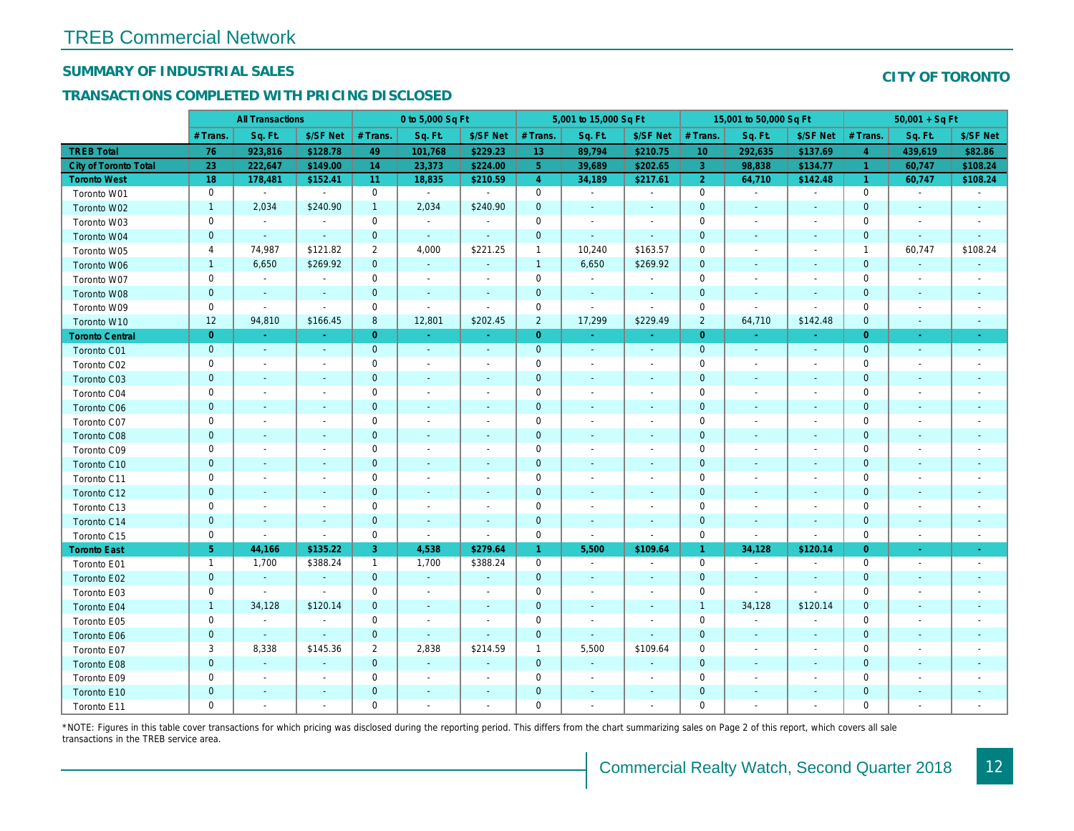## SUMMARY OF INDUSTRIAL SALES

## TRANSACTIONS COMPLETED WITH PRICING DISCLOSED

|                              |                | <b>All Transactions</b>  |                          |                | 0 to 5,000 Sq Ft         |                          |                      | 5,001 to 15,000 Sq Ft    |                          |                 | 15,001 to 50,000 Sq Ft   |                          |
|------------------------------|----------------|--------------------------|--------------------------|----------------|--------------------------|--------------------------|----------------------|--------------------------|--------------------------|-----------------|--------------------------|--------------------------|
|                              | # Trans        | Sq. Ft.                  | \$/SF Net                | # Trans.       | Sq. Ft.                  | \$/SF Net                | # Trans.             | Sq. Ft.                  | \$/SF Net                | # Trans.        | Sq. Ft.                  | \$/SF Ne                 |
| <b>TREB Total</b>            | 76             | 923,816                  | \$128.78                 | 49             | 101,768                  | \$229.23                 | 13                   | 89,794                   | \$210.75                 | 10 <sup>°</sup> | 292,635                  | \$137.69                 |
| <b>City of Toronto Total</b> | 23             | 222,647                  | \$149.00                 | 14             | 23,373                   | \$224.00                 | 5 <sup>1</sup>       | 39,689                   | \$202.65                 | $\mathbf{3}$    | 98,838                   | \$134.7                  |
| <b>Toronto West</b>          | 18             | 178,481                  | \$152.41                 | 11             | 18,835                   | \$210.59                 | $\overline{4}$       | 34,189                   | \$217.61                 | $\overline{2}$  | 64,710                   | \$142.48                 |
| Toronto W01                  | 0              | $\blacksquare$           | $\blacksquare$           | $\mathbf 0$    | $\sim$                   | $\blacksquare$           | $\mathbf 0$          | $\blacksquare$           | $\sim$                   | $\mathbf 0$     | $\blacksquare$           | $\blacksquare$           |
| Toronto W02                  | $\mathbf{1}$   | 2,034                    | \$240.90                 | $\mathbf{1}$   | 2,034                    | \$240.90                 | $\mathbf 0$          | $\blacksquare$           | $\sim$                   | $\mathbf{0}$    | $\blacksquare$           | $\blacksquare$           |
| Toronto W03                  | 0              | $\blacksquare$           | $\sim$                   | $\mathbf 0$    | $\blacksquare$           | $\overline{\phantom{a}}$ | $\mathbf 0$          | $\blacksquare$           | $\blacksquare$           | $\mathbf 0$     | $\blacksquare$           | $\blacksquare$           |
| Toronto W04                  | $\mathbf{0}$   | $\sim$                   | $\omega$                 | $\mathbf 0$    | $\sim$                   | $\blacksquare$           | $\mathbf 0$          | $\blacksquare$           | $\omega$                 | $\mathbf{0}$    | $\blacksquare$           | $\blacksquare$           |
| Toronto W05                  | 4              | 74,987                   | \$121.82                 | $\overline{2}$ | 4,000                    | \$221.25                 | $\mathbf{1}$         | 10,240                   | \$163.57                 | 0               | $\blacksquare$           | $\blacksquare$           |
| Toronto W06                  | $\mathbf{1}$   | 6,650                    | \$269.92                 | $\mathbf 0$    | $\sim$                   | $\blacksquare$           | $\mathbf{1}$         | 6,650                    | \$269.92                 | $\mathbf 0$     | $\blacksquare$           | ٠                        |
| Toronto W07                  | $\mathbf 0$    | $\omega$                 | $\sim$                   | $\mathbf 0$    | $\sim$                   | $\blacksquare$           | $\mathbf 0$          | $\mathbf{a}^{\prime}$    | $\Delta$                 | $\mathbf 0$     | $\blacksquare$           | $\overline{\phantom{a}}$ |
| Toronto W08                  | $\mathbf{0}$   | $\overline{\phantom{a}}$ | $\sim$                   | $\mathbf 0$    | $\blacksquare$           | $\blacksquare$           | $\mathbf 0$          | $\blacksquare$           | $\omega$                 | $\mathbf{0}$    | $\sim$                   |                          |
| Toronto W09                  | 0              | $\blacksquare$           | $\blacksquare$           | 0              | $\sim$                   | $\blacksquare$           | $\mathbf 0$          | $\blacksquare$           | $\blacksquare$           | 0               | $\blacksquare$           | $\blacksquare$           |
| Toronto W10                  | 12             | 94,810                   | \$166.45                 | 8              | 12,801                   | \$202.45                 | $\overline{2}$       | 17,299                   | \$229.49                 | $\overline{2}$  | 64,710                   | \$142.48                 |
| <b>Toronto Central</b>       | $\overline{0}$ | $\sim$                   | $\sim$                   | $\overline{0}$ | $\omega$                 | $\omega$                 | $\overline{0}$       | $\Delta \tau$            | $\Delta \tau$            | $\overline{0}$  | $\sim$                   | $\sim$                   |
| Toronto C01                  | $\mathbf{0}$   | $\blacksquare$           | $\sim$                   | $\mathbf{0}$   | $\sim$                   | $\blacksquare$           | $\mathbf 0$          | $\omega$                 | $\sim$                   | $\mathbf{0}$    | $\omega$                 | $\blacksquare$           |
| Toronto C02                  | 0              | $\overline{\phantom{a}}$ | $\sim$                   | 0              | $\blacksquare$           | $\blacksquare$           | $\mathbf 0$          | $\blacksquare$           | $\overline{\phantom{a}}$ | $\mathbf 0$     | $\blacksquare$           | $\blacksquare$           |
| Toronto C03                  | $\mathbf 0$    | $\blacksquare$           | $\sim$                   | $\mathbf 0$    | $\blacksquare$           | $\blacksquare$           | $\mathbf 0$          | ٠                        | $\blacksquare$           | $\mathbf 0$     | $\blacksquare$           | $\blacksquare$           |
| Toronto C04                  | 0              | $\overline{\phantom{a}}$ |                          | $\mathbf 0$    | $\blacksquare$           | $\blacksquare$           | $\mathbf 0$          | $\blacksquare$           | ä,                       | $\mathbf 0$     | $\blacksquare$           | $\blacksquare$           |
| Toronto C06                  | $\pmb{0}$      | $\sim$                   | $\sim$                   | $\mathbf 0$    | $\blacksquare$           | $\blacksquare$           | $\mathbf 0$          | $\blacksquare$           | $\blacksquare$           | $\mathbf{0}$    | $\blacksquare$           | $\blacksquare$           |
| Toronto C07                  | 0              | $\sim$                   | $\overline{\phantom{a}}$ | $\mathbf 0$    | $\blacksquare$           | $\blacksquare$           | $\mathbf 0$          | ä,                       | $\blacksquare$           | $\mathbf 0$     | $\blacksquare$           | $\blacksquare$           |
| Toronto C08                  | $\mathbf{0}$   | $\blacksquare$           | $\blacksquare$           | $\mathbf{0}$   | $\frac{1}{2}$            | $\blacksquare$           | $\mathbf{0}$         |                          | ٠                        | $\mathbf{0}$    | $\blacksquare$           | $\blacksquare$           |
| Toronto C09                  | $\mathbf 0$    | $\sim$                   |                          | $\mathbf 0$    | $\sim$                   | $\blacksquare$           | $\mathbf 0$          |                          | $\sim$                   | $\mathbf 0$     | J.                       |                          |
| Toronto C10                  | $\mathbf{0}$   | $\sim$                   | $\sim$                   | $\mathbf 0$    | $\blacksquare$           | $\blacksquare$           | $\mathbf 0$          | $\blacksquare$           | $\blacksquare$           | $\mathbf{0}$    | $\blacksquare$           | $\blacksquare$           |
| Toronto C11                  | 0              | $\blacksquare$           |                          | $\mathbf 0$    | $\blacksquare$           | $\blacksquare$           | $\mathbf 0$          | $\overline{\phantom{a}}$ | $\overline{\phantom{a}}$ | $\mathbf 0$     | $\blacksquare$           | $\overline{\phantom{a}}$ |
| Toronto C12                  | $\mathbf{0}$   | $\sim$                   | $\sim$                   | $\mathbf{0}$   | $\sim$                   | $\sim$                   | $\mathbf{0}$         | $\sim$                   | $\sim$                   | $\mathbf{0}$    | $\sim$                   | $\sim$                   |
| Toronto C13                  | 0              | $\sim$                   | $\overline{\phantom{a}}$ | $\mathbf 0$    | $\sim$                   | $\blacksquare$           | $\mathbf 0$          | $\sim$                   | $\sim$                   | 0               | $\blacksquare$           | $\overline{\phantom{a}}$ |
| Toronto C14                  | $\mathbf{0}$   | $\overline{\phantom{a}}$ | $\sim$                   | $\mathbf 0$    | $\sim$                   | $\blacksquare$           | $\mathbf 0$          | $\blacksquare$           | $\sim$                   | $\mathbf{0}$    | $\omega$                 | $\sim$                   |
| Toronto C15                  | 0              | $\blacksquare$           | $\blacksquare$           | $\mathbf 0$    | $\blacksquare$           | $\blacksquare$           | $\mathbf 0$          | $\blacksquare$           | $\blacksquare$           | $\mathbf 0$     | $\blacksquare$           | $\blacksquare$           |
| <b>Toronto East</b>          | 5 <sup>5</sup> | 44,166                   | \$135.22                 | 3              | 4,538                    | \$279.64                 | $\blacktriangleleft$ | 5,500                    | \$109.64                 | $\mathbf{1}$    | 34,128                   | \$120.14                 |
| Toronto E01                  | $\mathbf{1}$   | 1,700                    | \$388.24                 | $\mathbf{1}$   | 1,700                    | \$388.24                 | $\mathbf 0$          | $\omega$                 | $\blacksquare$           | $\mathbf 0$     | $\blacksquare$           | $\sim$                   |
| Toronto E02                  | $\mathbf 0$    | $\sim$                   | $\sim$                   | $\mathbf{0}$   | $\sim$                   | $\sim$                   | $\mathbf 0$          | $\blacksquare$           | $\sim$                   | $\mathbf{0}$    | $\sim$                   | $\sim$                   |
| Toronto E03                  | 0              | $\sim$                   | $\sim$                   | 0              | $\blacksquare$           | $\overline{\phantom{a}}$ | $\mathbf 0$          | $\blacksquare$           | $\blacksquare$           | 0               | $\blacksquare$           | $\overline{\phantom{a}}$ |
| Toronto E04                  | $\mathbf{1}$   | 34,128                   | \$120.14                 | $\mathbf{0}$   | $\sim$                   | $\blacksquare$           | $\mathbf{0}$         | $\omega$                 | $\sim$                   | $\overline{1}$  | 34,128                   | \$120.14                 |
| Toronto E05                  | 0              | $\blacksquare$           | $\blacksquare$           | $\mathbf 0$    | $\overline{\phantom{a}}$ | $\blacksquare$           | $\mathbf 0$          | $\blacksquare$           | $\blacksquare$           | $\mathbf 0$     | $\blacksquare$           | $\blacksquare$           |
| Toronto E06                  | $\mathbf 0$    | $\blacksquare$           | $\sim$                   | $\mathbf{0}$   | $\sim$                   | $\blacksquare$           | $\mathbf 0$          | $\blacksquare$           | $\blacksquare$           | $\mathbf 0$     | $\blacksquare$           | $\blacksquare$           |
| Toronto E07                  | 3              | 8,338                    | \$145.36                 | $\overline{2}$ | 2,838                    | \$214.59                 | $\mathbf{1}$         | 5,500                    | \$109.64                 | 0               | $\blacksquare$           | $\blacksquare$           |
| Toronto E08                  | $\mathbf{0}$   | $\omega$                 | $\sim$                   | $\mathbf 0$    | $\sim$                   | $\blacksquare$           | $\mathbf 0$          | $\omega$                 | $\Delta$                 | $\mathbf{0}$    | $\omega$                 |                          |
| Toronto E09                  | 0              | $\blacksquare$           | $\sim$                   | $\mathbf 0$    | $\blacksquare$           | $\blacksquare$           | $\mathbf 0$          | $\blacksquare$           | $\blacksquare$           | $\mathbf 0$     | $\blacksquare$           | $\blacksquare$           |
| Toronto E10                  | $\mathbf 0$    |                          |                          | $\mathbf 0$    | $\blacksquare$           | $\blacksquare$           | $\mathbf 0$          | ٠                        | ٠                        | $\mathbf 0$     | $\overline{\phantom{a}}$ |                          |
| Toronto E11                  | $\mathbf 0$    | $\blacksquare$           | $\sim$                   | $\mathbf 0$    | $\blacksquare$           | $\blacksquare$           | $\mathbf 0$          | $\blacksquare$           | $\blacksquare$           | $\mathbf 0$     | $\blacksquare$           | $\blacksquare$           |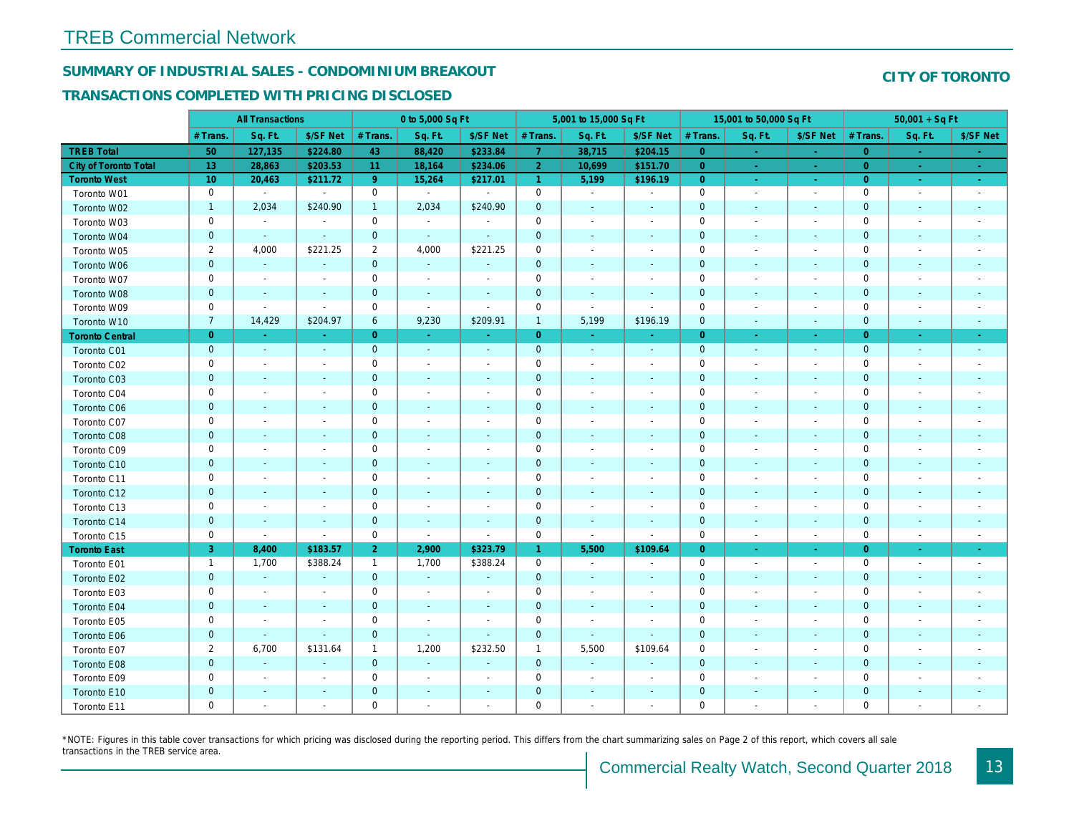# SUMMARY OF INDUSTRIAL SALES - CONDOMINIUM BREAKOUT

## TRANSACTIONS COMPLETED WITH PRICING DISCLOSED

|                        |                | <b>All Transactions</b>  |                          |                         | 0 to 5,000 Sq Ft |                          |                      | 5,001 to 15,000 Sq Ft    |                          |                | 15,001 to 50,000 Sq Ft   |                     |
|------------------------|----------------|--------------------------|--------------------------|-------------------------|------------------|--------------------------|----------------------|--------------------------|--------------------------|----------------|--------------------------|---------------------|
|                        | # Trans.       | Sq. Ft.                  | \$/SF Net                | # Trans.                | Sq. Ft.          | \$/SF Net                | # Trans.             | Sq. Ft.                  | \$/SF Net                | # Trans.       | Sq. Ft.                  | \$/SF Ne            |
| <b>TREB Total</b>      | 50             | 127,135                  | \$224.80                 | 43                      | 88,420           | \$233.84                 | $\overline{7}$       | 38,715                   | \$204.15                 | $\overline{0}$ | $\sim$                   | $\sim$              |
| City of Toronto Total  | 13             | 28,863                   | \$203.53                 | 11                      | 18,164           | \$234.06                 | $\overline{2}$       | 10,699                   | \$151.70                 | $\overline{0}$ | $\sim$                   | $\sim$ $^{-1}$      |
| <b>Toronto West</b>    | 10             | 20,463                   | \$211.72                 | 9 <sup>°</sup>          | 15,264           | \$217.01                 | $\blacktriangleleft$ | 5,199                    | \$196.19                 | $\overline{0}$ | $\sim$                   | $\sigma_{\rm{eff}}$ |
| Toronto W01            | 0              | $\blacksquare$           | $\blacksquare$           | $\mathbf 0$             | $\sim$           | $\blacksquare$           | $\mathbf 0$          | $\blacksquare$           | $\blacksquare$           | $\mathbf 0$    | $\blacksquare$           | $\sim$              |
| Toronto W02            | $\mathbf{1}$   | 2,034                    | \$240.90                 | $\mathbf{1}$            | 2,034            | \$240.90                 | $\mathbf 0$          | $\blacksquare$           | $\blacksquare$           | $\mathbf 0$    | $\blacksquare$           | $\blacksquare$      |
| Toronto W03            | 0              | $\blacksquare$           | $\blacksquare$           | $\mathbf 0$             | $\sim$           | $\blacksquare$           | $\mathbf 0$          | $\blacksquare$           | $\blacksquare$           | $\mathbf 0$    | $\blacksquare$           | $\blacksquare$      |
| Toronto W04            | $\mathbf 0$    | $\blacksquare$           | $\sim$                   | $\mathbf{0}$            | $\blacksquare$   | $\blacksquare$           | $\mathbf 0$          | $\blacksquare$           | $\blacksquare$           | $\mathbf{0}$   | $\blacksquare$           | $\blacksquare$      |
| Toronto W05            | $\overline{2}$ | 4,000                    | \$221.25                 | $\overline{\mathbf{c}}$ | 4,000            | \$221.25                 | $\mathbf 0$          | $\blacksquare$           | $\blacksquare$           | $\mathbf 0$    | $\blacksquare$           | $\blacksquare$      |
| Toronto W06            | $\mathbf{0}$   | $\sim$                   |                          | $\mathbf{0}$            | $\sim$           |                          | $\mathbf 0$          | ä,                       |                          | $\mathbf 0$    | $\sim$                   |                     |
| Toronto W07            | 0              | $\sim$                   | $\overline{\phantom{a}}$ | $\mathbf 0$             | $\blacksquare$   | $\blacksquare$           | $\mathbf 0$          | $\blacksquare$           | $\blacksquare$           | $\mathbf 0$    | $\blacksquare$           | $\blacksquare$      |
| Toronto W08            | $\mathbf 0$    | $\blacksquare$           | $\blacksquare$           | $\pmb{0}$               | $\blacksquare$   | $\blacksquare$           | $\pmb{0}$            | $\blacksquare$           | $\overline{\phantom{a}}$ | $\mathbf 0$    | $\blacksquare$           | ٠                   |
| Toronto W09            | 0              | $\overline{\phantom{a}}$ | $\blacksquare$           | 0                       | $\sim$           | $\blacksquare$           | $\mathbf 0$          | $\blacksquare$           | $\blacksquare$           | 0              | $\blacksquare$           | $\blacksquare$      |
| Toronto W10            | $\overline{7}$ | 14,429                   | \$204.97                 | 6                       | 9,230            | \$209.91                 | $\mathbf{1}$         | 5,199                    | \$196.19                 | $\mathbf 0$    | $\blacksquare$           | $\sim$              |
| <b>Toronto Central</b> | $\overline{0}$ | $\sim$                   | $\Delta \tau$            | $\overline{0}$          | $\sim$           | $\sim$                   | $\overline{0}$       | $\sim$                   | ÷.                       | $\overline{0}$ | $\sim$                   | $\sim$              |
| Toronto C01            | $\mathbf 0$    | $\sim$                   | $\sim$                   | $\mathbf 0$             | $\sim$           | $\blacksquare$           | $\mathbf 0$          | $\omega$                 | $\blacksquare$           | $\mathbf 0$    | $\omega$                 | $\blacksquare$      |
| Toronto C02            | 0              | $\overline{\phantom{a}}$ | $\overline{a}$           | $\mathbf 0$             | $\sim$           | $\blacksquare$           | $\mathbf 0$          | $\overline{a}$           | $\blacksquare$           | $\mathbf 0$    | $\overline{\phantom{a}}$ | $\blacksquare$      |
| Toronto C03            | $\mathbf 0$    | $\overline{\phantom{a}}$ |                          | $\mathbf 0$             | $\blacksquare$   | $\blacksquare$           | $\mathbf 0$          | $\blacksquare$           | ٠                        | $\mathbf{0}$   | $\blacksquare$           | $\blacksquare$      |
| Toronto C04            | 0              | $\overline{\phantom{a}}$ |                          | $\mathbf 0$             | $\sim$           | $\blacksquare$           | $\mathbf 0$          | $\overline{a}$           | $\blacksquare$           | $\mathbf 0$    | $\overline{\phantom{a}}$ | $\blacksquare$      |
| Toronto C06            | $\mathbf 0$    | $\sim$                   | $\blacksquare$           | $\mathbf 0$             | $\sim$           | $\bullet$                | $\mathbf 0$          | $\blacksquare$           | $\blacksquare$           | $\mathbf 0$    | $\blacksquare$           | $\blacksquare$      |
| Toronto C07            | 0              | $\sim$                   |                          | $\mathsf 0$             | $\sim$           | $\blacksquare$           | $\mathsf{O}\xspace$  | $\blacksquare$           | $\blacksquare$           | $\mathbf 0$    | ÷,                       | $\blacksquare$      |
| Toronto C08            | $\mathbf 0$    | $\blacksquare$           | $\sim$                   | $\mathbf 0$             | $\blacksquare$   | $\blacksquare$           | $\mathbf 0$          | ٠                        | $\blacksquare$           | $\mathbf{0}$   | $\blacksquare$           |                     |
| Toronto C09            | 0              | $\overline{\phantom{a}}$ |                          | $\mathbf 0$             | $\blacksquare$   |                          | $\mathbf 0$          | $\overline{a}$           | $\overline{a}$           | $\mathbf 0$    | $\overline{a}$           |                     |
| Toronto C10            | $\mathbf{0}$   | $\sim$                   | $\sim$                   | $\mathbf 0$             | $\blacksquare$   | $\blacksquare$           | $\mathbf 0$          | $\blacksquare$           | $\blacksquare$           | $\mathbf{0}$   | $\blacksquare$           | $\blacksquare$      |
| Toronto C11            | 0              | $\blacksquare$           | $\overline{\phantom{a}}$ | $\mathsf 0$             | $\blacksquare$   | $\blacksquare$           | $\mathsf{O}\xspace$  | $\overline{a}$           | $\overline{a}$           | $\mathbf 0$    | $\blacksquare$           | $\blacksquare$      |
| Toronto C12            | $\mathbf 0$    | $\sim$                   | $\sim$                   | $\mathbf 0$             | $\blacksquare$   | $\blacksquare$           | $\mathbf 0$          | $\blacksquare$           | $\blacksquare$           | $\mathbf{0}$   | $\blacksquare$           | ۰                   |
| Toronto C13            | 0              | $\overline{\phantom{a}}$ | $\overline{\phantom{a}}$ | $\mathbf 0$             | $\blacksquare$   | $\overline{\phantom{a}}$ | $\mathbf 0$          | $\blacksquare$           | $\overline{a}$           | 0              | $\blacksquare$           | $\blacksquare$      |
| Toronto C14            | $\mathbf{0}$   | $\sim$                   | $\sim$                   | $\mathbf 0$             | $\sim$           | $\sim$                   | $\mathbf 0$          | $\sim$                   | $\sim$                   | $\mathbf 0$    | $\sim$                   | $\sim$              |
| Toronto C15            | 0              | $\blacksquare$           | $\blacksquare$           | $\mathsf 0$             | $\blacksquare$   | $\sim$                   | $\mathbf 0$          | $\blacksquare$           | $\sim$                   | $\mathbf 0$    | $\blacksquare$           | $\sim$              |
| <b>Toronto East</b>    | 3              | 8,400                    | \$183.57                 | 2 <sup>1</sup>          | 2,900            | \$323.79                 | $\mathbf{1}$         | 5,500                    | \$109.64                 | $\overline{0}$ | $\bullet$                | $\sigma_{\rm c}$    |
| Toronto E01            | $\mathbf{1}$   | 1,700                    | \$388.24                 | $\mathbf{1}$            | 1,700            | \$388.24                 | $\mathbf 0$          | $\sim$                   | $\blacksquare$           | $\mathbf 0$    | $\blacksquare$           | $\sim$              |
| Toronto E02            | $\mathbf{0}$   | $\sim$                   | $\sim$                   | $\mathbf{0}$            | $\sim$           | $\sim$                   | $\mathbf 0$          | $\blacksquare$           | $\blacksquare$           | $\mathbf{0}$   | $\sim$                   | $\sim$              |
| Toronto E03            | 0              | $\overline{\phantom{a}}$ | $\overline{\phantom{a}}$ | $\mathbf 0$             | $\blacksquare$   | $\overline{\phantom{a}}$ | $\mathbf 0$          | $\blacksquare$           | $\overline{\phantom{a}}$ | 0              | $\blacksquare$           | $\blacksquare$      |
| Toronto E04            | $\mathbf 0$    | $\blacksquare$           | $\sim$                   | $\mathbf 0$             | $\blacksquare$   | $\blacksquare$           | $\mathbf 0$          | $\blacksquare$           | $\blacksquare$           | $\mathbf{0}$   | $\blacksquare$           | $\blacksquare$      |
| Toronto E05            | 0              | $\overline{\phantom{a}}$ | $\blacksquare$           | $\mathbf 0$             | $\blacksquare$   | $\blacksquare$           | $\mathbf 0$          | $\overline{\phantom{a}}$ | $\blacksquare$           | $\mathbf 0$    | $\blacksquare$           | $\blacksquare$      |
| Toronto E06            | $\mathbf 0$    | $\blacksquare$           | $\sim$                   | $\mathbf 0$             | $\blacksquare$   | $\blacksquare$           | $\mathbf 0$          | $\blacksquare$           | $\blacksquare$           | $\mathbf 0$    | $\sim$                   | $\blacksquare$      |
| Toronto E07            | $\overline{2}$ | 6,700                    | \$131.64                 | 1                       | 1,200            | \$232.50                 | $\mathbf{1}$         | 5,500                    | \$109.64                 | 0              | $\blacksquare$           | $\blacksquare$      |
| Toronto E08            | $\mathbf{0}$   | $\sim$                   | $\sim$                   | $\mathbf 0$             | $\mathbf{r}$     | $\blacksquare$           | $\mathbf 0$          | $\sim$                   | ä,                       | $\mathbf{0}$   | $\sim$                   |                     |
| Toronto E09            | 0              | $\sim$                   | $\sim$                   | $\mathbf 0$             | $\sim$           | $\blacksquare$           | $\mathsf{O}\xspace$  | $\blacksquare$           | $\blacksquare$           | $\mathbf 0$    | $\blacksquare$           | $\blacksquare$      |
| Toronto E10            | $\mathbf 0$    | $\sim$                   |                          | $\pmb{0}$               | $\blacksquare$   | $\blacksquare$           | $\pmb{0}$            | $\overline{\phantom{a}}$ | $\blacksquare$           | $\mathbf 0$    | $\sim$                   |                     |
| Toronto E11            | 0              | $\blacksquare$           | $\overline{\phantom{a}}$ | $\mathbf 0$             | $\blacksquare$   | $\blacksquare$           | $\mathbf 0$          | $\blacksquare$           | $\blacksquare$           | $\mathbf 0$    | $\blacksquare$           | $\blacksquare$      |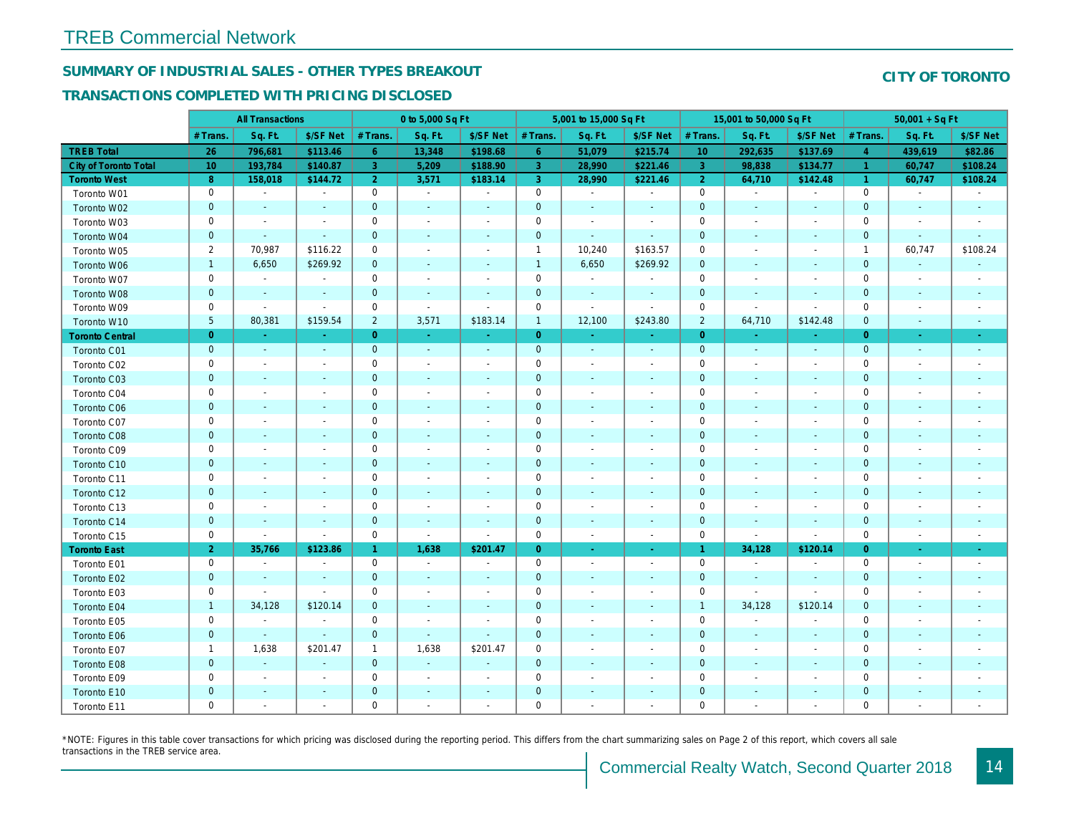# SUMMARY OF INDUSTRIAL SALES - OTHER TYPES BREAKOUT

## TRANSACTIONS COMPLETED WITH PRICING DISCLOSED

|                              |                | <b>All Transactions</b>  |                          |                      | 0 to 5,000 Sq Ft         |                          |                     | 5,001 to 15,000 Sq Ft    |                          |                 | 15,001 to 50,000 Sq Ft   |                          |
|------------------------------|----------------|--------------------------|--------------------------|----------------------|--------------------------|--------------------------|---------------------|--------------------------|--------------------------|-----------------|--------------------------|--------------------------|
|                              | # Trans        | Sq. Ft.                  | \$/SF Net                | # Trans.             | Sq. Ft.                  | \$/SF Net                | # Trans.            | Sq. Ft.                  | \$/SF Net                | # Trans.        | Sq. Ft.                  | \$/SF Ne                 |
| <b>TREB Total</b>            | 26             | 796,681                  | \$113.46                 | $6\phantom{1}$       | 13,348                   | \$198.68                 | 6 <sup>°</sup>      | 51,079                   | \$215.74                 | 10 <sup>°</sup> | 292,635                  | \$137.69                 |
| <b>City of Toronto Total</b> | 10             | 193,784                  | \$140.87                 | 3                    | 5,209                    | \$188.90                 | $\overline{3}$      | 28,990                   | \$221.46                 | $\mathbf{3}$    | 98,838                   | \$134.7                  |
| <b>Toronto West</b>          | 8              | 158,018                  | \$144.72                 | $\overline{2}$       | 3,571                    | \$183.14                 | 3 <sup>°</sup>      | 28,990                   | \$221.46                 | $\overline{2}$  | 64,710                   | \$142.48                 |
| Toronto W01                  | 0              | $\blacksquare$           | $\blacksquare$           | $\mathbf 0$          | $\sim$                   | $\blacksquare$           | $\mathsf{O}$        | $\blacksquare$           | $\blacksquare$           | $\mathbf 0$     | $\blacksquare$           | $\sim$                   |
| Toronto W02                  | $\mathbf 0$    | $\blacksquare$           |                          | $\mathbf 0$          | $\blacksquare$           | $\frac{1}{2}$            | $\mathbf 0$         | $\blacksquare$           | $\sim$                   | $\mathbf 0$     | $\blacksquare$           | $\blacksquare$           |
| Toronto W03                  | 0              | $\blacksquare$           | $\sim$                   | $\mathbf 0$          | $\blacksquare$           | $\blacksquare$           | $\mathbf 0$         | $\blacksquare$           | $\sim$                   | $\mathbf 0$     | $\blacksquare$           | $\blacksquare$           |
| Toronto W04                  | $\mathbf 0$    | $\blacksquare$           | $\sim$                   | $\mathbf 0$          | $\blacksquare$           | $\blacksquare$           | $\mathbf 0$         | $\blacksquare$           | $\blacksquare$           | $\mathbf{0}$    | $\blacksquare$           | $\blacksquare$           |
| Toronto W05                  | $\overline{2}$ | 70,987                   | \$116.22                 | 0                    | $\blacksquare$           | $\blacksquare$           | $\mathbf{1}$        | 10,240                   | \$163.57                 | $\mathbf 0$     | $\blacksquare$           | $\blacksquare$           |
| Toronto W06                  | $\mathbf{1}$   | 6,650                    | \$269.92                 | $\pmb{0}$            | $\blacksquare$           | $\blacksquare$           | $\mathbf{1}$        | 6,650                    | \$269.92                 | $\mathbf 0$     | $\blacksquare$           | ۰                        |
| Toronto W07                  | 0              | $\sim$                   | $\blacksquare$           | 0                    | $\sim$                   | $\sim$                   | $\mathsf 0$         | $\sim$                   | $\sim$                   | $\mathbf 0$     | $\blacksquare$           | $\blacksquare$           |
| Toronto W08                  | $\mathbf{0}$   | $\blacksquare$           | $\sim$                   | $\mathbf 0$          | $\mathbf{r}$             | $\blacksquare$           | $\mathbf 0$         | $\blacksquare$           | $\blacksquare$           | $\mathbf{0}$    | $\blacksquare$           |                          |
| Toronto W09                  | 0              | $\blacksquare$           | $\sim$                   | $\mathbf 0$          | $\blacksquare$           | $\sim$                   | $\mathsf{O}\xspace$ | $\overline{a}$           | $\blacksquare$           | $\mathbf 0$     | $\sim$                   | $\blacksquare$           |
| Toronto W10                  | 5 <sub>5</sub> | 80,381                   | \$159.54                 | $\overline{c}$       | 3,571                    | \$183.14                 | $\mathbf{1}$        | 12,100                   | \$243.80                 | $\overline{2}$  | 64,710                   | \$142.48                 |
| <b>Toronto Central</b>       | $\overline{0}$ | a.                       | $\sim$                   | $\overline{0}$       | $\sim$                   | $\sim$                   | $\overline{0}$      | $\omega_{\rm c}$         | $\omega_{\rm c}$         | $\overline{0}$  | $\sim$                   | $\sim$                   |
| Toronto C01                  | $\mathbf 0$    | $\sim$                   | $\sim$                   | $\mathbf 0$          | $\sim$                   | $\blacksquare$           | $\mathbf{0}$        | $\omega$                 | $\sim$                   | $\mathbf 0$     | $\omega$                 | $\sim$                   |
| Toronto C02                  | 0              | $\overline{\phantom{a}}$ | $\overline{a}$           | $\mathbf 0$          | $\sim$                   | $\blacksquare$           | $\mathbf 0$         | $\overline{a}$           | $\blacksquare$           | $\mathbf 0$     | $\blacksquare$           | $\blacksquare$           |
| Toronto C03                  | $\mathbf 0$    | $\sim$                   | $\overline{\phantom{a}}$ | $\mathbf 0$          | $\blacksquare$           | $\blacksquare$           | $\mathbf 0$         | $\blacksquare$           | $\blacksquare$           | $\mathbf 0$     | $\blacksquare$           | ٠                        |
| Toronto C04                  | 0              | $\overline{\phantom{a}}$ |                          | $\mathbf 0$          | $\sim$                   | $\blacksquare$           | $\mathsf{O}\xspace$ | $\overline{a}$           | $\blacksquare$           | $\mathbf 0$     | $\blacksquare$           | $\blacksquare$           |
| Toronto C06                  | $\mathbf 0$    | $\sim$                   | $\blacksquare$           | $\mathbf 0$          | $\blacksquare$           | $\blacksquare$           | $\mathbf 0$         | $\blacksquare$           | $\blacksquare$           | $\mathbf{0}$    | $\blacksquare$           | $\blacksquare$           |
| Toronto C07                  | 0              | $\overline{\phantom{a}}$ | $\overline{\phantom{a}}$ | $\mathbf 0$          | $\blacksquare$           | $\frac{1}{2}$            | $\mathbf 0$         | $\overline{a}$           | $\overline{a}$           | $\mathbf 0$     | ÷,                       | $\blacksquare$           |
| Toronto C08                  | $\mathbf{0}$   | $\blacksquare$           |                          | $\mathbf{0}$         | $\blacksquare$           | $\blacksquare$           | $\mathbf{0}$        | $\overline{\phantom{a}}$ | $\overline{\phantom{a}}$ | $\mathbf{0}$    | $\blacksquare$           | ٠                        |
| Toronto C09                  | 0              | $\sim$                   | $\sim$                   | $\mathsf 0$          | $\sim$                   | $\blacksquare$           | $\mathbf 0$         | $\blacksquare$           | $\blacksquare$           | $\mathbf 0$     | ÷,                       | $\blacksquare$           |
| Toronto C10                  | $\mathbf 0$    | $\sim$                   | $\sim$                   | $\mathbf 0$          | $\blacksquare$           | $\blacksquare$           | $\mathbf 0$         | $\blacksquare$           | $\blacksquare$           | $\mathbf{0}$    | $\blacksquare$           | $\sim$                   |
| Toronto C11                  | 0              | $\overline{\phantom{a}}$ | $\overline{\phantom{a}}$ | $\mathbf 0$          | $\blacksquare$           | $\overline{\phantom{a}}$ | $\mathbf 0$         | $\overline{a}$           | $\overline{a}$           | $\mathbf 0$     | $\blacksquare$           | $\blacksquare$           |
| Toronto C12                  | $\mathbf{0}$   | $\sim$                   | $\sim$                   | $\mathbf{0}$         | $\blacksquare$           | $\blacksquare$           | $\mathbf 0$         | $\blacksquare$           | $\blacksquare$           | $\mathbf 0$     | $\sim$                   | $\sim$                   |
| Toronto C13                  | 0              | $\sim$                   | $\overline{\phantom{a}}$ | $\mathsf 0$          | $\sim$                   | $\overline{\phantom{a}}$ | $\mathbf 0$         | $\sim$                   | $\blacksquare$           | $\mathbf 0$     | $\blacksquare$           | $\blacksquare$           |
| Toronto C14                  | $\mathbf 0$    | $\sim$                   | $\sim$                   | $\mathbf 0$          | $\sim$                   | $\sim$                   | $\mathbf 0$         | $\blacksquare$           | $\sim$                   | $\mathbf 0$     | $\blacksquare$           | $\sim$                   |
| Toronto C15                  | 0              | $\blacksquare$           | $\blacksquare$           | $\mathsf 0$          | $\blacksquare$           | $\blacksquare$           | $\mathsf{O}\xspace$ | $\blacksquare$           | $\blacksquare$           | $\mathbf 0$     | $\blacksquare$           | $\blacksquare$           |
| <b>Toronto East</b>          | 2 <sup>1</sup> | 35,766                   | \$123.86                 | $\blacktriangleleft$ | 1,638                    | \$201.47                 | $\overline{0}$      | $\sim$                   | $\omega_{\rm c}$         | $\overline{1}$  | 34,128                   | \$120.14                 |
| Toronto E01                  | 0              | $\sim$                   | $\blacksquare$           | $\mathbf 0$          | $\sim$                   | $\blacksquare$           | 0                   | $\sim$                   | $\blacksquare$           | $\mathbf 0$     | $\blacksquare$           | $\sim$                   |
| Toronto E02                  | $\mathbf 0$    | $\sim$                   | $\sim$                   | $\mathbf 0$          | $\sim$                   | $\blacksquare$           | $\mathbf 0$         | $\blacksquare$           | $\blacksquare$           | $\mathbf{0}$    | $\sim$                   | $\sim$                   |
| Toronto E03                  | 0              | $\overline{\phantom{a}}$ | $\sim$                   | 0                    | $\overline{\phantom{a}}$ | $\overline{\phantom{a}}$ | $\mathbf 0$         | $\blacksquare$           | $\sim$                   | 0               | $\omega$                 | $\overline{\phantom{a}}$ |
| Toronto E04                  | $\mathbf{1}$   | 34,128                   | \$120.14                 | $\mathbf{0}$         | $\sim$                   | $\sim$                   | $\mathbf 0$         | $\blacksquare$           | $\omega$                 | $\overline{1}$  | 34,128                   | \$120.14                 |
| Toronto E05                  | 0              | $\blacksquare$           | $\blacksquare$           | $\mathbf 0$          | $\blacksquare$           | $\blacksquare$           | $\mathbf 0$         | $\blacksquare$           | $\blacksquare$           | $\mathbf 0$     | $\blacksquare$           | $\blacksquare$           |
| Toronto E06                  | $\mathbf 0$    | $\blacksquare$           | $\sim$                   | $\mathbf 0$          | $\blacksquare$           | $\blacksquare$           | $\mathbf 0$         | $\overline{\phantom{a}}$ | $\overline{\phantom{a}}$ | $\mathbf 0$     | $\blacksquare$           | $\blacksquare$           |
| Toronto E07                  | $\mathbf{1}$   | 1,638                    | \$201.47                 | 1                    | 1,638                    | \$201.47                 | $\mathbf 0$         | $\overline{\phantom{a}}$ | $\blacksquare$           | $\mathbf 0$     | $\overline{\phantom{a}}$ | $\blacksquare$           |
| Toronto E08                  | $\mathbf 0$    | $\omega$                 | $\mathbf{r}$             | $\mathbf 0$          | $\omega$                 | $\blacksquare$           | $\mathbf 0$         | $\blacksquare$           | $\blacksquare$           | $\mathbf{0}$    | $\blacksquare$           | $\blacksquare$           |
| Toronto E09                  | 0              | $\blacksquare$           | $\blacksquare$           | $\mathbf 0$          | $\blacksquare$           | $\blacksquare$           | $\mathbf 0$         | $\blacksquare$           | $\blacksquare$           | $\mathbf 0$     | $\blacksquare$           | $\blacksquare$           |
| Toronto E10                  | $\mathbf 0$    | $\sim$                   |                          | $\pmb{0}$            | $\blacksquare$           | $\blacksquare$           | $\pmb{0}$           | ÷,                       | ٠                        | $\mathbf 0$     | $\blacksquare$           |                          |
| Toronto E11                  | 0              | $\blacksquare$           | $\overline{\phantom{a}}$ | 0                    | $\blacksquare$           | $\blacksquare$           | $\mathbf 0$         | $\blacksquare$           | $\blacksquare$           | $\mathbf 0$     | $\blacksquare$           | $\blacksquare$           |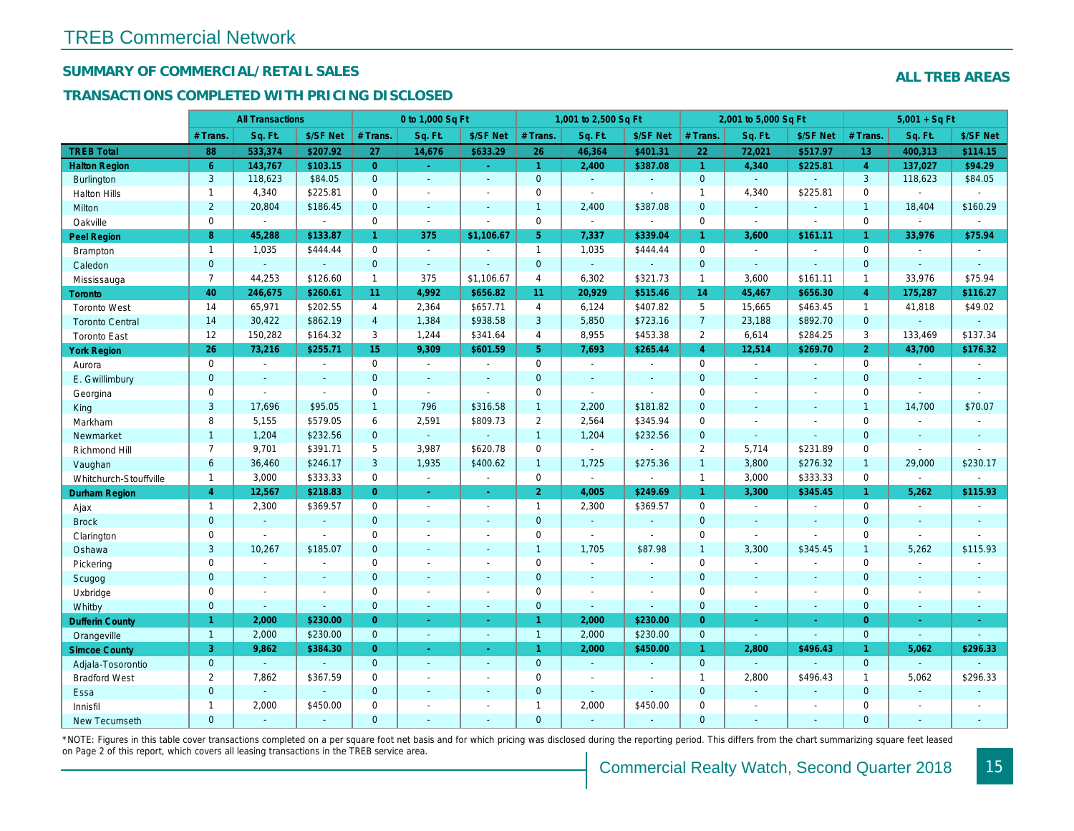## SUMMARY OF COMMERCIAL/RETAIL SALES

## TRANSACTIONS COMPLETED WITH PRICING DISCLOSED

|                        |                | <b>All Transactions</b> |                |                | 0 to 1,000 Sq Ft |                |                      | 1,001 to 2,500 Sq Ft |                       |                | 2,001 to 5,000 Sq Ft |                |
|------------------------|----------------|-------------------------|----------------|----------------|------------------|----------------|----------------------|----------------------|-----------------------|----------------|----------------------|----------------|
|                        | # Trans        | Sq. Ft.                 | \$/SF Net      | # Trans.       | Sq. Ft.          | \$/SF Net      | # Trans.             | Sq. Ft.              | \$/SF Net             | # Trans.       | Sq. Ft.              | \$/SF Ne       |
| <b>TREB Total</b>      | 88             | 533,374                 | \$207.92       | 27             | 14,676           | \$633.29       | 26                   | 46,364               | \$401.31              | 22             | 72,021               | \$517.97       |
| <b>Halton Region</b>   | $6^{\circ}$    | 143,767                 | \$103.15       | $\overline{0}$ | $\sim$           | $\omega$       | $\overline{1}$       | 2,400                | \$387.08              | $\overline{1}$ | 4,340                | \$225.8'       |
| <b>Burlington</b>      | 3              | 118,623                 | \$84.05        | $\mathbf{0}$   | $\omega$         | $\sim$         | $\mathbf{0}$         | $\omega$             | ä,                    | $\overline{0}$ | $\omega$             | $\omega$       |
| <b>Halton Hills</b>    | $\mathbf{1}$   | 4,340                   | \$225.81       | $\mathbf 0$    | $\sim$           |                | $\pmb{0}$            | $\blacksquare$       |                       | $\overline{1}$ | 4,340                | \$225.8'       |
| Milton                 | $\overline{2}$ | 20,804                  | \$186.45       | $\mathbf{0}$   | $\Delta$         |                | $\mathbf{1}$         | 2,400                | \$387.08              | $\mathbf{0}$   | $\omega$             | $\blacksquare$ |
| Oakville               | $\mathbf 0$    | $\blacksquare$          | $\sim$         | $\Omega$       | $\mathbf{r}$     |                | 0                    | $\blacksquare$       | $\sim$                | $\mathbf 0$    | $\sim$               | $\blacksquare$ |
| <b>Peel Region</b>     | 8              | 45,288                  | \$133.87       | $\mathbf{1}$   | 375              | \$1,106.67     | 5 <sub>1</sub>       | 7,337                | \$339.04              | $\mathbf{1}$   | 3,600                | \$161.1        |
| <b>Brampton</b>        | $\overline{1}$ | 1,035                   | \$444.44       | $\Omega$       | $\blacksquare$   |                | $\mathbf{1}$         | 1,035                | \$444.44              | $\mathbf 0$    | $\blacksquare$       | $\blacksquare$ |
| Caledon                | $\overline{0}$ | $\omega$                | $\blacksquare$ | $\mathbf{0}$   | $\sim$           |                | $\overline{0}$       | $\omega_{\rm c}$     | $\blacksquare$        | $\mathbf{0}$   | $\omega$             | $\omega$       |
| Mississauga            | $\overline{7}$ | 44,253                  | \$126.60       | $\mathbf{1}$   | 375              | \$1,106.67     | 4                    | 6,302                | \$321.73              | $\mathbf{1}$   | 3,600                | \$161.1        |
| Toronto                | 40             | 246,675                 | \$260.61       | 11             | 4,992            | \$656.82       | 11                   | 20,929               | \$515.46              | 14             | 45,467               | \$656.3        |
| <b>Toronto West</b>    | 14             | 65,971                  | \$202.55       | 4              | 2,364            | \$657.71       | $\overline{4}$       | 6,124                | \$407.82              | 5              | 15,665               | \$463.45       |
| <b>Toronto Central</b> | 14             | 30,422                  | \$862.19       | $\overline{4}$ | 1,384            | \$938.58       | 3                    | 5,850                | \$723.16              | $\overline{7}$ | 23,188               | \$892.70       |
| <b>Toronto East</b>    | 12             | 150,282                 | \$164.32       | 3              | 1,244            | \$341.64       | $\overline{4}$       | 8,955                | \$453.38              | $\overline{2}$ | 6,614                | \$284.25       |
| <b>York Region</b>     | 26             | 73,216                  | \$255.71       | 15             | 9,309            | \$601.59       | 5 <sup>1</sup>       | 7,693                | \$265.44              | $\overline{4}$ | 12,514               | \$269.70       |
| Aurora                 | $\mathbf 0$    | $\sim$                  | $\omega$       | $\mathbf 0$    | $\sim$           | $\sim$         | 0                    | $\blacksquare$       | $\blacksquare$        | $\mathbf 0$    | $\blacksquare$       | $\blacksquare$ |
| E. Gwillimbury         | $\mathbf{0}$   | $\sim$                  | $\sim$         | $\mathbf{0}$   | $\sim$           |                | $\mathbf 0$          | $\blacksquare$       | ä,                    | $\mathbf{0}$   | $\blacksquare$       | $\blacksquare$ |
| Georgina               | $\mathbf 0$    | $\sim$                  | $\sim$         | $\Omega$       | $\sim$           | ÷.             | $\mathbf 0$          | $\blacksquare$       | $\blacksquare$        | $\mathbf 0$    | $\blacksquare$       | $\blacksquare$ |
| King                   | 3              | 17,696                  | \$95.05        | $\mathbf{1}$   | 796              | \$316.58       | $\mathbf{1}$         | 2,200                | \$181.82              | $\mathbf{0}$   | $\blacksquare$       |                |
| Markham                | 8              | 5,155                   | \$579.05       | 6              | 2,591            | \$809.73       | $\overline{2}$       | 2,564                | \$345.94              | $\mathbf 0$    | $\blacksquare$       | $\blacksquare$ |
| Newmarket              | $\mathbf{1}$   | 1,204                   | \$232.56       | $\mathbf{0}$   | $\omega$         |                | $\mathbf{1}$         | 1,204                | \$232.56              | $\mathbf 0$    | $\blacksquare$       | $\blacksquare$ |
| Richmond Hill          | $\overline{7}$ | 9,701                   | \$391.71       | 5              | 3,987            | \$620.78       | $\mathbf 0$          | $\blacksquare$       | L.                    | 2              | 5,714                | \$231.89       |
| Vaughan                | 6              | 36,460                  | \$246.17       | 3              | 1,935            | \$400.62       | $\mathbf{1}$         | 1,725                | \$275.36              | $\overline{1}$ | 3,800                | \$276.32       |
| Whitchurch-Stouffville | $\mathbf{1}$   | 3,000                   | \$333.33       | 0              | $\omega$         | $\omega$       | $\mathbf 0$          | $\blacksquare$       | $\tilde{\phantom{a}}$ | $\mathbf{1}$   | 3,000                | \$333.33       |
| <b>Durham Region</b>   | $\overline{4}$ | 12,567                  | \$218.83       | $\Omega$       | $\omega$         | $\omega$       | 2 <sup>1</sup>       | 4,005                | \$249.69              | $\mathbf{1}$   | 3,300                | \$345.45       |
| Ajax                   | $\mathbf{1}$   | 2,300                   | \$369.57       | $\mathbf 0$    | $\sim$           | $\sim$         | $\mathbf{1}$         | 2,300                | \$369.57              | $\mathbf 0$    | $\blacksquare$       | $\sim$         |
| <b>Brock</b>           | $\mathbf{0}$   | $\omega$                | $\blacksquare$ | $\mathbf{0}$   | ÷.               | $\sim$         | $\mathbf 0$          | ä,                   | ä,                    | $\mathbf 0$    | ä,                   | $\omega$       |
| Clarington             | $\mathbf 0$    | $\sim$                  | $\sim$         | $\mathbf 0$    |                  |                | $\pmb{0}$            | $\blacksquare$       | $\sim$                | $\mathbf 0$    | $\blacksquare$       |                |
| Oshawa                 | 3              | 10,267                  | \$185.07       | $\Omega$       |                  |                | $\overline{1}$       | 1,705                | \$87.98               | $\mathbf{1}$   | 3,300                | \$345.45       |
| Pickering              | $\mathbf 0$    | $\tilde{\phantom{a}}$   | $\blacksquare$ | $\mathbf 0$    | $\blacksquare$   |                | $\pmb{0}$            | $\sim$               | $\blacksquare$        | $\mathbf 0$    | $\sim$               | $\overline{a}$ |
| Scugog                 | $\mathbf{0}$   | $\blacksquare$          | $\blacksquare$ | $\mathbf{0}$   | $\sim$           | $\blacksquare$ | $\mathbf 0$          | $\blacksquare$       | $\blacksquare$        | $\mathbf{0}$   | $\blacksquare$       | $\blacksquare$ |
| Uxbridge               | $\mathbf 0$    | $\sim$                  | $\sim$         | $\mathbf 0$    | ÷.               | $\sim$         | $\mathbf 0$          | $\blacksquare$       | $\blacksquare$        | $\mathbf 0$    | $\blacksquare$       | $\blacksquare$ |
| Whitby                 | $\overline{0}$ | $\blacksquare$          | $\blacksquare$ | $\mathbf{0}$   | $\sim$           | $\blacksquare$ | $\mathbf 0$          | $\blacksquare$       | $\blacksquare$        | $\mathbf{0}$   | $\blacksquare$       | $\sim$         |
| <b>Dufferin County</b> | $\mathbf{1}$   | 2,000                   | \$230.00       | $\overline{0}$ | ÷.               | $\sim$         | $\blacktriangleleft$ | 2,000                | \$230.00              | $\overline{0}$ | ×.                   | $\sim$         |
| Orangeville            | $\overline{1}$ | 2,000                   | \$230.00       | $\mathbf{0}$   | $\sim$           | $\sim$         | $\overline{1}$       | 2,000                | \$230.00              | $\mathbf{0}$   | $\omega$             | $\sim$         |
| <b>Simcoe County</b>   | 3              | 9,862                   | \$384.30       | $\overline{0}$ | $\sim$           | $\sim$         | $\mathbf{1}$         | 2,000                | \$450.00              | $\mathbf{1}$   | 2,800                | \$496.4        |
| Adjala-Tosorontio      | $\mathbf{0}$   |                         |                | $\mathbf{0}$   | $\sim$           | $\sim$         | $\mathbf{0}$         | $\omega$             | ÷.                    | $\mathbf{0}$   | ÷.                   |                |
| <b>Bradford West</b>   | $\overline{2}$ | 7,862                   | \$367.59       | $\mathbf 0$    | $\sim$           | $\sim$         | $\mathbf 0$          | $\blacksquare$       | $\blacksquare$        | $\mathbf{1}$   | 2,800                | \$496.43       |
| Essa                   | $\mathbf{0}$   | $\blacksquare$          | $\blacksquare$ | $\overline{0}$ |                  |                | $\mathbf 0$          | $\omega$             | $\sim$                | $\mathbf 0$    | $\omega$             |                |
| Innisfil               | $\mathbf{1}$   | 2,000                   | \$450.00       | $\Omega$       | $\blacksquare$   | $\blacksquare$ | $\mathbf{1}$         | 2,000                | \$450.00              | $\mathbf 0$    | $\blacksquare$       | $\blacksquare$ |
| <b>New Tecumseth</b>   | $\Omega$       |                         |                | $\Omega$       |                  |                | $\Omega$             |                      |                       | $\Omega$       |                      |                |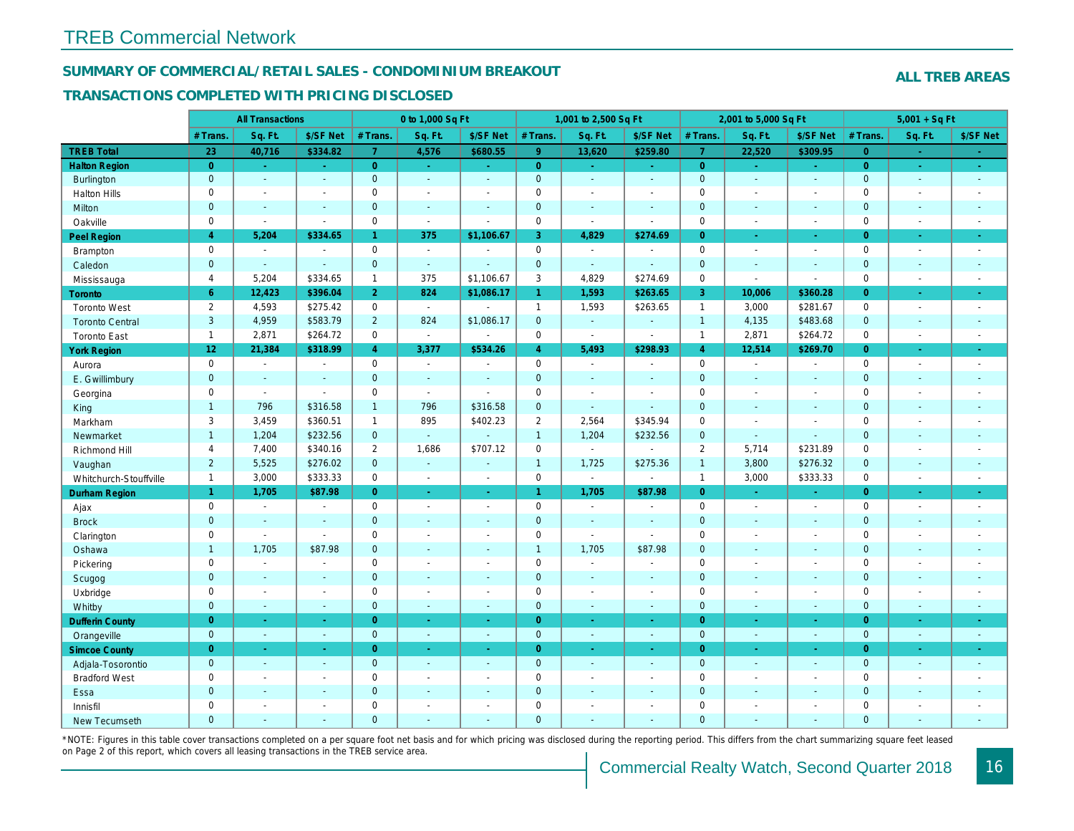## SUMMARY OF COMMERCIAL/RETAIL SALES - CONDOMINIUM BREAKOUT

### TRANSACTIONS COMPLETED WITH PRICING DISCLOSED

|                        |                | <b>All Transactions</b> |                          |                | 0 to 1,000 Sq Ft         |                |                | 1,001 to 2,500 Sq Ft  |                          |                | 2,001 to 5,000 Sq Ft |                          |
|------------------------|----------------|-------------------------|--------------------------|----------------|--------------------------|----------------|----------------|-----------------------|--------------------------|----------------|----------------------|--------------------------|
|                        | # Trans        | Sq. Ft.                 | \$/SF Net                | # Trans.       | Sq. Ft.                  | \$/SF Net      | # Trans.       | Sq. Ft.               | \$/SF Net                | # Trans.       | Sq. Ft.              | \$/SF Ne                 |
| <b>TREB Total</b>      | 23             | 40,716                  | \$334.82                 | 7 <sup>1</sup> | 4,576                    | \$680.55       | 9 <sup>°</sup> | 13,620                | \$259.80                 | $\overline{7}$ | 22,520               | \$309.95                 |
| <b>Halton Region</b>   | $\overline{0}$ | $\omega_{\rm c}$        | $\omega$                 | $\overline{0}$ | $\sim$                   | $\sim$         | $\overline{0}$ | $\omega_{\rm c}$      | $\omega_{\rm{eff}}$      | $\overline{0}$ | $\sim$               | $\omega_{\rm c}$         |
| Burlington             | $\mathbf{0}$   | $\omega$                | $\omega$                 | $\mathbf{0}$   | $\blacksquare$           | $\sim$         | $\mathbf{0}$   | $\omega$              | $\omega$                 | $\mathbf 0$    | $\omega$             | $\omega$                 |
| <b>Halton Hills</b>    | $\mathbf 0$    | $\blacksquare$          | $\blacksquare$           | $\Omega$       | $\overline{\phantom{a}}$ |                | $\pmb{0}$      | $\blacksquare$        | $\blacksquare$           | $\mathbf 0$    | ÷,                   | $\sim$                   |
| Milton                 | $\mathbf{0}$   | $\blacksquare$          | $\blacksquare$           | $\mathbf{0}$   | $\sim$                   | $\blacksquare$ | $\mathbf 0$    | $\blacksquare$        | $\blacksquare$           | $\mathbf 0$    | $\blacksquare$       | $\blacksquare$           |
| Oakville               | $\mathbf 0$    | $\blacksquare$          | $\blacksquare$           | $\mathbf 0$    | $\blacksquare$           | $\blacksquare$ | 0              | $\tilde{\phantom{a}}$ | $\sim$                   | $\mathbf 0$    | $\blacksquare$       | $\sim$                   |
| <b>Peel Region</b>     | $\overline{4}$ | 5,204                   | \$334.65                 | $\mathbf{1}$   | 375                      | \$1,106.67     | 3              | 4,829                 | \$274.69                 | $\overline{0}$ | $\omega$             | $\bullet$                |
| Brampton               | $\mathbf 0$    | $\blacksquare$          | $\overline{\phantom{a}}$ | $\mathbf 0$    | $\sim$                   |                | 0              | $\sim$                | $\overline{\phantom{a}}$ | $\mathbf 0$    | $\blacksquare$       | $\sim$                   |
| Caledon                | $\mathbf{0}$   | $\sim$                  | $\blacksquare$           | $\mathbf{0}$   | $\sim$                   |                | $\mathbf{0}$   | $\omega$              | $\sim$                   | $\mathbf 0$    | $\blacksquare$       | $\sim$                   |
| Mississauga            | $\overline{4}$ | 5.204                   | \$334.65                 | $\mathbf{1}$   | 375                      | \$1,106.67     | 3              | 4,829                 | \$274.69                 | $\mathbf 0$    | L.                   | $\blacksquare$           |
| Toronto                | 6              | 12,423                  | \$396.04                 | $\overline{2}$ | 824                      | \$1,086.17     | $\mathbf{1}$   | 1,593                 | \$263.65                 | 3              | 10,006               | \$360.28                 |
| <b>Toronto West</b>    | $\overline{2}$ | 4,593                   | \$275.42                 | $\mathbf 0$    | $\sim$                   |                | $\mathbf{1}$   | 1,593                 | \$263.65                 | $\mathbf{1}$   | 3,000                | \$281.67                 |
| <b>Toronto Central</b> | 3              | 4,959                   | \$583.79                 | $\overline{2}$ | 824                      | \$1,086.17     | $\mathbf 0$    | ä,                    | ä,                       | $\overline{1}$ | 4,135                | \$483.68                 |
| <b>Toronto East</b>    | $\mathbf{1}$   | 2,871                   | \$264.72                 | $\mathbf 0$    | $\sim$                   | $\blacksquare$ | 0              | $\blacksquare$        | $\blacksquare$           | $\mathbf{1}$   | 2,871                | \$264.72                 |
| <b>York Region</b>     | 12             | 21,384                  | \$318.99                 | $\overline{4}$ | 3,377                    | \$534.26       | $\overline{4}$ | 5,493                 | \$298.93                 | $\overline{4}$ | 12,514               | \$269.70                 |
| Aurora                 | $\mathbf 0$    | $\sim$                  | $\sim$                   | $\Omega$       | $\sim$                   | $\blacksquare$ | $\mathbf 0$    | $\sim$                | $\blacksquare$           | $\mathbf 0$    | $\blacksquare$       | $\sim$                   |
| E. Gwillimbury         | $\mathbf{0}$   | $\blacksquare$          | $\blacksquare$           | $\mathbf 0$    | $\blacksquare$           |                | $\pmb{0}$      | $\blacksquare$        | $\blacksquare$           | $\mathbf 0$    | $\blacksquare$       | $\blacksquare$           |
| Georgina               | $\mathbf 0$    | $\sim$                  | $\blacksquare$           | $\mathbf 0$    | $\sim$                   | $\sim$         | $\mathbf 0$    | $\blacksquare$        | $\blacksquare$           | $\mathbf 0$    | $\sim$               | $\blacksquare$           |
| King                   | $\mathbf{1}$   | 796                     | \$316.58                 | $\mathbf{1}$   | 796                      | \$316.58       | $\mathbf 0$    | $\blacksquare$        | $\blacksquare$           | $\overline{0}$ | $\blacksquare$       | $\sim$                   |
| Markham                | 3              | 3,459                   | \$360.51                 | $\mathbf{1}$   | 895                      | \$402.23       | $\overline{2}$ | 2,564                 | \$345.94                 | $\mathbf 0$    | $\blacksquare$       | $\blacksquare$           |
| Newmarket              | $\mathbf{1}$   | 1,204                   | \$232.56                 | $\mathbf{0}$   | $\omega$                 |                | $\overline{1}$ | 1,204                 | \$232.56                 | $\mathbf{0}$   | $\blacksquare$       | ۰                        |
| Richmond Hill          | $\overline{4}$ | 7,400                   | \$340.16                 | $\overline{2}$ | 1,686                    | \$707.12       | $\pmb{0}$      | $\blacksquare$        | $\overline{a}$           | 2              | 5,714                | \$231.89                 |
| Vaughan                | $\overline{2}$ | 5,525                   | \$276.02                 | $\mathbf 0$    | $\omega$                 | $\sim$         | $\mathbf{1}$   | 1,725                 | \$275.36                 | $\overline{1}$ | 3,800                | \$276.32                 |
| Whitchurch-Stouffville | $\mathbf{1}$   | 3,000                   | \$333.33                 | $\mathbf 0$    | $\blacksquare$           | $\sim$         | $\mathbf 0$    | $\blacksquare$        | $\blacksquare$           | $\mathbf{1}$   | 3,000                | \$333.33                 |
| <b>Durham Region</b>   | $\mathbf{1}$   | 1,705                   | \$87.98                  | $\overline{0}$ | $\omega$                 | $\sim$         | $\mathbf{1}$   | 1,705                 | \$87.98                  | $\overline{0}$ | $\omega$             | $\omega$                 |
| Ajax                   | $\mathsf 0$    | $\blacksquare$          | $\omega$                 | $\mathsf 0$    | $\sim$                   | $\sim$         | $\pmb{0}$      | $\blacksquare$        | $\sim$                   | $\mathbf 0$    | $\blacksquare$       | $\blacksquare$           |
| <b>Brock</b>           | $\mathbf{0}$   | $\sim$                  | $\blacksquare$           | $\mathbf{0}$   | $\Delta$                 | $\sim$         | $\mathbf 0$    | $\blacksquare$        | $\blacksquare$           | $\mathbf 0$    | $\blacksquare$       | $\sim$                   |
| Clarington             | $\mathbf 0$    | $\sim$                  | $\blacksquare$           | $\mathbf 0$    | $\blacksquare$           |                | $\pmb{0}$      | $\mathbf{r}$          | $\sim$                   | $\mathbf 0$    | L.                   | $\blacksquare$           |
| Oshawa                 | $\mathbf{1}$   | 1,705                   | \$87.98                  | $\mathbf{0}$   | $\blacksquare$           | $\blacksquare$ | $\mathbf{1}$   | 1,705                 | \$87.98                  | $\mathbf{0}$   | $\blacksquare$       | $\blacksquare$           |
| Pickering              | $\mathbf 0$    | $\blacksquare$          | $\blacksquare$           | $\mathbf 0$    | $\sim$                   | $\sim$         | $\pmb{0}$      | $\blacksquare$        | $\blacksquare$           | $\mathbf 0$    | L.                   | $\blacksquare$           |
| Scugog                 | $\mathbf{0}$   | $\blacksquare$          | $\blacksquare$           | $\mathbf{0}$   | $\sim$                   | $\sim$         | $\mathbf 0$    | $\omega$              | $\blacksquare$           | $\mathbf{0}$   | $\blacksquare$       | $\blacksquare$           |
| Uxbridge               | $\mathbf 0$    | $\blacksquare$          | $\blacksquare$           | $\mathbf 0$    | $\overline{\phantom{a}}$ | $\sim$         | $\pmb{0}$      | $\blacksquare$        | $\blacksquare$           | $\mathbf 0$    | $\overline{a}$       | $\overline{\phantom{a}}$ |
| Whitby                 | $\mathbf{0}$   | $\sim$                  | $\sim$                   | $\mathbf{0}$   | $\sim$                   | $\blacksquare$ | $\mathbf 0$    | $\blacksquare$        | $\blacksquare$           | $\mathbf{0}$   | $\blacksquare$       | $\sim$                   |
| <b>Dufferin County</b> | $\overline{0}$ | ÷.                      | $\sim$                   | $\overline{0}$ | a.                       | $\sim$         | $\overline{0}$ | $\blacksquare$        | $\blacksquare$           | $\overline{0}$ | ×.                   | $\sim$                   |
| Orangeville            | $\mathbf{0}$   | $\omega$                | $\omega$                 | $\mathbf 0$    | $\omega$                 | ◆              | $\mathbf{0}$   | $\omega$              | $\omega$                 | $\mathbf 0$    | $\omega$             | $\sim$                   |
| <b>Simcoe County</b>   | $\overline{0}$ | $\sim$                  | $\omega$                 | $\overline{0}$ | $\omega$                 | $\omega$       | $\overline{0}$ | Ξ                     | $\omega$                 | $\overline{0}$ | $\blacksquare$       | $\sigma_{\rm c}$         |
| Adjala-Tosorontio      | $\mathbf{0}$   | $\sim$                  | $\sim$                   | $\mathbf{0}$   | $\sim$                   | $\sim$         | $\mathbf 0$    | $\omega$              | $\blacksquare$           | $\mathbf 0$    | $\omega$             | $\sim$                   |
| <b>Bradford West</b>   | $\mathbf 0$    | $\sim$                  | $\blacksquare$           | $\mathbf 0$    | $\sim$                   | $\sim$         | $\pmb{0}$      | $\blacksquare$        | $\blacksquare$           | $\mathbf 0$    | $\blacksquare$       | $\blacksquare$           |
| Essa                   | $\mathbf{0}$   | $\sim$                  | $\sim$                   | $\mathbf{0}$   |                          | $\sim$         | $\pmb{0}$      | $\blacksquare$        | $\blacksquare$           | $\mathbf 0$    | $\blacksquare$       |                          |
| Innisfil               | $\mathbf 0$    | $\blacksquare$          | $\blacksquare$           | $\mathbf 0$    | $\sim$                   | $\sim$         | $\pmb{0}$      | $\blacksquare$        | $\blacksquare$           | $\mathbf 0$    | $\blacksquare$       | $\blacksquare$           |
| <b>New Tecumseth</b>   | $\Omega$       |                         |                          | $\Omega$       |                          |                | $\Omega$       |                       |                          | $\overline{0}$ |                      |                          |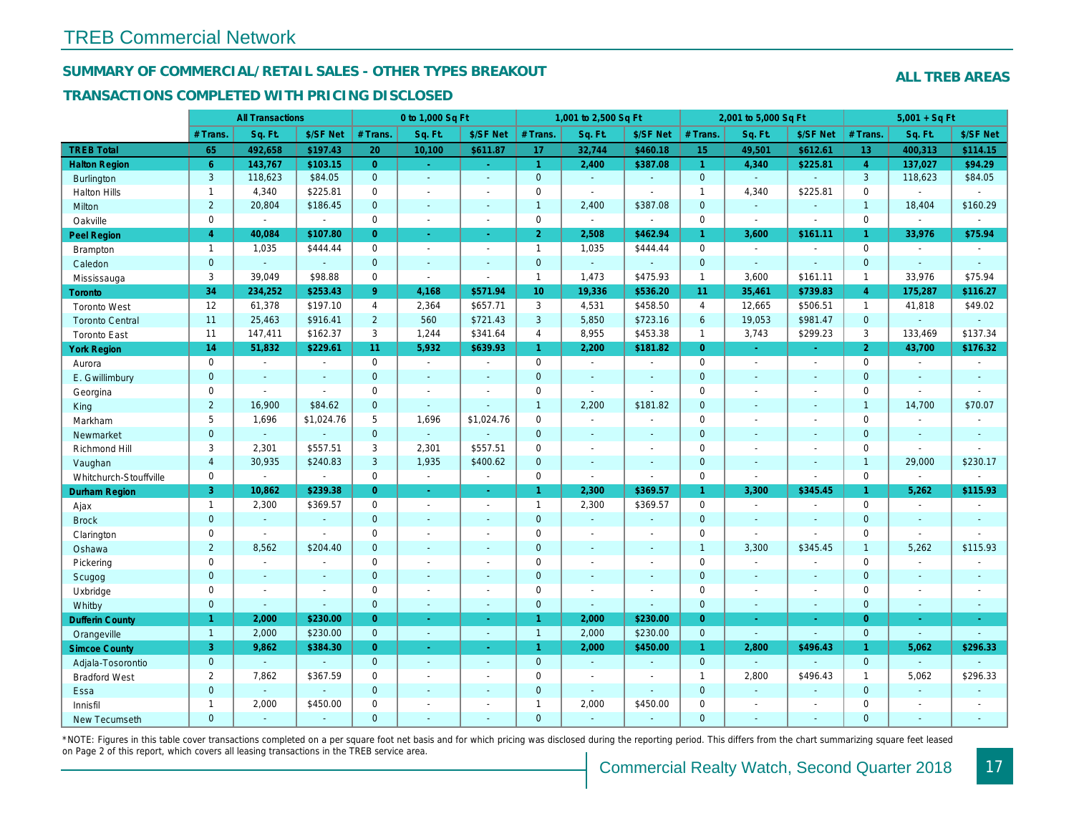## SUMMARY OF COMMERCIAL/RETAIL SALES - OTHER TYPES BREAKOUT

### TRANSACTIONS COMPLETED WITH PRICING DISCLOSED

|                        |                | <b>All Transactions</b> |                          | 0 to 1,000 Sq Ft |                |                          |                 | 1,001 to 2,500 Sq Ft |                          |                      | 2,001 to 5,000 Sq Ft |                          |
|------------------------|----------------|-------------------------|--------------------------|------------------|----------------|--------------------------|-----------------|----------------------|--------------------------|----------------------|----------------------|--------------------------|
|                        | # Trans.       | Sq. Ft.                 | \$/SF Net                | # Trans.         | Sq. Ft.        | \$/SF Net                | # Trans.        | Sq. Ft.              | \$/SF Net                | # Trans.             | Sq. Ft.              | \$/SF Ne                 |
| <b>TREB Total</b>      | 65             | 492,658                 | \$197.43                 | 20               | 10,100         | \$611.87                 | 17              | 32,744               | \$460.18                 | 15                   | 49,501               | \$612.6                  |
| <b>Halton Region</b>   | 6 <sup>°</sup> | 143,767                 | \$103.15                 | $\overline{0}$   | $\sim$         | $\omega$                 | $\overline{1}$  | 2,400                | \$387.08                 | $\blacktriangleleft$ | 4,340                | \$225.8                  |
| <b>Burlington</b>      | 3              | 118,623                 | \$84.05                  | $\overline{0}$   | $\omega$       | $\blacksquare$           | $\mathbf{0}$    | $\omega$             | ä,                       | $\mathbf{0}$         | $\omega$             | $\omega$                 |
| <b>Halton Hills</b>    | $\mathbf{1}$   | 4,340                   | \$225.81                 | 0                | $\blacksquare$ | $\overline{a}$           | $\mathsf 0$     | $\blacksquare$       |                          | $\mathbf{1}$         | 4,340                | \$225.8'                 |
| Milton                 | $\overline{2}$ | 20,804                  | \$186.45                 | $\overline{0}$   | $\omega$       | $\blacksquare$           | $\mathbf{1}$    | 2,400                | \$387.08                 | $\mathbf{0}$         | $\omega$             | $\blacksquare$           |
| Oakville               | 0              | $\blacksquare$          | $\blacksquare$           | $\mathbf 0$      | $\sim$         | $\blacksquare$           | $\mathbf 0$     | $\blacksquare$       | ä,                       | $\mathbf 0$          | $\sim$               | $\blacksquare$           |
| <b>Peel Region</b>     | $\overline{4}$ | 40,084                  | \$107.80                 | $\overline{0}$   | $\blacksquare$ | $\omega$                 | $\overline{2}$  | 2,508                | \$462.94                 | 1 <sup>1</sup>       | 3,600                | \$161.1                  |
| <b>Brampton</b>        | $\overline{1}$ | 1,035                   | \$444.44                 | $\mathbf 0$      | $\sim$         | $\sim$                   | $\mathbf{1}$    | 1,035                | \$444.44                 | $\mathbf 0$          | $\sim$               | $\overline{\phantom{a}}$ |
| Caledon                | $\overline{0}$ | $\omega$                | $\sim$                   | $\mathbf{0}$     | $\omega$       | $\blacksquare$           | $\mathbf{0}$    | $\omega_{\rm c}$     | $\blacksquare$           | $\mathbf{0}$         | $\omega$             | $\blacksquare$           |
| Mississauga            | 3              | 39,049                  | \$98.88                  | $\mathbf 0$      | $\blacksquare$ | $\blacksquare$           | $\mathbf{1}$    | 1,473                | \$475.93                 | $\mathbf{1}$         | 3,600                | \$161.1                  |
| Toronto                | 34             | 234,252                 | \$253.43                 | 9                | 4,168          | \$571.94                 | 10 <sup>1</sup> | 19,336               | \$536.20                 | 11                   | 35,461               | \$739.8                  |
| <b>Toronto West</b>    | 12             | 61,378                  | \$197.10                 | $\overline{4}$   | 2,364          | \$657.71                 | 3               | 4,531                | \$458.50                 | $\overline{4}$       | 12,665               | \$506.5                  |
| <b>Toronto Central</b> | 11             | 25,463                  | \$916.41                 | $\overline{2}$   | 560            | \$721.43                 | $\mathbf{3}$    | 5,850                | \$723.16                 | $6\phantom{1}$       | 19,053               | \$981.47                 |
| <b>Toronto East</b>    | 11             | 147,411                 | \$162.37                 | 3                | 1,244          | \$341.64                 | $\overline{4}$  | 8,955                | \$453.38                 | $\mathbf{1}$         | 3,743                | \$299.23                 |
| <b>York Region</b>     | 14             | 51,832                  | \$229.61                 | 11               | 5,932          | \$639.93                 | $\mathbf{1}$    | 2,200                | \$181.82                 | $\overline{0}$       | ÷.                   | $\omega$                 |
| Aurora                 | 0              | $\sim$                  | $\blacksquare$           | $\Omega$         | $\sim$         | $\sim$                   | $\mathbf 0$     | $\sim$               | $\sim$                   | $\Omega$             | $\blacksquare$       | $\sim$                   |
| E. Gwillimbury         | $\mathbf{0}$   | $\sim$                  | $\sim$                   | $\mathbf{0}$     | $\blacksquare$ | $\blacksquare$           | $\mathbf{0}$    | ä,                   | $\sim$                   | $\mathbf{0}$         | $\sim$               | $\blacksquare$           |
| Georgina               | $\mathbf{0}$   | $\sim$                  | $\sim$                   | $\mathbf 0$      | $\sim$         | $\sim$                   | $\mathbf 0$     | $\blacksquare$       | $\blacksquare$           | $\mathbf 0$          | $\blacksquare$       | $\blacksquare$           |
| King                   | $\overline{2}$ | 16,900                  | \$84.62                  | $\mathbf 0$      | $\sim$         |                          | $\mathbf{1}$    | 2,200                | \$181.82                 | $\mathbf{0}$         | $\sim$               | $\blacksquare$           |
| Markham                | 5              | 1,696                   | \$1,024.76               | 5                | 1,696          | \$1,024.76               | $\mathsf 0$     | $\blacksquare$       | $\blacksquare$           | $\mathbf 0$          | $\blacksquare$       | $\blacksquare$           |
| Newmarket              | $\mathbf 0$    | $\blacksquare$          | $\blacksquare$           | $\mathbf 0$      | $\mathbb{Z}$   |                          | $\mathbf 0$     | $\blacksquare$       | $\sim$                   | $\mathbf 0$          | $\sim$               | $\blacksquare$           |
| Richmond Hill          | 3              | 2,301                   | \$557.51                 | 3                | 2,301          | \$557.51                 | $\mathbf 0$     | $\blacksquare$       | $\blacksquare$           | $\mathbf 0$          | $\blacksquare$       | $\blacksquare$           |
| Vaughan                | $\overline{4}$ | 30,935                  | \$240.83                 | 3                | 1,935          | \$400.62                 | $\mathbf 0$     | $\blacksquare$       | $\blacksquare$           | $\mathbf{0}$         | $\Delta$             | $\blacksquare$           |
| Whitchurch-Stouffville | 0              | $\sim$                  | $\blacksquare$           | $\mathbf 0$      | $\blacksquare$ | $\blacksquare$           | $\mathbf 0$     | $\sim$               | $\overline{\phantom{a}}$ | $\mathbf 0$          | $\blacksquare$       | $\blacksquare$           |
| <b>Durham Region</b>   | 3              | 10,862                  | \$239.38                 | $\overline{0}$   | $\bullet$      | $\omega$                 | $\mathbf{1}$    | 2,300                | \$369.57                 | $\mathbf{1}$         | 3,300                | \$345.4                  |
| Ajax                   | $\mathbf{1}$   | 2,300                   | \$369.57                 | $\mathbf 0$      | $\blacksquare$ | $\overline{\phantom{a}}$ | $\mathbf{1}$    | 2,300                | \$369.57                 | $\mathbf 0$          | $\blacksquare$       | $\blacksquare$           |
| <b>Brock</b>           | $\overline{0}$ | $\sim$                  | $\sim$                   | $\mathbf{0}$     | $\omega$       | $\blacksquare$           | $\mathbf{0}$    | $\Box$               | $\blacksquare$           | $\mathbf{0}$         | $\omega$             | $\blacksquare$           |
| Clarington             | 0              | $\blacksquare$          | $\sim$                   | 0                | $\sim$         | $\overline{a}$           | $\mathbf 0$     | $\blacksquare$       | $\blacksquare$           | $\mathbf 0$          | $\sim$               | ä,                       |
| Oshawa                 | $\overline{2}$ | 8,562                   | \$204.40                 | $\mathbf{0}$     | ÷.             | $\sim$                   | $\mathbf{0}$    | $\blacksquare$       | $\blacksquare$           | $\mathbf{1}$         | 3,300                | \$345.45                 |
| Pickering              | 0              | $\blacksquare$          | $\overline{\phantom{a}}$ | 0                | $\blacksquare$ | $\blacksquare$           | $\mathbf 0$     | ä,                   | $\blacksquare$           | $\mathbf 0$          | $\blacksquare$       | $\blacksquare$           |
| Scugog                 | $\mathbf{0}$   | $\sim$                  | $\sim$                   | $\mathbf 0$      | $\mathbf{r}$   | $\blacksquare$           | $\mathbf 0$     | $\blacksquare$       | $\blacksquare$           | $\mathbf{0}$         | $\omega$             | $\blacksquare$           |
| Uxbridge               | 0              | $\sim$                  | $\blacksquare$           | 0                | $\blacksquare$ | ÷                        | $\mathsf 0$     | $\blacksquare$       | $\blacksquare$           | $\mathbf 0$          | $\blacksquare$       | $\sim$                   |
| Whitby                 | $\mathbf{0}$   | $\sim$                  | $\sim$                   | $\mathbf 0$      | $\blacksquare$ | $\blacksquare$           | $\mathbf{0}$    | $\blacksquare$       | ä,                       | $\mathbf 0$          | $\omega$             | $\blacksquare$           |
| <b>Dufferin County</b> | $\mathbf{1}$   | 2,000                   | \$230.00                 | $\overline{0}$   | $\omega$       | $\sim$                   | $\mathbf{1}$    | 2,000                | \$230.00                 | $\overline{0}$       | $\sim$               | $\sim$                   |
| Orangeville            | $\overline{1}$ | 2,000                   | \$230.00                 | $\overline{0}$   | $\sim$         | $\sim$                   | $\mathbf{1}$    | 2,000                | \$230.00                 | $\mathbf{0}$         | $\omega$             | $\blacksquare$           |
| <b>Simcoe County</b>   | 3              | 9,862                   | \$384.30                 | $\overline{0}$   | $\blacksquare$ | Ξ                        | $\mathbf{1}$    | 2,000                | \$450.00                 | $\mathbf{1}$         | 2,800                | \$496.43                 |
| Adjala-Tosorontio      | $\mathbf{0}$   | $\mathbf{r}$            | $\sim$                   | $\mathbf{0}$     | $\mathbf{r}$   | $\sim$                   | $\pmb{0}$       | $\sim$               | ÷.                       | $\overline{0}$       | $\sim$               | $\blacksquare$           |
| <b>Bradford West</b>   | $\overline{2}$ | 7,862                   | \$367.59                 | $\mathbf 0$      | $\sim$         | $\overline{\phantom{a}}$ | $\mathbf 0$     | $\blacksquare$       | $\blacksquare$           | $\overline{1}$       | 2,800                | \$496.43                 |
| Essa                   | $\mathbf{0}$   | $\sim$                  | $\sim$                   | $\Omega$         | ÷.             | $\sim$                   | $\pmb{0}$       | ä,                   | ä,                       | $\mathbf 0$          | $\omega$             | $\blacksquare$           |
| Innisfil               | $\mathbf{1}$   | 2,000                   | \$450.00                 | $\mathbf 0$      | $\blacksquare$ | $\blacksquare$           | $\mathbf{1}$    | 2,000                | \$450.00                 | $\mathbf 0$          | $\blacksquare$       | $\blacksquare$           |
| <b>New Tecumseth</b>   | $\Omega$       | $\sim$                  | $\overline{a}$           | $\Omega$         | $\overline{a}$ | ÷.                       | $\mathbf{0}$    | $\blacksquare$       | $\sim$                   | $\Omega$             | $\omega$             | $\blacksquare$           |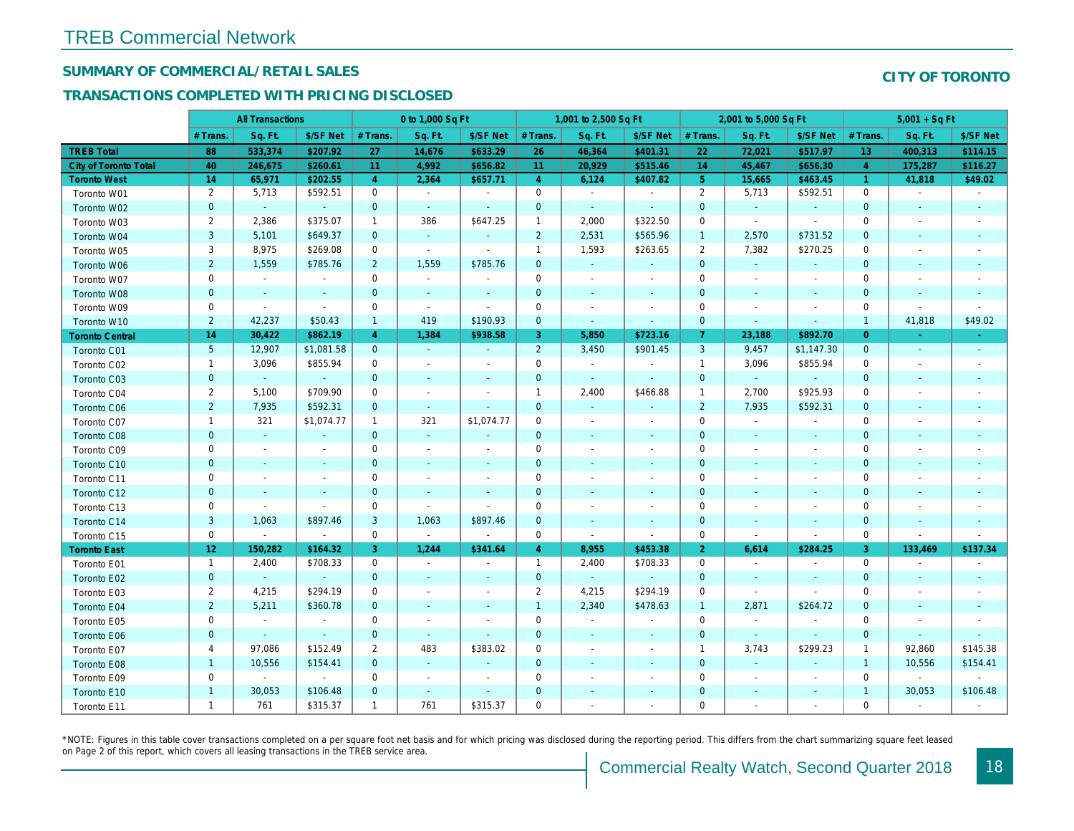## SUMMARY OF COMMERCIAL/RETAIL SALES

## TRANSACTIONS COMPLETED WITH PRICING DISCLOSED

|                              |                 | <b>All Transactions</b> |                          |                | 0 to 1,000 Sq Ft         |                          |                | 1,001 to 2,500 Sq Ft     |                |                | 2,001 to 5,000 Sq Ft     |                          |
|------------------------------|-----------------|-------------------------|--------------------------|----------------|--------------------------|--------------------------|----------------|--------------------------|----------------|----------------|--------------------------|--------------------------|
|                              | # Trans         | Sq. Ft.                 | \$/SF Net                | # Trans.       | Sq. Ft.                  | \$/SF Net                | # Trans.       | Sq. Ft.                  | \$/SF Net      | # Trans.       | Sq. Ft.                  | \$/SF Ne                 |
| <b>TREB Total</b>            | 88              | 533,374                 | \$207.92                 | 27             | 14,676                   | \$633.29                 | 26             | 46,364                   | \$401.31       | 22             | 72,021                   | \$517.97                 |
| <b>City of Toronto Total</b> | 40              | 246,675                 | \$260.61                 | 11             | 4,992                    | \$656.82                 | 11             | 20,929                   | \$515.46       | 14             | 45,467                   | \$656.3                  |
| <b>Toronto West</b>          | 14              | 65,971                  | \$202.55                 | $\overline{4}$ | 2,364                    | \$657.71                 | $\overline{4}$ | 6,124                    | \$407.82       | 5 <sup>5</sup> | 15,665                   | \$463.4                  |
| Toronto W01                  | 2               | 5,713                   | \$592.51                 | $\mathbf 0$    | $\sim$                   | $\blacksquare$           | $\mathbf 0$    | $\blacksquare$           | $\blacksquare$ | $\overline{2}$ | 5,713                    | \$592.5'                 |
| Toronto W02                  | $\mathbf 0$     | $\sim$                  | $\sim$                   | $\mathbf 0$    | $\sim$                   | $\blacksquare$           | $\mathbf 0$    | $\sim$                   | $\omega$       | $\mathbf 0$    | $\sim$                   | $\blacksquare$           |
| Toronto W03                  | $\overline{2}$  | 2,386                   | \$375.07                 | $\mathbf 1$    | 386                      | \$647.25                 | $\mathbf{1}$   | 2,000                    | \$322.50       | 0              | $\sim$                   | $\blacksquare$           |
| Toronto W04                  | 3               | 5,101                   | \$649.37                 | $\mathbf{0}$   | $\omega$                 | $\omega$                 | $\overline{2}$ | 2,531                    | \$565.96       | $\overline{1}$ | 2,570                    | \$731.52                 |
| Toronto W05                  | 3               | 8,975                   | \$269.08                 | $\mathbf 0$    | $\sim$                   | $\blacksquare$           | $\mathbf{1}$   | 1,593                    | \$263.65       | $\overline{2}$ | 7,382                    | \$270.25                 |
| Toronto W06                  | $\overline{2}$  | 1,559                   | \$785.76                 | $\overline{2}$ | 1,559                    | \$785.76                 | $\mathbf 0$    | $\blacksquare$           | $\blacksquare$ | $\mathbf 0$    | $\blacksquare$           |                          |
| Toronto W07                  | 0               | $\blacksquare$          | $\blacksquare$           | 0              | $\blacksquare$           | $\sim$                   | $\mathbf 0$    | $\overline{\phantom{a}}$ | $\blacksquare$ | 0              | $\overline{\phantom{a}}$ | $\overline{\phantom{a}}$ |
| <b>Toronto W08</b>           | $\mathbf{0}$    | $\sim$                  | $\sim$                   | $\mathbf{0}$   | $\sim$                   | $\blacksquare$           | $\mathbf 0$    | $\blacksquare$           | $\sim$         | $\mathbf{0}$   | $\blacksquare$           | $\blacksquare$           |
| Toronto W09                  | 0               | $\sim$                  | $\blacksquare$           | $\mathbf 0$    | $\blacksquare$           | $\sim$                   | $\mathbf 0$    | $\sim$                   | $\blacksquare$ | $\mathbf 0$    | $\sim$                   | $\overline{\phantom{a}}$ |
| Toronto W10                  | $\overline{2}$  | 42,237                  | \$50.43                  | $\mathbf{1}$   | 419                      | \$190.93                 | $\mathbf 0$    | $\blacksquare$           | ٠              | $\mathbf{0}$   | $\blacksquare$           | $\blacksquare$           |
| <b>Toronto Central</b>       | 14              | 30,422                  | \$862.19                 | $\overline{4}$ | 1,384                    | \$938.58                 | 3              | 5,850                    | \$723.16       | $\overline{7}$ | 23,188                   | \$892.7                  |
| Toronto C01                  | $5\phantom{.0}$ | 12,907                  | \$1,081.58               | $\mathbf{0}$   | $\sim$                   | $\sim$                   | $\overline{2}$ | 3,450                    | \$901.45       | 3              | 9,457                    | \$1,147.3                |
| Toronto C02                  | $\mathbf{1}$    | 3,096                   | \$855.94                 | $\mathbf 0$    | $\blacksquare$           | $\overline{\phantom{a}}$ | $\mathbf 0$    | $\blacksquare$           | $\blacksquare$ | $\overline{1}$ | 3,096                    | \$855.94                 |
| Toronto C03                  | $\mathbf{0}$    | $\blacksquare$          | $\omega$                 | $\mathbf{0}$   | ä,                       | ٠                        | $\mathbf 0$    | $\sim$                   | $\blacksquare$ | $\mathbf 0$    | $\omega$                 |                          |
| Toronto C04                  | $\overline{2}$  | 5,100                   | \$709.90                 | 0              | $\blacksquare$           | $\overline{a}$           | $\mathbf{1}$   | 2,400                    | \$466.88       | $\overline{1}$ | 2,700                    | \$925.93                 |
| <b>Toronto C06</b>           | $\overline{2}$  | 7,935                   | \$592.31                 | $\mathbf 0$    | $\omega$                 | $\blacksquare$           | $\mathbf 0$    | $\blacksquare$           | $\blacksquare$ | $\overline{2}$ | 7,935                    | \$592.3'                 |
| Toronto C07                  | $\mathbf{1}$    | 321                     | \$1,074.77               | $\mathbf{1}$   | 321                      | \$1,074.77               | $\mathbf 0$    | $\sim$                   | $\sim$         | $\mathbf 0$    | $\blacksquare$           | $\blacksquare$           |
| Toronto C08                  | $\mathbf{0}$    | $\omega$                | $\sim$                   | $\overline{0}$ | $\blacksquare$           | $\blacksquare$           | $\mathbf{0}$   | ٠                        | $\blacksquare$ | $\mathbf{0}$   | $\blacksquare$           | $\blacksquare$           |
| Toronto C09                  | 0               | $\blacksquare$          | $\overline{\phantom{a}}$ | $\mathbf 0$    | $\blacksquare$           | $\blacksquare$           | $\mathbf 0$    | $\overline{\phantom{a}}$ | $\blacksquare$ | 0              | $\blacksquare$           | $\blacksquare$           |
| Toronto C10                  | $\mathbf{0}$    | $\sim$                  | $\sim$                   | $\mathbf 0$    | $\sim$                   | $\blacksquare$           | $\mathbf 0$    | $\blacksquare$           | $\blacksquare$ | $\mathbf 0$    | $\blacksquare$           | $\blacksquare$           |
| Toronto C11                  | 0               | $\sim$                  | $\sim$                   | $\mathbf 0$    | $\sim$                   | $\blacksquare$           | $\mathbf 0$    | $\sim$                   | $\blacksquare$ | $\mathbf 0$    | $\blacksquare$           | $\overline{\phantom{a}}$ |
| Toronto C12                  | $\mathbf 0$     | $\sim$                  | $\sim$                   | $\overline{0}$ | $\mathbf{r}$             | $\omega$                 | $\mathbf{0}$   | $\sim$                   | $\omega$       | $\mathbf{0}$   | $\sim$                   | $\sim$                   |
| Toronto C13                  | 0               | $\sim$                  | $\blacksquare$           | $\mathbf 0$    | $\sim$                   | $\blacksquare$           | $\mathbf 0$    | $\sim$                   | $\sim$         | 0              | $\blacksquare$           |                          |
| Toronto C14                  | 3               | 1,063                   | \$897.46                 | 3              | 1,063                    | \$897.46                 | $\mathbf 0$    | $\blacksquare$           | $\blacksquare$ | $\mathbf 0$    | $\blacksquare$           | $\sim$                   |
| Toronto C15                  | 0               | $\blacksquare$          | $\blacksquare$           | $\mathbf 0$    | $\sim$                   | $\sim$                   | 0              | $\blacksquare$           | $\omega$       | $\mathbf 0$    | $\sim$                   | $\sim$                   |
| <b>Toronto East</b>          | 12 <sub>2</sub> | 150,282                 | \$164.32                 | 3              | 1,244                    | \$341.64                 | $\overline{4}$ | 8,955                    | \$453.38       | $\overline{2}$ | 6,614                    | \$284.25                 |
| Toronto E01                  | $\mathbf{1}$    | 2,400                   | \$708.33                 | $\mathbf 0$    | $\omega$                 | $\blacksquare$           | $\mathbf{1}$   | 2,400                    | \$708.33       | $\mathbf 0$    | $\blacksquare$           | $\sim$                   |
| Toronto E02                  | $\mathbf 0$     | $\sim$                  | $\sim$                   | $\mathbf{0}$   | $\sim$                   | $\blacksquare$           | $\mathbf 0$    | $\sim$                   | $\sim$         | $\mathbf 0$    | $\sim$                   | $\sim$                   |
| Toronto E03                  | $\overline{2}$  | 4,215                   | \$294.19                 | 0              | $\sim$                   | $\overline{\phantom{a}}$ | $\overline{2}$ | 4,215                    | \$294.19       | $\mathbf 0$    | $\blacksquare$           | $\blacksquare$           |
| Toronto E04                  | $\overline{2}$  | 5,211                   | \$360.78                 | $\mathbf{0}$   | $\blacksquare$           | $\blacksquare$           | $\overline{1}$ | 2,340                    | \$478.63       | $\overline{1}$ | 2,871                    | \$264.72                 |
| Toronto E05                  | 0               | $\sim$                  | $\sim$                   | $\mathbf 0$    | $\overline{\phantom{a}}$ | $\blacksquare$           | $\mathbf 0$    | $\blacksquare$           | $\blacksquare$ | $\mathbf 0$    | $\blacksquare$           | $\blacksquare$           |
| Toronto E06                  | $\mathbf{0}$    |                         | $\sim$                   | $\mathbf 0$    | $\blacksquare$           | $\blacksquare$           | $\mathbf 0$    | $\blacksquare$           | ä,             | $\mathbf 0$    | $\sim$                   | $\blacksquare$           |
| Toronto E07                  | 4               | 97,086                  | \$152.49                 | $\overline{2}$ | 483                      | \$383.02                 | 0              | $\blacksquare$           | $\blacksquare$ | $\mathbf{1}$   | 3,743                    | \$299.23                 |
| Toronto E08                  | $\mathbf{1}$    | 10,556                  | \$154.41                 | $\mathbf 0$    | $\sim$                   | $\blacksquare$           | $\mathbf{0}$   |                          | $\omega$       | $\mathbf{0}$   | $\omega$                 |                          |
| Toronto E09                  | 0               | $\blacksquare$          | $\mathbf{r}$             | $\mathbf 0$    | $\blacksquare$           | $\blacksquare$           | $\mathbf 0$    | $\sim$                   | $\blacksquare$ | $\mathbf 0$    | $\blacksquare$           | $\blacksquare$           |
| Toronto E10                  | $\mathbf{1}$    | 30,053                  | \$106.48                 | $\mathbf 0$    | $\blacksquare$           | $\blacksquare$           | $\mathbf 0$    |                          |                | $\mathbf 0$    | $\overline{\phantom{a}}$ |                          |
| Toronto E11                  | $\mathbf{1}$    | 761                     | \$315.37                 | $\mathbf{1}$   | 761                      | \$315.37                 | $\mathbf 0$    | $\blacksquare$           | $\blacksquare$ | $\mathbf 0$    | $\blacksquare$           | $\blacksquare$           |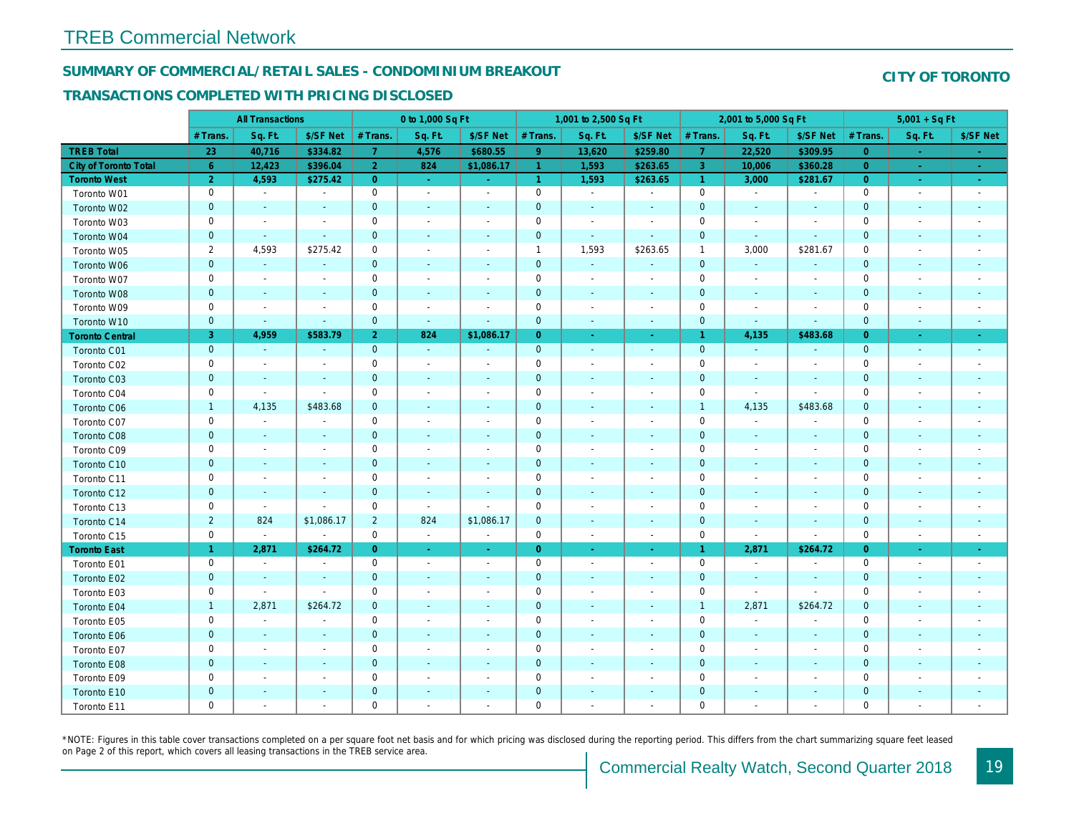### SUMMARY OF COMMERCIAL/RETAIL SALES - CONDOMINIUM BREAKOUT

### TRANSACTIONS COMPLETED WITH PRICING DISCLOSED

|                        |                | <b>All Transactions</b>  |                          |                | 0 to 1,000 Sq Ft |                          |                      | 1,001 to 2,500 Sq Ft     |                          |                | 2,001 to 5,000 Sq Ft     |                          |
|------------------------|----------------|--------------------------|--------------------------|----------------|------------------|--------------------------|----------------------|--------------------------|--------------------------|----------------|--------------------------|--------------------------|
|                        | # Trans.       | Sq. Ft.                  | \$/SF Net                | # Trans.       | Sq. Ft.          | \$/SF Net                | # Trans.             | Sq. Ft.                  | \$/SF Net                | # Trans.       | Sq. Ft.                  | \$/SF Ne                 |
| <b>TREB Total</b>      | 23             | 40,716                   | \$334.82                 | $\mathbf{7}$   | 4,576            | \$680.55                 | $9^{\circ}$          | 13,620                   | \$259.80                 | $\overline{7}$ | 22,520                   | \$309.9                  |
| City of Toronto Total  | $6^{\circ}$    | 12,423                   | \$396.04                 | $\overline{2}$ | 824              | \$1,086.17               | $\overline{1}$       | 1,593                    | \$263.65                 | $\overline{3}$ | 10,006                   | \$360.28                 |
| <b>Toronto West</b>    | $\overline{2}$ | 4,593                    | \$275.42                 | $\overline{0}$ | $\sim$           | $\blacksquare$           | $\blacktriangleleft$ | 1,593                    | \$263.65                 | $\overline{1}$ | 3,000                    | \$281.67                 |
| Toronto W01            | 0              | $\sim$                   | $\sim$                   | $\mathbf 0$    | $\sim$           | $\sim$                   | $\mathbf 0$          | $\blacksquare$           | $\blacksquare$           | $\mathbf 0$    | $\blacksquare$           | $\sim$                   |
| Toronto W02            | $\mathbf{0}$   | $\sim$                   | $\sim$                   | $\mathbf 0$    | $\sim$           | $\blacksquare$           | $\mathbf 0$          | $\sim$                   | $\blacksquare$           | $\mathbf{0}$   | $\blacksquare$           | $\sim$                   |
| Toronto W03            | 0              | $\overline{\phantom{a}}$ | $\overline{\phantom{a}}$ | $\mathbf 0$    | $\sim$           | $\blacksquare$           | $\mathbf 0$          | $\overline{a}$           | $\blacksquare$           | $\mathbf 0$    | $\blacksquare$           | $\blacksquare$           |
| Toronto W04            | $\mathbf 0$    | $\blacksquare$           | $\sim$                   | $\mathbf 0$    | $\blacksquare$   | $\blacksquare$           | $\mathbf 0$          | $\blacksquare$           | $\blacksquare$           | $\mathbf{0}$   | $\blacksquare$           | $\blacksquare$           |
| Toronto W05            | $\overline{2}$ | 4,593                    | \$275.42                 | $\mathbf 0$    | $\blacksquare$   | $\overline{\phantom{a}}$ | $\mathbf{1}$         | 1,593                    | \$263.65                 | $\mathbf{1}$   | 3,000                    | \$281.67                 |
| Toronto W06            | $\mathbf{0}$   | $\sim$                   | $\blacksquare$           | $\mathbf{0}$   | $\blacksquare$   | $\blacksquare$           | $\mathbf 0$          | $\omega$                 | $\blacksquare$           | $\mathbf{0}$   | $\omega$                 | $\blacksquare$           |
| Toronto W07            | 0              | $\blacksquare$           | $\overline{\phantom{a}}$ | $\mathbf 0$    | $\sim$           | $\blacksquare$           | $\mathsf 0$          | $\blacksquare$           | $\blacksquare$           | $\mathbf 0$    | $\overline{\phantom{a}}$ | $\blacksquare$           |
| Toronto W08            | $\mathbf 0$    | $\blacksquare$           | $\blacksquare$           | $\mathbf 0$    | $\blacksquare$   | $\blacksquare$           | $\mathbf 0$          | $\sim$                   | $\sim$                   | $\mathbf{0}$   | $\blacksquare$           | $\blacksquare$           |
| Toronto W09            | 0              | $\overline{\phantom{a}}$ | $\overline{\phantom{a}}$ | $\mathsf 0$    | $\blacksquare$   |                          | $\mathsf 0$          | $\ddot{\phantom{0}}$     | $\overline{a}$           | $\mathbf 0$    | $\ddot{\phantom{0}}$     | $\overline{\phantom{a}}$ |
| Toronto W10            | $\mathbf 0$    | $\blacksquare$           | $\blacksquare$           | $\mathbf 0$    | $\blacksquare$   | $\blacksquare$           | $\mathbf 0$          | $\blacksquare$           | $\sim$                   | $\mathbf 0$    | $\blacksquare$           | $\blacksquare$           |
| <b>Toronto Central</b> | 3              | 4,959                    | \$583.79                 | $\overline{2}$ | 824              | \$1,086.17               | $\overline{0}$       | $\blacksquare$           | $\blacksquare$           | $\mathbf{1}$   | 4,135                    | \$483.68                 |
| Toronto C01            | $\mathbf{0}$   | $\omega$                 | $\sim$                   | $\mathbf{0}$   | $\omega$         | $\omega$                 | $\mathbf{0}$         | $\omega$                 | $\sim$                   | $\mathbf 0$    | $\omega$                 | $\omega$                 |
| Toronto C02            | 0              | $\blacksquare$           | $\sim$                   | $\mathsf 0$    | $\sim$           | $\blacksquare$           | $\mathsf{O}\xspace$  | $\overline{\phantom{a}}$ | $\blacksquare$           | $\mathbf 0$    | $\overline{\phantom{a}}$ | $\blacksquare$           |
| Toronto C03            | $\pmb{0}$      | $\blacksquare$           | $\blacksquare$           | $\mathbf 0$    | $\blacksquare$   | $\blacksquare$           | $\pmb{0}$            | $\blacksquare$           | $\blacksquare$           | $\mathbf{0}$   | $\sim$                   | $\sim$                   |
| Toronto C04            | 0              | $\blacksquare$           | $\blacksquare$           | $\mathbf 0$    | $\blacksquare$   | $\blacksquare$           | $\mathbf 0$          | $\blacksquare$           | $\overline{a}$           | $\mathbf 0$    | $\blacksquare$           | $\blacksquare$           |
| Toronto C06            | $\mathbf{1}$   | 4,135                    | \$483.68                 | $\mathbf 0$    | $\blacksquare$   | $\overline{\phantom{a}}$ | $\mathbf 0$          | $\blacksquare$           | $\blacksquare$           | $\mathbf{1}$   | 4,135                    | \$483.68                 |
| Toronto C07            | 0              | $\blacksquare$           | $\sim$                   | $\mathbf 0$    | $\blacksquare$   | $\overline{\phantom{a}}$ | $\mathsf 0$          | $\blacksquare$           | $\blacksquare$           | $\mathbf 0$    | $\blacksquare$           | $\mathbf{r}$             |
| Toronto C08            | $\mathbf{0}$   | $\sim$                   | $\sim$                   | $\mathbf{0}$   | $\mathbf{r}$     | $\blacksquare$           | $\mathbf 0$          | $\blacksquare$           | $\blacksquare$           | $\mathbf{0}$   | $\sim$                   | $\sim$                   |
| Toronto C09            | 0              | $\blacksquare$           | $\overline{\phantom{a}}$ | $\mathbf 0$    | $\sim$           | $\blacksquare$           | $\mathbf 0$          | $\overline{\phantom{a}}$ | $\blacksquare$           | 0              | $\sim$                   | $\blacksquare$           |
| Toronto C10            | $\mathbf 0$    | $\sim$                   | $\sim$                   | $\mathbf 0$    | $\sim$           | $\sim$                   | $\mathbf 0$          | $\blacksquare$           | $\sim$                   | $\mathbf 0$    | $\blacksquare$           | $\sim$                   |
| Toronto C11            | 0              | $\overline{\phantom{a}}$ | $\overline{\phantom{a}}$ | $\mathbf 0$    | $\blacksquare$   | $\overline{\phantom{a}}$ | $\mathbf 0$          | $\blacksquare$           | $\overline{a}$           | 0              | $\overline{\phantom{a}}$ | $\overline{\phantom{a}}$ |
| Toronto C12            | $\mathbf{0}$   | $\sim$                   | $\sim$                   | $\mathbf 0$    | $\sim$           | $\sim$                   | $\mathbf{0}$         | $\blacksquare$           | $\blacksquare$           | $\mathbf{0}$   | $\sim$                   | $\blacksquare$           |
| Toronto C13            | 0              | $\sim$                   | $\overline{\phantom{a}}$ | $\mathbf 0$    | $\sim$           | $\sim$                   | $\mathbf 0$          | $\blacksquare$           | $\blacksquare$           | $\mathbf 0$    | $\blacksquare$           | $\blacksquare$           |
| Toronto C14            | $\overline{2}$ | 824                      | \$1,086.17               | $\overline{2}$ | 824              | \$1,086.17               | $\mathbf{0}$         | $\blacksquare$           | $\sim$                   | $\mathbf{0}$   | $\blacksquare$           | $\sim$                   |
| Toronto C15            | 0              | $\blacksquare$           | $\overline{\phantom{a}}$ | $\mathbf 0$    | $\blacksquare$   | $\blacksquare$           | 0                    | $\blacksquare$           | $\sim$                   | $\mathbf 0$    | $\blacksquare$           | $\blacksquare$           |
| <b>Toronto East</b>    | $\mathbf{1}$   | 2,871                    | \$264.72                 | $\overline{0}$ | $\omega$         | $\blacksquare$           | $\overline{0}$       | $\blacksquare$           | $\bullet$ .              | $\overline{1}$ | 2,871                    | \$264.72                 |
| Toronto E01            | 0              | $\sim$                   | $\overline{\phantom{a}}$ | $\mathbf 0$    | $\sim$           | $\overline{\phantom{a}}$ | $\mathbf 0$          | $\sim$                   | $\sim$                   | $\mathbf 0$    | $\blacksquare$           | $\sim$                   |
| Toronto E02            | $\mathbf{0}$   | $\sim$                   | $\sim$                   | $\mathbf 0$    | $\sim$           | $\blacksquare$           | $\mathbf 0$          | $\blacksquare$           | $\blacksquare$           | $\mathbf 0$    | $\blacksquare$           | $\sim$                   |
| Toronto E03            | 0              | $\blacksquare$           | $\sim$                   | $\mathbf 0$    | $\blacksquare$   | $\blacksquare$           | $\mathbf 0$          | $\blacksquare$           | $\blacksquare$           | $\mathbf 0$    | $\blacksquare$           | $\blacksquare$           |
| Toronto E04            | $\mathbf{1}$   | 2,871                    | \$264.72                 | $\mathbf 0$    | $\blacksquare$   | $\blacksquare$           | $\mathbf 0$          | $\blacksquare$           | $\blacksquare$           | $\overline{1}$ | 2,871                    | \$264.72                 |
| Toronto E05            | 0              | $\blacksquare$           | $\overline{\phantom{a}}$ | $\mathbf 0$    | $\blacksquare$   | $\overline{\phantom{a}}$ | $\mathbf 0$          | $\overline{\phantom{a}}$ | $\blacksquare$           | $\mathbf 0$    | $\blacksquare$           | $\blacksquare$           |
| Toronto E06            | $\mathbf{0}$   | $\blacksquare$           |                          | $\mathbf{0}$   | $\blacksquare$   |                          | $\mathbf 0$          | $\overline{\phantom{a}}$ | $\overline{\phantom{a}}$ | $\mathbf 0$    | $\blacksquare$           | $\blacksquare$           |
| Toronto E07            | 0              | $\sim$                   | $\sim$                   | $\mathsf 0$    | $\sim$           | $\blacksquare$           | $\mathsf 0$          | $\blacksquare$           | $\blacksquare$           | $\mathbf 0$    | $\blacksquare$           | $\blacksquare$           |
| Toronto E08            | $\mathbf 0$    | $\blacksquare$           | $\sim$                   | $\mathbf 0$    | $\sim$           | $\blacksquare$           | $\mathbf 0$          | $\blacksquare$           | $\blacksquare$           | $\mathbf 0$    | $\blacksquare$           | $\blacksquare$           |
| Toronto E09            | 0              | $\blacksquare$           | $\overline{\phantom{a}}$ | $\mathbf 0$    | $\blacksquare$   | $\blacksquare$           | $\mathbf 0$          | $\blacksquare$           | $\blacksquare$           | $\mathbf 0$    | $\blacksquare$           | $\blacksquare$           |
| Toronto E10            | $\mathbf 0$    | $\sim$                   |                          | $\mathbf 0$    | $\blacksquare$   | $\overline{\phantom{a}}$ | $\mathbf 0$          | $\overline{\phantom{a}}$ | $\blacksquare$           | $\mathbf 0$    | $\blacksquare$           | ٠                        |
| Toronto E11            | 0              | $\blacksquare$           | $\overline{\phantom{a}}$ | $\mathbf 0$    | $\blacksquare$   | $\blacksquare$           | $\mathbf 0$          | $\blacksquare$           | $\blacksquare$           | $\mathbf 0$    | $\blacksquare$           | $\blacksquare$           |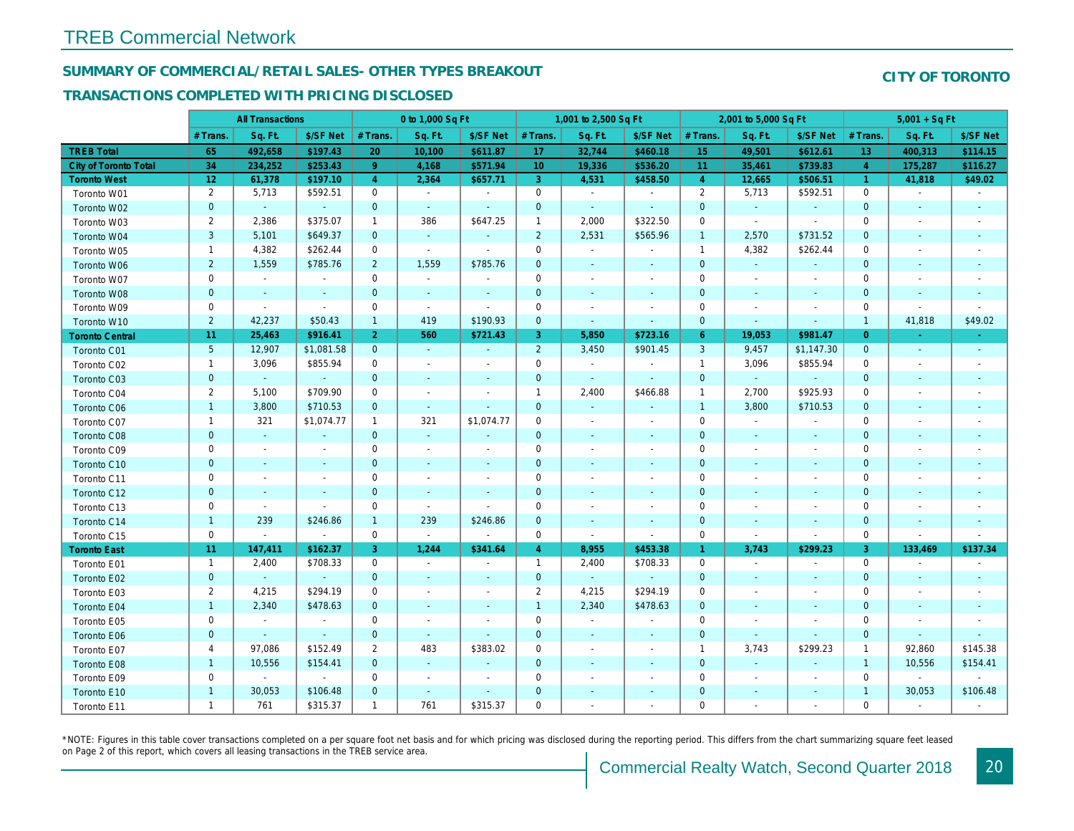## SUMMARY OF COMMERCIAL/RETAIL SALES- OTHER TYPES BREAKOUT

### TRANSACTIONS COMPLETED WITH PRICING DISCLOSED

|                        |                 | <b>All Transactions</b> |                          |                | 0 to 1,000 Sq Ft         |                          |                 | 1,001 to 2,500 Sq Ft     |                          |                | 2,001 to 5,000 Sq Ft     |                          |
|------------------------|-----------------|-------------------------|--------------------------|----------------|--------------------------|--------------------------|-----------------|--------------------------|--------------------------|----------------|--------------------------|--------------------------|
|                        | # Trans         | Sq. Ft.                 | \$/SF Net                | # Trans.       | Sq. Ft.                  | \$/SF Net                | # Trans.        | Sq. Ft.                  | \$/SF Net                | # Trans.       | Sq. Ft.                  | \$/SF Ne                 |
| <b>TREB Total</b>      | 65              | 492,658                 | \$197.43                 | 20             | 10,100                   | \$611.87                 | 17              | 32,744                   | \$460.18                 | 15             | 49,501                   | \$612.6                  |
| City of Toronto Total  | 34              | 234,252                 | \$253.43                 | 9              | 4,168                    | \$571.94                 | 10 <sub>1</sub> | 19,336                   | \$536.20                 | 11             | 35,461                   | \$739.8                  |
| <b>Toronto West</b>    | 12 <sub>2</sub> | 61,378                  | \$197.10                 | $\overline{4}$ | 2,364                    | \$657.71                 | 3               | 4,531                    | \$458.50                 | $\overline{4}$ | 12,665                   | \$506.5                  |
| Toronto W01            | $\overline{2}$  | 5,713                   | \$592.51                 | $\mathbf 0$    | $\sim$                   | $\blacksquare$           | $\mathbf 0$     | $\sim$                   | $\sim$                   | $\overline{2}$ | 5,713                    | \$592.5                  |
| Toronto W02            | $\mathbf{0}$    | $\sim$                  | $\sim$                   | $\mathbf{0}$   | $\sim$                   | $\blacksquare$           | $\mathbf 0$     | $\sim$                   | $\blacksquare$           | $\mathbf{0}$   | $\sim$                   | $\sim$                   |
| Toronto W03            | $\overline{2}$  | 2,386                   | \$375.07                 | $\mathbf{1}$   | 386                      | \$647.25                 | $\mathbf{1}$    | 2,000                    | \$322.50                 | $\mathbf 0$    | $\blacksquare$           | $\blacksquare$           |
| Toronto W04            | 3               | 5,101                   | \$649.37                 | $\mathbf{0}$   | $\mathcal{L}$            | $\blacksquare$           | $\overline{2}$  | 2,531                    | \$565.96                 | $\overline{1}$ | 2,570                    | \$731.52                 |
| Toronto W05            | $\mathbf{1}$    | 4,382                   | \$262.44                 | $\mathbf 0$    | $\sim$                   | $\blacksquare$           | $\mathbf 0$     | $\sim$                   | $\blacksquare$           | $\mathbf{1}$   | 4,382                    | \$262.44                 |
| Toronto W06            | $\overline{2}$  | 1,559                   | \$785.76                 | $\overline{2}$ | 1,559                    | \$785.76                 | $\mathbf 0$     | $\sim$                   | ٠                        | $\mathbf 0$    | $\sim$                   | $\blacksquare$           |
| Toronto W07            | $\mathbf 0$     | $\sim$                  | $\blacksquare$           | $\mathbf 0$    | $\sim$                   | $\blacksquare$           | $\mathbf 0$     | $\blacksquare$           | $\blacksquare$           | 0              | $\blacksquare$           | $\blacksquare$           |
| Toronto W08            | $\pmb{0}$       | $\blacksquare$          | $\sim$                   | $\mathbf 0$    | $\blacksquare$           | $\blacksquare$           | $\mathbf 0$     | $\blacksquare$           | $\blacksquare$           | $\mathbf 0$    | $\blacksquare$           |                          |
| Toronto W09            | 0               | $\blacksquare$          | $\blacksquare$           | 0              | $\sim$                   | $\blacksquare$           | $\mathbf 0$     | $\overline{\phantom{a}}$ | $\blacksquare$           | 0              | $\blacksquare$           | $\overline{\phantom{a}}$ |
| Toronto W10            | $\overline{2}$  | 42,237                  | \$50.43                  | $\mathbf{1}$   | 419                      | \$190.93                 | $\mathbf{0}$    | $\blacksquare$           | $\omega$                 | $\mathbf 0$    | $\sim$                   | $\blacksquare$           |
| <b>Toronto Central</b> | 11              | 25,463                  | \$916.41                 | $\overline{2}$ | 560                      | \$721.43                 | 3               | 5,850                    | \$723.16                 | $6^{\circ}$    | 19,053                   | \$981.47                 |
| Toronto C01            | $\overline{5}$  | 12,907                  | \$1,081.58               | $\mathbf{0}$   | $\sim$                   | $\omega$                 | $\overline{2}$  | 3,450                    | \$901.45                 | $\mathbf{3}$   | 9,457                    | \$1,147.3                |
| Toronto C02            | $\mathbf{1}$    | 3,096                   | \$855.94                 | 0              | $\blacksquare$           | $\blacksquare$           | $\mathbf 0$     | $\blacksquare$           | $\blacksquare$           | $\overline{1}$ | 3,096                    | \$855.94                 |
| Toronto C03            | $\mathbf 0$     |                         | $\sim$                   | $\mathbf{0}$   | ٠                        | $\sim$                   | $\mathbf 0$     | $\sim$                   | $\sim$                   | $\mathbf{0}$   | $\sim$                   |                          |
| Toronto C04            | 2               | 5,100                   | \$709.90                 | $\mathbf 0$    | $\blacksquare$           | $\blacksquare$           | $\mathbf{1}$    | 2,400                    | \$466.88                 | $\overline{1}$ | 2,700                    | \$925.93                 |
| Toronto C06            | $\mathbf{1}$    | 3,800                   | \$710.53                 | $\mathbf{0}$   | $\sim$                   | $\blacksquare$           | $\mathbf 0$     | $\blacksquare$           | ٠                        | $\mathbf{1}$   | 3,800                    | \$710.53                 |
| Toronto C07            | $\mathbf{1}$    | 321                     | \$1,074.77               | $\mathbf{1}$   | 321                      | \$1,074.77               | $\mathbf 0$     | $\overline{\phantom{a}}$ | $\overline{\phantom{a}}$ | $\mathbf 0$    | $\blacksquare$           | $\blacksquare$           |
| Toronto C08            | $\mathbf 0$     | $\blacksquare$          | $\blacksquare$           | $\mathbf 0$    | $\blacksquare$           | $\blacksquare$           | $\mathbf 0$     | ٠                        | $\blacksquare$           | $\mathbf 0$    | $\blacksquare$           | $\blacksquare$           |
| Toronto C09            | 0               | $\blacksquare$          | $\overline{\phantom{a}}$ | $\mathbf 0$    | $\sim$                   | $\blacksquare$           | $\mathbf 0$     | $\sim$                   | $\blacksquare$           | $\mathbf 0$    | $\sim$                   | $\overline{\phantom{a}}$ |
| Toronto C10            | $\mathbf{0}$    | $\sim$                  | $\sim$                   | $\overline{0}$ | $\blacksquare$           | $\blacksquare$           | $\mathbf{0}$    | $\blacksquare$           | $\blacksquare$           | $\mathbf{0}$   | $\blacksquare$           | $\blacksquare$           |
| Toronto C11            | 0               | $\blacksquare$          |                          | $\mathbf 0$    | $\blacksquare$           | $\overline{\phantom{a}}$ | $\mathbf 0$     | $\overline{a}$           | $\overline{a}$           | $\mathbf 0$    | $\overline{\phantom{a}}$ |                          |
| Toronto C12            | $\mathbf 0$     | $\blacksquare$          | $\sim$                   | $\mathbf 0$    | $\overline{\phantom{a}}$ | $\blacksquare$           | $\mathbf 0$     | ٠                        | ٠                        | $\mathbf{0}$   | $\blacksquare$           | $\blacksquare$           |
| Toronto C13            | 0               | $\blacksquare$          | $\blacksquare$           | $\mathbf 0$    | $\sim$                   | $\blacksquare$           | $\mathbf 0$     | $\overline{\phantom{a}}$ | $\overline{a}$           | $\mathbf 0$    | $\overline{\phantom{a}}$ |                          |
| Toronto C14            | $\mathbf{1}$    | 239                     | \$246.86                 | $\mathbf{1}$   | 239                      | \$246.86                 | $\mathbf 0$     | $\omega$                 | $\omega$                 | $\mathbf{0}$   | $\blacksquare$           | $\blacksquare$           |
| Toronto C15            | $\mathbf 0$     | $\blacksquare$          | $\blacksquare$           | $\mathbf 0$    | $\mathbf{r}$             | $\sim$                   | $\mathsf 0$     | $\sim$                   | $\blacksquare$           | $\mathbf 0$    | $\sim$                   | $\blacksquare$           |
| <b>Toronto East</b>    | 11              | 147,411                 | \$162.37                 | 3              | 1,244                    | \$341.64                 | $\overline{4}$  | 8,955                    | \$453.38                 | $\mathbf{1}$   | 3,743                    | \$299.23                 |
| Toronto E01            | $\mathbf 1$     | 2,400                   | \$708.33                 | 0              | $\sim$                   | $\overline{\phantom{a}}$ | $\mathbf{1}$    | 2,400                    | \$708.33                 | 0              | $\blacksquare$           | $\sim$                   |
| Toronto E02            | $\mathbf{0}$    | $\omega$                | $\sim$                   | $\mathbf{0}$   | $\sim$                   | $\blacksquare$           | $\mathbf{0}$    | $\omega$                 | $\sim$                   | $\mathbf{0}$   | $\blacksquare$           | $\sim$                   |
| Toronto E03            | 2               | 4,215                   | \$294.19                 | $\mathbf 0$    | $\sim$                   | $\blacksquare$           | $\overline{2}$  | 4,215                    | \$294.19                 | $\mathbf 0$    | $\blacksquare$           | $\blacksquare$           |
| Toronto E04            | $\mathbf{1}$    | 2,340                   | \$478.63                 | $\mathbf{0}$   | $\sim$                   | $\sim$                   | $\mathbf{1}$    | 2,340                    | \$478.63                 | $\mathbf{0}$   | $\sim$                   | $\sim$                   |
| Toronto E05            | 0               | $\blacksquare$          | $\sim$                   | 0              | $\sim$                   | $\blacksquare$           | $\mathbf 0$     | $\blacksquare$           | $\blacksquare$           | 0              | $\blacksquare$           | $\blacksquare$           |
| Toronto E06            | $\mathbf{0}$    | $\sim$                  | $\sim$                   | $\mathbf{0}$   | $\sim$                   | $\blacksquare$           | $\mathbf 0$     | $\sim$                   | $\sim$                   | $\mathbf 0$    | $\sim$                   | $\blacksquare$           |
| Toronto E07            | 4               | 97,086                  | \$152.49                 | 2              | 483                      | \$383.02                 | 0               | $\blacksquare$           | $\blacksquare$           | $\overline{1}$ | 3,743                    | \$299.23                 |
| Toronto E08            | $\mathbf{1}$    | 10,556                  | \$154.41                 | $\mathbf{0}$   | $\sim$                   | $\blacksquare$           | $\mathbf 0$     | $\sim$                   | $\sim$                   | $\mathbf{0}$   | $\omega$                 | $\blacksquare$           |
| Toronto E09            | 0               | $\blacksquare$          | $\blacksquare$           | 0              | $\blacksquare$           | $\overline{\phantom{a}}$ | $\mathbf 0$     | $\blacksquare$           | $\overline{\phantom{a}}$ | 0              | $\blacksquare$           | $\blacksquare$           |
| Toronto E10            | $\mathbf{1}$    | 30,053                  | \$106.48                 | $\mathbf 0$    | $\blacksquare$           | $\blacksquare$           | $\mathbf 0$     | $\sim$                   | $\sim$                   | $\mathbf 0$    | $\sim$                   | $\sim$                   |
| Toronto E11            | $\mathbf{1}$    | 761                     | \$315.37                 | $\mathbf{1}$   | 761                      | \$315.37                 | $\mathbf 0$     | $\blacksquare$           | $\overline{\phantom{a}}$ | 0              | $\blacksquare$           | $\blacksquare$           |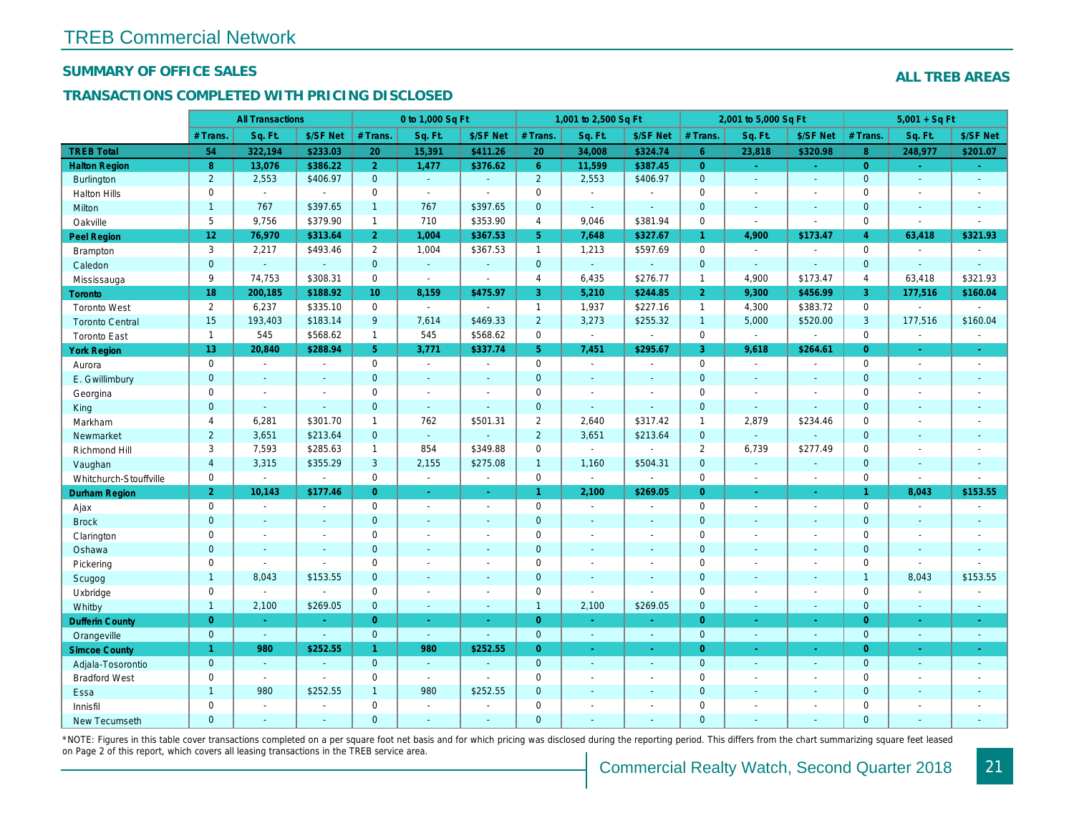### SUMMARY OF OFFICE SALES

#### TRANSACTIONS COMPLETED WITH PRICING DISCLOSED

|                        |                  | <b>All Transactions</b> |                |                 | 0 to 1,000 Sq Ft |                          |                | 1,001 to 2,500 Sq Ft     |                          |                | 2,001 to 5,000 Sq Ft |                  |
|------------------------|------------------|-------------------------|----------------|-----------------|------------------|--------------------------|----------------|--------------------------|--------------------------|----------------|----------------------|------------------|
|                        | # Trans.         | Sq. Ft.                 | \$/SF Net      | # Trans.        | Sq. Ft.          | \$/SF Net                | # Trans.       | Sq. Ft.                  | \$/SF Net                | # Trans.       | Sq. Ft.              | \$/SF Ne         |
| <b>TREB Total</b>      | 54               | 322,194                 | \$233.03       | 20              | 15,391           | \$411.26                 | 20             | 34,008                   | \$324.74                 | 6 <sup>°</sup> | 23,818               | \$320.98         |
| <b>Halton Region</b>   | $\boldsymbol{8}$ | 13,076                  | \$386.22       | 2 <sup>1</sup>  | 1,477            | \$376.62                 | 6 <sup>1</sup> | 11,599                   | \$387.45                 | $\overline{0}$ | $\omega$             | $\omega_{\rm c}$ |
| Burlington             | $\overline{2}$   | 2,553                   | \$406.97       | $\mathbf{0}$    | $\sim$           | ÷.                       | $\overline{2}$ | 2,553                    | \$406.97                 | $\mathbf 0$    | $\omega$             | $\sim$           |
| <b>Halton Hills</b>    | $\mathbf 0$      | $\Delta$                | $\blacksquare$ | $\mathbf 0$     | $\sim$           |                          | $\mathbf 0$    | $\blacksquare$           | $\sim$                   | $\mathbf 0$    | $\blacksquare$       | $\sim$           |
| <b>Milton</b>          | $\mathbf{1}$     | 767                     | \$397.65       | $\mathbf{1}$    | 767              | \$397.65                 | $\mathbf 0$    | $\omega$                 | $\sim$                   | $\mathbf{0}$   | $\blacksquare$       | $\blacksquare$   |
| Oakville               | 5                | 9,756                   | \$379.90       | $\mathbf{1}$    | 710              | \$353.90                 | $\overline{4}$ | 9,046                    | \$381.94                 | $\mathbf 0$    | $\sim$               | $\blacksquare$   |
| Peel Region            | 12 <sub>2</sub>  | 76,970                  | \$313.64       | 2 <sup>1</sup>  | 1,004            | \$367.53                 | 5 <sup>5</sup> | 7,648                    | \$327.67                 | $\mathbf{1}$   | 4,900                | \$173.47         |
| <b>Brampton</b>        | 3                | 2,217                   | \$493.46       | $\overline{2}$  | 1,004            | \$367.53                 | $\mathbf{1}$   | 1,213                    | \$597.69                 | $\mathbf 0$    | $\blacksquare$       | $\sim$           |
| Caledon                | $\mathbf{0}$     | $\Delta$                | $\blacksquare$ | $\mathbf{0}$    | $\omega$         |                          | $\mathbf{0}$   | $\omega$                 | $\sim$                   | $\mathbf{0}$   | $\omega$             | $\blacksquare$   |
| Mississauga            | 9                | 74,753                  | \$308.31       | $\mathbf 0$     | $\blacksquare$   | $\sim$                   | $\overline{4}$ | 6,435                    | \$276.77                 | $\mathbf{1}$   | 4,900                | \$173.47         |
| Toronto                | 18               | 200,185                 | \$188.92       | 10 <sup>°</sup> | 8,159            | \$475.97                 | 3              | 5,210                    | \$244.85                 | $\overline{2}$ | 9,300                | \$456.99         |
| <b>Toronto West</b>    | $\overline{2}$   | 6,237                   | \$335.10       | $\mathbf 0$     | $\sim$           |                          | $\mathbf{1}$   | 1,937                    | \$227.16                 | $\mathbf{1}$   | 4,300                | \$383.72         |
| <b>Toronto Central</b> | 15               | 193,403                 | \$183.14       | 9               | 7,614            | \$469.33                 | $\overline{2}$ | 3,273                    | \$255.32                 | $\overline{1}$ | 5,000                | \$520.00         |
| <b>Toronto East</b>    | $\mathbf{1}$     | 545                     | \$568.62       | $\mathbf{1}$    | 545              | \$568.62                 | 0              | $\blacksquare$           | $\sim$                   | $\mathbf 0$    | $\blacksquare$       | $\blacksquare$   |
| <b>York Region</b>     | 13 <sup>°</sup>  | 20,840                  | \$288.94       | 5 <sup>5</sup>  | 3,771            | \$337.74                 | 5 <sup>5</sup> | 7,451                    | \$295.67                 | $\mathbf{3}$   | 9,618                | \$264.6'         |
| Aurora                 | $\mathbf 0$      | $\sim$                  | $\omega$       | $\mathbf 0$     | $\sim$           | $\omega$                 | 0              | $\bullet$                | $\blacksquare$           | $\mathbf 0$    | $\blacksquare$       | $\sim$           |
| E. Gwillimbury         | $\overline{0}$   | $\sim$                  | $\sim$         | $\overline{0}$  | $\sim$           | $\sim$                   | $\mathbf{0}$   | $\mathbf{r}$             | $\blacksquare$           | $\mathbf{0}$   | $\overline{a}$       | $\sim$           |
| Georgina               | $\mathbf 0$      | $\sim$                  | $\blacksquare$ | $\mathbf 0$     | $\mathbf{r}$     | $\overline{\phantom{a}}$ | $\pmb{0}$      | $\blacksquare$           | $\sim$                   | $\mathbf 0$    | $\sim$               | $\sim$           |
| King                   | $\mathbf{0}$     | $\omega$                | $\Delta$       | $\mathbf{0}$    | $\omega$         | ÷.                       | $\mathbf 0$    | ä,                       | ä,                       | $\mathbf{0}$   | $\blacksquare$       | $\omega$         |
| Markham                | 4                | 6,281                   | \$301.70       | $\mathbf{1}$    | 762              | \$501.31                 | $\overline{2}$ | 2,640                    | \$317.42                 | $\mathbf{1}$   | 2,879                | \$234.46         |
| Newmarket              | $\overline{2}$   | 3,651                   | \$213.64       | $\Omega$        | $\omega$         |                          | $\overline{2}$ | 3,651                    | \$213.64                 | $\mathbf{0}$   | $\omega$             |                  |
| Richmond Hill          | 3                | 7,593                   | \$285.63       | $\mathbf{1}$    | 854              | \$349.88                 | $\pmb{0}$      | $\overline{\phantom{a}}$ | $\blacksquare$           | 2              | 6,739                | \$277.49         |
| Vaughan                | $\overline{4}$   | 3,315                   | \$355.29       | 3               | 2,155            | \$275.08                 | $\mathbf{1}$   | 1,160                    | \$504.31                 | $\mathbf{0}$   | $\omega$             | $\blacksquare$   |
| Whitchurch-Stouffville | $\mathbf 0$      | $\blacksquare$          | $\blacksquare$ | $\mathbf 0$     | $\omega$         | $\sim$                   | 0              | $\blacksquare$           | $\sim$                   | $\mathbf 0$    | $\sim$               | $\blacksquare$   |
| Durham Region          | $\overline{2}$   | 10,143                  | \$177.46       | $\overline{0}$  | $\sim$           | $\omega$                 | $\mathbf{1}$   | 2,100                    | \$269.05                 | $\overline{0}$ | $\blacksquare$       | $\sigma_{\rm c}$ |
| Ajax                   | $\mathsf 0$      | $\blacksquare$          | $\blacksquare$ | $\mathbf 0$     | $\blacksquare$   | $\blacksquare$           | $\pmb{0}$      | $\blacksquare$           | $\overline{\phantom{a}}$ | $\mathbf 0$    | $\blacksquare$       | $\blacksquare$   |
| <b>Brock</b>           | $\mathbf{0}$     | $\blacksquare$          | $\blacksquare$ | $\mathbf{0}$    | $\omega$         | $\blacksquare$           | $\mathbf 0$    | $\blacksquare$           | $\blacksquare$           | $\mathbf 0$    | $\blacksquare$       | $\blacksquare$   |
| Clarington             | $\mathbf 0$      | $\sim$                  | $\sim$         | $\mathbf 0$     | ÷.               | ÷.                       | $\pmb{0}$      | $\blacksquare$           | $\blacksquare$           | $\mathbf 0$    | $\blacksquare$       | $\blacksquare$   |
| Oshawa                 | $\overline{0}$   | $\sim$                  | $\sim$         | $\mathbf{0}$    | $\sim$           | $\sim$                   | $\mathbf{0}$   | $\blacksquare$           | $\blacksquare$           | $\mathbf{0}$   | $\blacksquare$       | $\blacksquare$   |
| Pickering              | $\mathbf 0$      | $\blacksquare$          | $\blacksquare$ | $\mathbf 0$     | $\overline{a}$   | $\overline{\phantom{a}}$ | $\mathbf 0$    | $\blacksquare$           | $\blacksquare$           | $\mathbf 0$    | $\blacksquare$       | $\blacksquare$   |
| Scugog                 | $\mathbf{1}$     | 8,043                   | \$153.55       | $\mathbf{0}$    | $\sim$           | $\sim$                   | $\mathbf 0$    | $\blacksquare$           | $\blacksquare$           | $\mathbf 0$    | $\blacksquare$       | $\blacksquare$   |
| Uxbridge               | $\mathbf 0$      | $\blacksquare$          | $\blacksquare$ | $\mathbf 0$     | $\sim$           | $\sim$                   | 0              | $\blacksquare$           | $\overline{a}$           | $\mathbf 0$    | $\overline{a}$       | $\blacksquare$   |
| Whitby                 | $\mathbf{1}$     | 2,100                   | \$269.05       | $\overline{0}$  | $\sim$           | $\sim$                   | $\overline{1}$ | 2,100                    | \$269.05                 | $\mathbf{0}$   | $\blacksquare$       | $\sim$           |
| <b>Dufferin County</b> | $\overline{0}$   | $\sim$                  | $\sim$         | $\overline{0}$  | a.               | $\sim$                   | $\overline{0}$ | $\blacksquare$           | ٠                        | $\overline{0}$ | $\blacksquare$       | $\sim$           |
| Orangeville            | $\mathbf{0}$     | $\omega$                | $\omega$       | $\mathbf{0}$    | $\omega$         | $\Delta$                 | $\mathbf{0}$   | $\sim$                   | ÷.                       | $\mathbf{0}$   | $\omega$             | $\sim$           |
| <b>Simcoe County</b>   | $\mathbf{1}$     | 980                     | \$252.55       | $\mathbf{1}$    | 980              | \$252.55                 | $\overline{0}$ | ÷.                       | ÷.                       | $\overline{0}$ | $\blacksquare$       | $\omega_{\rm c}$ |
| Adjala-Tosorontio      | $\overline{0}$   | $\Delta$                | $\sim$         | $\mathbf{0}$    | $\Delta$         |                          | $\mathbf 0$    | $\Delta$                 | $\blacksquare$           | $\mathbf{0}$   | $\blacksquare$       | $\sim$           |
| <b>Bradford West</b>   | $\mathbf 0$      | $\sim$                  | $\blacksquare$ | $\mathbf 0$     | $\sim$           | $\blacksquare$           | $\mathbf 0$    | $\blacksquare$           | $\blacksquare$           | $\mathbf 0$    | $\blacksquare$       | $\blacksquare$   |
| Essa                   | $\mathbf{1}$     | 980                     | \$252.55       | $\mathbf{1}$    | 980              | \$252.55                 | $\mathbf 0$    | $\blacksquare$           | $\blacksquare$           | $\mathbf 0$    | $\blacksquare$       |                  |
| Innisfil               | $\mathbf 0$      | $\blacksquare$          | $\blacksquare$ | $\Omega$        | $\sim$           |                          | $\mathbf 0$    | $\blacksquare$           | $\blacksquare$           | $\mathbf 0$    | $\blacksquare$       | $\blacksquare$   |
| <b>New Tecumseth</b>   | $\Omega$         | $\sim$                  |                | $\Omega$        |                  |                          | $\Omega$       |                          |                          | $\Omega$       |                      |                  |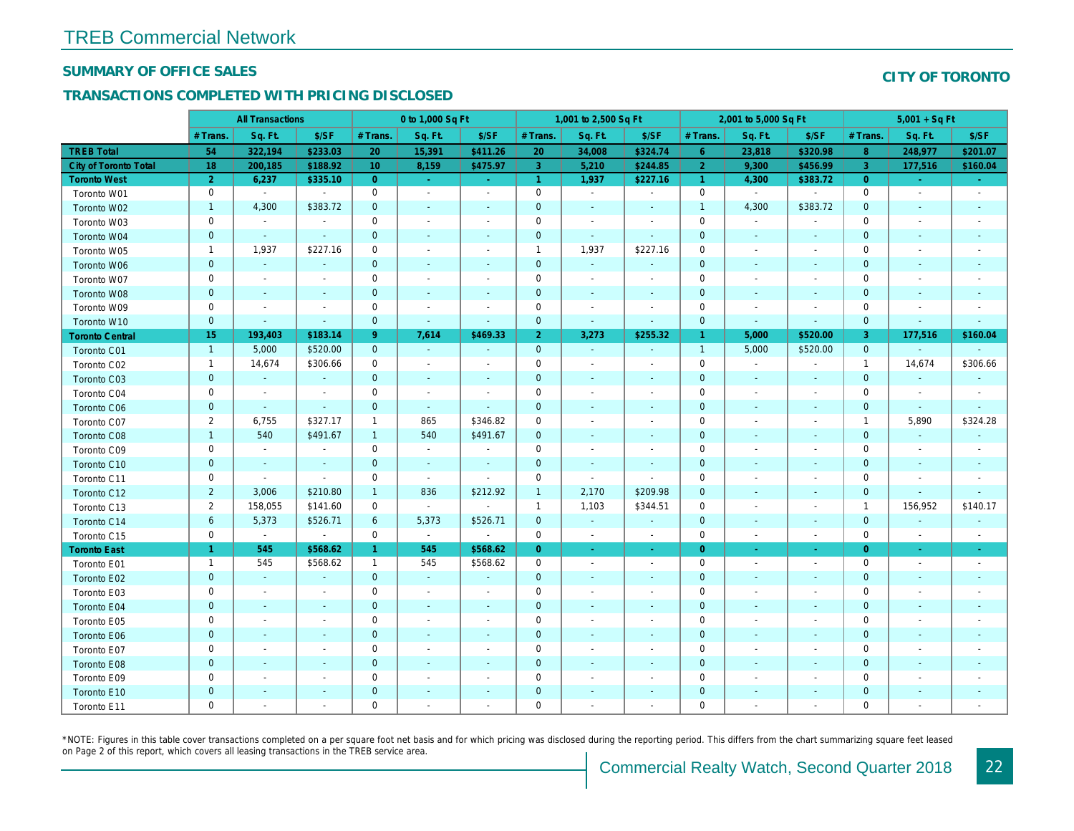#### SUMMARY OF OFFICE SALES

## TRANSACTIONS COMPLETED WITH PRICING DISCLOSED

|                              |                | <b>All Transactions</b>  |                          |                 | 0 to 1,000 Sq Ft |                          |                      | 1,001 to 2,500 Sq Ft     |                          |                | 2,001 to 5,000 Sq Ft     |                          |
|------------------------------|----------------|--------------------------|--------------------------|-----------------|------------------|--------------------------|----------------------|--------------------------|--------------------------|----------------|--------------------------|--------------------------|
|                              | # Trans        | Sq. Ft.                  | \$/SF                    | # Trans.        | Sq. Ft.          | \$/SF                    | # Trans.             | Sq. Ft.                  | \$/SF                    | # Trans.       | Sq. Ft.                  | \$/SF                    |
| <b>TREB Total</b>            | 54             | 322,194                  | \$233.03                 | 20              | 15,391           | \$411.26                 | 20                   | 34,008                   | \$324.74                 | $6^{\circ}$    | 23,818                   | \$320.98                 |
| <b>City of Toronto Total</b> | 18             | 200,185                  | \$188.92                 | 10 <sup>°</sup> | 8,159            | \$475.97                 | 3                    | 5,210                    | \$244.85                 | $\overline{2}$ | 9,300                    | \$456.9                  |
| <b>Toronto West</b>          | $\overline{2}$ | 6,237                    | \$335.10                 | $\overline{0}$  | $\sim$           | $\sim$                   | $\blacktriangleleft$ | 1,937                    | \$227.16                 | $\mathbf{1}$   | 4,300                    | \$383.72                 |
| Toronto W01                  | $\pmb{0}$      | $\sim$                   | $\sim$                   | $\mathbf 0$     | $\blacksquare$   | $\blacksquare$           | $\mathbf 0$          | $\blacksquare$           | $\blacksquare$           | 0              | $\blacksquare$           | $\blacksquare$           |
| Toronto W02                  | $\mathbf{1}$   | 4,300                    | \$383.72                 | $\mathbf 0$     | $\sim$           | $\overline{\phantom{a}}$ | $\pmb{0}$            | $\blacksquare$           |                          | $\mathbf{1}$   | 4,300                    | \$383.72                 |
| Toronto W03                  | $\mathbf 0$    | $\sim$                   | $\overline{\phantom{a}}$ | $\mathbf 0$     | $\sim$           | $\blacksquare$           | 0                    | $\blacksquare$           | $\sim$                   | $\mathbf 0$    | $\blacksquare$           | $\sim$                   |
| Toronto W04                  | $\mathbf 0$    | $\blacksquare$           | $\blacksquare$           | $\mathbf{0}$    | $\blacksquare$   | $\blacksquare$           | $\pmb{0}$            | $\sim$                   | $\overline{\phantom{a}}$ | $\mathbf 0$    | $\blacksquare$           | $\blacksquare$           |
| Toronto W05                  | $\mathbf{1}$   | 1,937                    | \$227.16                 | $\mathbf 0$     | $\blacksquare$   | $\blacksquare$           | $\overline{1}$       | 1,937                    | \$227.16                 | $\mathbf 0$    | $\blacksquare$           | $\blacksquare$           |
| Toronto W06                  | $\mathbf 0$    | $\sim$                   | $\blacksquare$           | $\mathbf 0$     | $\blacksquare$   | $\blacksquare$           | $\mathbf 0$          | $\blacksquare$           |                          | $\mathbf 0$    | $\blacksquare$           | $\overline{\phantom{a}}$ |
| Toronto W07                  | $\mathbf 0$    | $\sim$                   | $\sim$                   | $\mathbf 0$     | $\blacksquare$   | $\sim$                   | $\mathbf 0$          | $\blacksquare$           | $\overline{\phantom{a}}$ | $\pmb{0}$      | $\blacksquare$           | $\sim$                   |
| Toronto W08                  | $\pmb{0}$      | $\sim$                   | $\sim$                   | $\mathbf 0$     | $\blacksquare$   | $\blacksquare$           | $\pmb{0}$            | $\blacksquare$           | $\overline{\phantom{a}}$ | $\mathbf 0$    | $\sim$                   | $\overline{\phantom{a}}$ |
| Toronto W09                  | $\mathbf 0$    | $\blacksquare$           | $\blacksquare$           | $\mathbf 0$     | $\blacksquare$   | $\blacksquare$           | 0                    | $\blacksquare$           | $\overline{\phantom{a}}$ | $\mathbf 0$    | $\blacksquare$           | $\overline{\phantom{a}}$ |
| Toronto W10                  | $\mathbf 0$    | $\blacksquare$           | $\blacksquare$           | $\mathbf 0$     | $\blacksquare$   | $\blacksquare$           | $\mathbf 0$          | $\blacksquare$           | $\overline{\phantom{a}}$ | $\mathbf 0$    | $\blacksquare$           | $\sim$                   |
| <b>Toronto Central</b>       | 15             | 193,403                  | \$183.14                 | 9               | 7,614            | \$469.33                 | $\overline{2}$       | 3,273                    | \$255.32                 | $\overline{1}$ | 5,000                    | \$520.00                 |
| Toronto C01                  | $\mathbf{1}$   | 5,000                    | \$520.00                 | $\mathbf{0}$    | $\omega$         | $\sim$                   | $\mathbf 0$          | $\blacksquare$           | $\blacksquare$           | $\mathbf{1}$   | 5,000                    | \$520.00                 |
| Toronto C02                  | $\mathbf{1}$   | 14,674                   | \$306.66                 | $\mathbf 0$     | $\sim$           | $\blacksquare$           | 0                    | $\blacksquare$           | $\blacksquare$           | $\mathbf 0$    | $\sim$                   | $\blacksquare$           |
| Toronto C03                  | $\mathbf 0$    | $\bullet$                | $\blacksquare$           | $\mathbf 0$     | $\blacksquare$   | ٠                        | 0                    | $\blacksquare$           |                          | $\mathbf 0$    | $\overline{\phantom{a}}$ | $\sim$                   |
| Toronto C04                  | $\pmb{0}$      | $\blacksquare$           | $\blacksquare$           | $\mathbf 0$     | $\blacksquare$   |                          | $\mathbf 0$          | $\blacksquare$           |                          | $\mathbf 0$    |                          | $\overline{\phantom{a}}$ |
| Toronto C06                  | $\pmb{0}$      | $\omega$                 | $\sim$                   | $\mathbf{0}$    | $\omega$         | $\blacksquare$           | $\pmb{0}$            | $\blacksquare$           | $\blacksquare$           | $\mathbf 0$    | $\blacksquare$           | $\sim$                   |
| Toronto C07                  | $\overline{2}$ | 6,755                    | \$327.17                 | $\mathbf{1}$    | 865              | \$346.82                 | 0                    | $\blacksquare$           | $\blacksquare$           | $\mathbf 0$    |                          | $\blacksquare$           |
| <b>Toronto C08</b>           | $\mathbf{1}$   | 540                      | \$491.67                 | $\overline{1}$  | 540              | \$491.67                 | $\mathbf{0}$         | $\overline{\phantom{a}}$ |                          | $\mathbf 0$    | $\blacksquare$           | $\blacksquare$           |
| Toronto C09                  | $\pmb{0}$      | $\blacksquare$           | $\blacksquare$           | $\mathbf 0$     | $\sim$           |                          | $\pmb{0}$            | $\blacksquare$           |                          | $\mathbf 0$    |                          |                          |
| Toronto C10                  | $\mathbf 0$    | $\blacksquare$           | $\sim$                   | $\mathbf{0}$    | $\blacksquare$   | $\blacksquare$           | $\pmb{0}$            | $\sim$                   | $\overline{\phantom{a}}$ | $\mathbf 0$    | $\blacksquare$           | $\blacksquare$           |
| Toronto C11                  | $\pmb{0}$      | $\blacksquare$           | $\blacksquare$           | $\mathbf 0$     | $\sim$           | $\blacksquare$           | 0                    | $\blacksquare$           | $\blacksquare$           | $\mathbf 0$    | $\overline{\phantom{a}}$ | $\overline{\phantom{a}}$ |
| Toronto C12                  | $\overline{2}$ | 3,006                    | \$210.80                 | $\overline{1}$  | 836              | \$212.92                 | $\overline{1}$       | 2,170                    | \$209.98                 | $\mathbf 0$    | $\blacksquare$           | $\sim$                   |
| Toronto C13                  | $\overline{2}$ | 158,055                  | \$141.60                 | $\mathbf 0$     | $\blacksquare$   |                          | $\overline{1}$       | 1,103                    | \$344.51                 | $\mathbf 0$    | $\overline{\phantom{a}}$ | $\blacksquare$           |
| Toronto C14                  | $\,6\,$        | 5,373                    | \$526.71                 | 6               | 5,373            | \$526.71                 | $\mathbf{0}$         | $\sim$                   | $\sim$                   | $\mathbf 0$    | $\sim$                   | $\sim$                   |
| Toronto C15                  | $\mathbf 0$    | $\blacksquare$           | $\blacksquare$           | $\mathbf 0$     | $\sim$           | $\blacksquare$           | $\mathbf 0$          | $\blacksquare$           | $\overline{\phantom{a}}$ | $\pmb{0}$      | $\overline{\phantom{a}}$ | $\blacksquare$           |
| <b>Toronto East</b>          | $\mathbf{1}$   | 545                      | \$568.62                 | $\mathbf{1}$    | 545              | \$568.62                 | $\overline{0}$       | $\sim$                   | $\sim$                   | $\overline{0}$ | $\blacksquare$           | $\sim$                   |
| Toronto E01                  | $\mathbf{1}$   | 545                      | \$568.62                 | $\mathbf{1}$    | 545              | \$568.62                 | $\mathbf 0$          | $\blacksquare$           | $\sim$                   | $\mathbf 0$    | $\sim$                   | $\sim$                   |
| Toronto E02                  | $\mathbf 0$    | $\sim$                   | $\sim$                   | $\mathbf{0}$    | $\sim$           | $\sim$                   | $\pmb{0}$            | $\blacksquare$           | $\sim$                   | $\mathbf 0$    | $\sim$                   | $\sim$                   |
| Toronto E03                  | $\pmb{0}$      | $\overline{\phantom{a}}$ | $\overline{\phantom{a}}$ | 0               | $\blacksquare$   | $\blacksquare$           | 0                    | $\overline{\phantom{a}}$ | $\blacksquare$           | $\mathbf 0$    | $\blacksquare$           | $\overline{\phantom{a}}$ |
| Toronto E04                  | $\mathbf 0$    | $\sim$                   | $\sim$                   | $\mathbf{0}$    | $\sim$           | $\blacksquare$           | $\mathbf 0$          | $\omega$                 | $\sim$                   | $\mathbf 0$    | $\sim$                   | $\blacksquare$           |
| Toronto E05                  | $\mathbf 0$    | $\blacksquare$           | $\blacksquare$           | $\mathbf 0$     | $\blacksquare$   | $\blacksquare$           | $\mathbf 0$          | $\blacksquare$           | $\blacksquare$           | $\mathbf 0$    | $\overline{\phantom{a}}$ | $\overline{\phantom{a}}$ |
| Toronto E06                  | $\pmb{0}$      | $\blacksquare$           | ٠                        | $\mathbf{0}$    | $\sim$           |                          | $\mathbf 0$          | $\blacksquare$           |                          | $\mathbf 0$    |                          |                          |
| Toronto E07                  | $\pmb{0}$      | $\overline{\phantom{a}}$ | $\overline{\phantom{a}}$ | $\mathbf 0$     | $\blacksquare$   | $\blacksquare$           | 0                    | $\blacksquare$           | $\blacksquare$           | $\pmb{0}$      | $\blacksquare$           | $\overline{\phantom{a}}$ |
| Toronto E08                  | $\pmb{0}$      | $\sim$                   | $\sim$                   | $\mathbf{0}$    | ä,               | $\blacksquare$           | $\pmb{0}$            | $\blacksquare$           | $\sim$                   | $\mathbf 0$    |                          |                          |
| Toronto E09                  | $\mathbf 0$    | $\blacksquare$           | $\blacksquare$           | $\mathbf 0$     | $\sim$           | $\blacksquare$           | $\pmb{0}$            | $\blacksquare$           | $\blacksquare$           | $\mathbf 0$    | $\blacksquare$           | $\blacksquare$           |
| Toronto E10                  | $\pmb{0}$      |                          | $\sim$                   | $\mathbf 0$     |                  | $\blacksquare$           | $\mathbf 0$          | $\overline{\phantom{a}}$ |                          | $\pmb{0}$      |                          |                          |
| Toronto E11                  | $\mathbf 0$    | $\blacksquare$           | $\blacksquare$           | $\mathbf 0$     | $\blacksquare$   | $\blacksquare$           | 0                    | $\blacksquare$           | $\overline{\phantom{a}}$ | $\mathbf 0$    | $\blacksquare$           | $\blacksquare$           |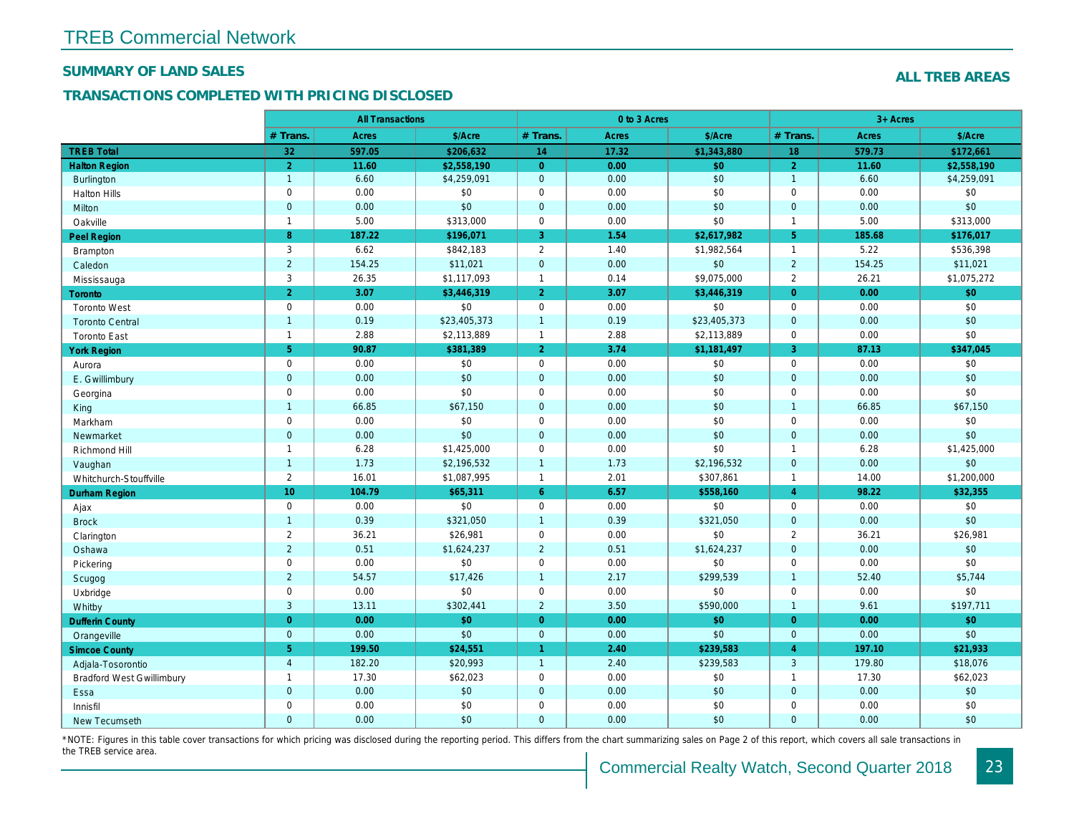### SUMMARY OF LAND SALES

## TRANSACTIONS COMPLETED WITH PRICING DISCLOSED

|                                  |                | <b>All Transactions</b> |              |                      | 0 to 3 Acres |              |                |
|----------------------------------|----------------|-------------------------|--------------|----------------------|--------------|--------------|----------------|
|                                  | # Trans.       | Acres                   | \$/Acre      | # Trans.             | <b>Acres</b> | \$/Acre      | # Trans.       |
| <b>TREB Total</b>                | 32             | 597.05                  | \$206,632    | 14                   | 17.32        | \$1,343,880  | 18             |
| <b>Halton Region</b>             | $\overline{2}$ | 11.60                   | \$2.558.190  | $\overline{0}$       | 0.00         | \$0          | $\overline{2}$ |
| <b>Burlington</b>                | $\overline{1}$ | 6.60                    | \$4,259,091  | $\mathbf{0}$         | 0.00         | \$0          | $\overline{1}$ |
| <b>Halton Hills</b>              | $\mathsf 0$    | 0.00                    | \$0          | $\mathbf 0$          | 0.00         | \$0          | $\mathbf 0$    |
| Milton                           | $\mathbf 0$    | 0.00                    | \$0          | $\mathbf 0$          | 0.00         | \$0          | $\mathbf{0}$   |
| Oakville                         | $\mathbf{1}$   | 5.00                    | \$313,000    | $\mathbf 0$          | 0.00         | \$0          | $\overline{1}$ |
| <b>Peel Region</b>               | 8              | 187.22                  | \$196,071    | 3                    | 1.54         | \$2,617,982  | 5 <sup>5</sup> |
| <b>Brampton</b>                  | 3              | 6.62                    | \$842,183    | $\overline{2}$       | 1.40         | \$1,982,564  | $\overline{1}$ |
| Caledon                          | $\overline{2}$ | 154.25                  | \$11,021     | $\mathbf 0$          | 0.00         | \$0          | $\overline{2}$ |
| Mississauga                      | 3              | 26.35                   | \$1,117,093  | $\mathbf{1}$         | 0.14         | \$9,075,000  | $\overline{2}$ |
| Toronto                          | 2              | 3.07                    | \$3,446,319  | $\overline{2}$       | 3.07         | \$3,446,319  | $\overline{0}$ |
| <b>Toronto West</b>              | $\mathsf 0$    | 0.00                    | \$0          | $\mathbf 0$          | 0.00         | \$0          | $\mathbf 0$    |
| <b>Toronto Central</b>           | $\overline{1}$ | 0.19                    | \$23,405,373 | $\mathbf{1}$         | 0.19         | \$23,405,373 | $\mathbf{0}$   |
| <b>Toronto East</b>              | $\mathbf{1}$   | 2.88                    | \$2,113,889  | $\mathbf{1}$         | 2.88         | \$2,113,889  | $\mathbf 0$    |
| <b>York Region</b>               | 5 <sup>5</sup> | 90.87                   | \$381,389    | $\overline{2}$       | 3.74         | \$1,181,497  | $\overline{3}$ |
| Aurora                           | $\mathbf 0$    | 0.00                    | \$0          | $\mathbf 0$          | 0.00         | \$0          | $\mathbf 0$    |
| E. Gwillimbury                   | $\mathbf 0$    | 0.00                    | \$0          | $\mathbf{0}$         | 0.00         | \$0          | $\overline{0}$ |
| Georgina                         | $\mathsf 0$    | 0.00                    | \$0          | $\mathbf 0$          | 0.00         | \$0          | $\mathbf 0$    |
| King                             | $\overline{1}$ | 66.85                   | \$67,150     | $\mathbf{0}$         | 0.00         | \$0          | $\overline{1}$ |
| Markham                          | $\mathbf 0$    | 0.00                    | \$0          | $\mathbf 0$          | 0.00         | \$0          | $\mathbf 0$    |
| Newmarket                        | $\mathbf 0$    | 0.00                    | \$0          | $\mathbf{0}$         | 0.00         | \$0          | $\mathbf 0$    |
| Richmond Hill                    | $\mathbf{1}$   | 6.28                    | \$1,425,000  | $\mathbf 0$          | 0.00         | \$0          | $\overline{1}$ |
| Vaughan                          | $\overline{1}$ | 1.73                    | \$2,196,532  | $\mathbf{1}$         | 1.73         | \$2,196,532  | $\mathbf{0}$   |
| Whitchurch-Stouffville           | $\overline{2}$ | 16.01                   | \$1,087,995  | $\mathbf{1}$         | 2.01         | \$307,861    | $\overline{1}$ |
| <b>Durham Region</b>             | 10             | 104.79                  | \$65,311     | $6^{\circ}$          | 6.57         | \$558,160    | $\overline{4}$ |
| Ajax                             | $\mathbf 0$    | 0.00                    | \$0          | $\mathbf 0$          | 0.00         | \$0          | $\mathbf 0$    |
| <b>Brock</b>                     | $\overline{1}$ | 0.39                    | \$321,050    | $\mathbf{1}$         | 0.39         | \$321,050    | $\overline{0}$ |
| Clarington                       | $\overline{2}$ | 36.21                   | \$26,981     | $\mathsf 0$          | 0.00         | \$0          | $\overline{2}$ |
| Oshawa                           | $\overline{2}$ | 0.51                    | \$1,624,237  | $\overline{2}$       | 0.51         | \$1,624,237  | $\mathbf{0}$   |
| Pickering                        | $\mathbf 0$    | 0.00                    | \$0          | $\mathbf 0$          | 0.00         | \$0          | $\mathbf 0$    |
| Scugog                           | $\overline{2}$ | 54.57                   | \$17,426     | $\mathbf{1}$         | 2.17         | \$299,539    | $\overline{1}$ |
| Uxbridge                         | $\mathbf 0$    | 0.00                    | \$0          | $\mathbf 0$          | 0.00         | \$0          | $\mathbf 0$    |
| Whitby                           | 3              | 13.11                   | \$302,441    | $\overline{2}$       | 3.50         | \$590,000    | $\overline{1}$ |
| <b>Dufferin County</b>           | $\overline{0}$ | 0.00                    | \$0          | $\overline{0}$       | 0.00         | \$0          | $\Omega$       |
| Orangeville                      | $\mathbf 0$    | 0.00                    | \$0          | $\mathbf{0}$         | 0.00         | \$0          | $\mathbf{0}$   |
| <b>Simcoe County</b>             | 5 <sup>5</sup> | 199.50                  | \$24,551     | $\blacktriangleleft$ | 2.40         | \$239,583    | $\overline{4}$ |
| Adjala-Tosorontio                | $\overline{4}$ | 182.20                  | \$20,993     | $\overline{1}$       | 2.40         | \$239,583    | $\mathbf{3}$   |
| <b>Bradford West Gwillimbury</b> | $\mathbf{1}$   | 17.30                   | \$62,023     | $\mathbf 0$          | 0.00         | \$0          | $\overline{1}$ |
| Essa                             | $\mathbf{0}$   | 0.00                    | \$0          | $\mathbf{0}$         | 0.00         | \$0          | $\mathbf{0}$   |
| Innisfil                         | $\mathsf 0$    | 0.00                    | \$0          | $\mathbf 0$          | 0.00         | \$0          | $\mathbf 0$    |
| New Tecumseth                    | $\mathbf{0}$   | 0.00                    | \$0          | $\overline{0}$       | 0.00         | \$0          | $\mathbf{0}$   |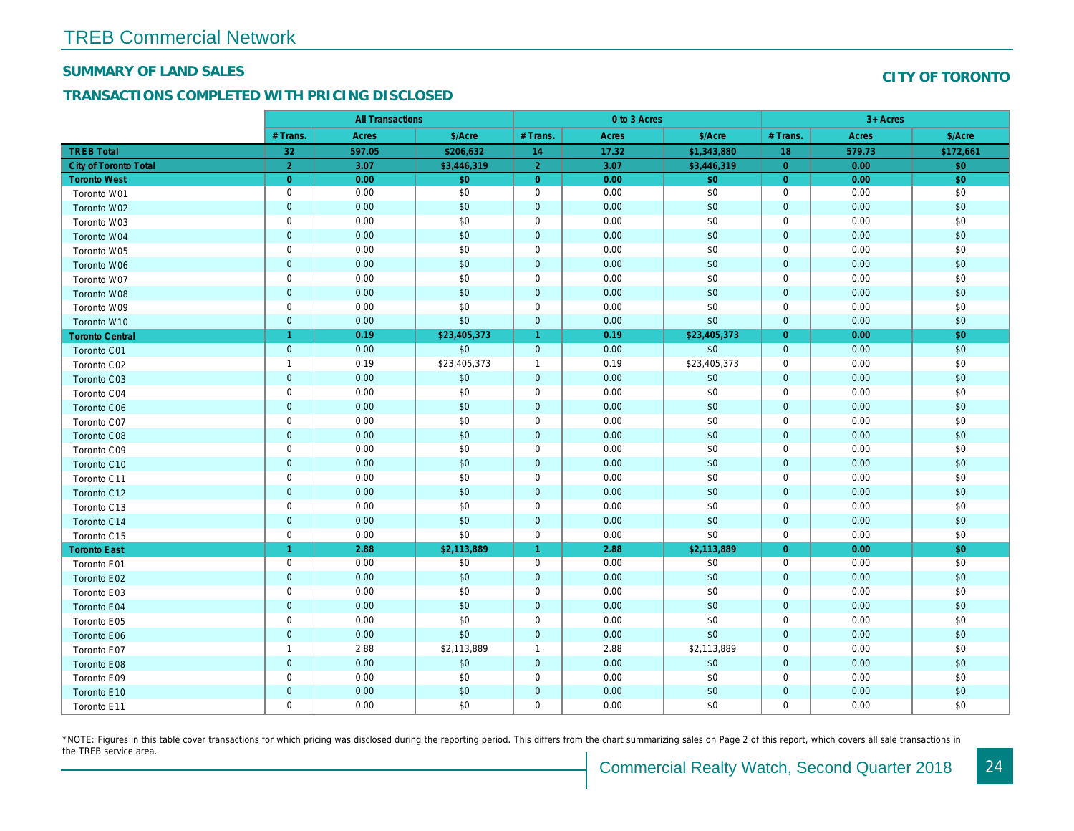#### SUMMARY OF LAND SALES

## TRANSACTIONS COMPLETED WITH PRICING DISCLOSED

|                              |                | <b>All Transactions</b> |              |                      | 0 to 3 Acres |              |                |  |
|------------------------------|----------------|-------------------------|--------------|----------------------|--------------|--------------|----------------|--|
|                              | # Trans.       | Acres                   | \$/Acre      | # Trans.             | Acres        | \$/Acre      | # Trans.       |  |
| <b>TREB Total</b>            | 32             | 597.05                  | \$206,632    | 14                   | 17.32        | \$1,343,880  | 18             |  |
| <b>City of Toronto Total</b> | $\overline{2}$ | 3.07                    | \$3,446,319  | $\overline{2}$       | 3.07         | \$3,446,319  | $\overline{0}$ |  |
| <b>Toronto West</b>          | $\overline{0}$ | 0.00                    | \$0          | $\overline{0}$       | 0.00         | \$0          | $\overline{0}$ |  |
| Toronto W01                  | $\mathbf 0$    | 0.00                    | \$0          | $\mathbf 0$          | 0.00         | \$0          | 0              |  |
| Toronto W02                  | $\mathbf 0$    | 0.00                    | \$0          | $\mathbf 0$          | 0.00         | \$0          | $\mathbf{0}$   |  |
| Toronto W03                  | $\mathbf 0$    | 0.00                    | \$0          | $\mathbf 0$          | 0.00         | \$0          | $\mathbf 0$    |  |
| Toronto W04                  | $\overline{0}$ | 0.00                    | \$0          | $\mathbf{0}$         | 0.00         | \$0          | $\mathbf{0}$   |  |
| Toronto W05                  | $\mathbf 0$    | 0.00                    | \$0          | $\mathbf 0$          | 0.00         | \$0          | $\mathbf 0$    |  |
| Toronto W06                  | $\mathbf 0$    | 0.00                    | \$0          | $\mathbf 0$          | 0.00         | \$0          | $\mathbf{0}$   |  |
| Toronto W07                  | $\mathbf 0$    | 0.00                    | \$0          | $\mathbf 0$          | 0.00         | \$0          | $\mathbf 0$    |  |
| <b>Toronto W08</b>           | $\overline{0}$ | 0.00                    | \$0          | $\mathbf{0}$         | 0.00         | \$0          | $\mathbf{0}$   |  |
| Toronto W09                  | $\mathbf 0$    | 0.00                    | \$0          | $\mathbf 0$          | 0.00         | \$0          | 0              |  |
| Toronto W10                  | $\mathbf 0$    | 0.00                    | \$0          | $\mathbf 0$          | 0.00         | \$0          | $\overline{0}$ |  |
| <b>Toronto Central</b>       | $\overline{1}$ | 0.19                    | \$23,405,373 | $\blacktriangleleft$ | 0.19         | \$23,405,373 | $\overline{0}$ |  |
| <b>Toronto C01</b>           | $\mathbf 0$    | 0.00                    | \$0          | $\mathbf{0}$         | 0.00         | \$0          | $\mathbf{0}$   |  |
| Toronto C02                  | $\overline{1}$ | 0.19                    | \$23,405,373 | $\mathbf{1}$         | 0.19         | \$23,405,373 | $\mathbf 0$    |  |
| Toronto C03                  | $\overline{0}$ | 0.00                    | \$0          | $\mathbf 0$          | 0.00         | \$0          | $\mathbf{0}$   |  |
| Toronto C04                  | $\mathbf 0$    | 0.00                    | \$0          | $\mathbf 0$          | 0.00         | \$0          | 0              |  |
| Toronto C06                  | $\mathbf 0$    | 0.00                    | \$0          | $\pmb{0}$            | 0.00         | \$0          | $\mathbf{0}$   |  |
| Toronto C07                  | $\mathbf 0$    | 0.00                    | \$0          | $\mathbf 0$          | 0.00         | \$0          | $\mathbf{0}$   |  |
| Toronto C08                  | $\overline{0}$ | 0.00                    | \$0          | $\mathbf 0$          | 0.00         | \$0          | $\mathbf{0}$   |  |
| Toronto C09                  | $\mathbf 0$    | 0.00                    | \$0          | $\mathbf 0$          | 0.00         | \$0          | 0              |  |
| Toronto C10                  | $\mathbf 0$    | 0.00                    | \$0          | $\mathbf 0$          | 0.00         | \$0          | $\mathbf 0$    |  |
| Toronto C11                  | $\mathbf 0$    | 0.00                    | \$0          | $\mathbf 0$          | 0.00         | \$0          | 0              |  |
| Toronto C12                  | $\overline{0}$ | 0.00                    | \$0          | $\mathbf{0}$         | 0.00         | \$0          | $\mathbf{0}$   |  |
| Toronto C13                  | $\mathbf 0$    | 0.00                    | \$0          | $\mathbf 0$          | 0.00         | \$0          | $\mathbf 0$    |  |
| Toronto C14                  | $\overline{0}$ | 0.00                    | \$0          | $\mathbf 0$          | 0.00         | \$0          | $\mathbf 0$    |  |
| Toronto C15                  | $\mathbf 0$    | 0.00                    | \$0          | $\mathbf 0$          | 0.00         | \$0          | $\mathbf 0$    |  |
| <b>Toronto East</b>          | $\overline{1}$ | 2.88                    | \$2,113,889  | $\blacktriangleleft$ | 2.88         | \$2,113,889  | $\overline{0}$ |  |
| Toronto E01                  | $\mathbf 0$    | 0.00                    | \$0          | 0                    | 0.00         | \$0          | 0              |  |
| Toronto E02                  | $\mathbf 0$    | 0.00                    | \$0          | $\mathbf 0$          | 0.00         | \$0          | $\mathbf 0$    |  |
| Toronto E03                  | $\mathbf 0$    | 0.00                    | \$0          | 0                    | 0.00         | \$0          | $\mathbf 0$    |  |
| Toronto E04                  | $\overline{0}$ | 0.00                    | \$0          | $\mathbf{0}$         | 0.00         | \$0          | $\mathbf{0}$   |  |
| Toronto E05                  | $\mathbf 0$    | 0.00                    | \$0          | 0                    | 0.00         | \$0          | 0              |  |
| Toronto E06                  | $\overline{0}$ | 0.00                    | \$0          | $\mathbf 0$          | 0.00         | \$0          | $\mathbf{0}$   |  |
| Toronto E07                  | $\overline{1}$ | 2.88                    | \$2,113,889  | $\mathbf{1}$         | 2.88         | \$2,113,889  | 0              |  |
| Toronto E08                  | $\mathbf 0$    | 0.00                    | \$0          | $\mathbf 0$          | 0.00         | \$0          | $\mathbf{0}$   |  |
| Toronto E09                  | $\mathbf 0$    | 0.00                    | \$0          | $\mathbf 0$          | 0.00         | \$0          | 0              |  |
| Toronto E10                  | $\mathbf 0$    | 0.00                    | \$0          | $\mathbf 0$          | 0.00         | \$0          | $\mathbf{0}$   |  |
| Toronto E11                  | $\mathbf 0$    | 0.00                    | \$0          | $\mathbf 0$          | 0.00         | \$0          | $\mathbf 0$    |  |